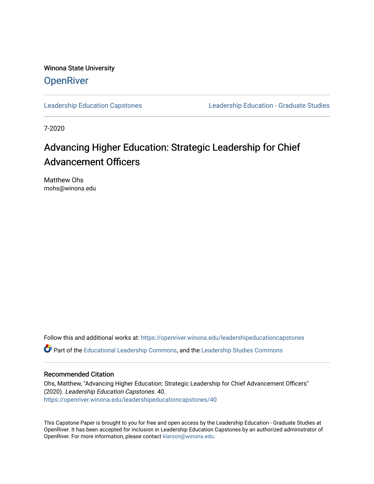Winona State University **OpenRiver** 

[Leadership Education Capstones](https://openriver.winona.edu/leadershipeducationcapstones) [Leadership Education - Graduate Studies](https://openriver.winona.edu/leadershipeducation) 

7-2020

# Advancing Higher Education: Strategic Leadership for Chief Advancement Officers

Matthew Ohs mohs@winona.edu

Follow this and additional works at: [https://openriver.winona.edu/leadershipeducationcapstones](https://openriver.winona.edu/leadershipeducationcapstones?utm_source=openriver.winona.edu%2Fleadershipeducationcapstones%2F40&utm_medium=PDF&utm_campaign=PDFCoverPages) 

Part of the [Educational Leadership Commons,](http://network.bepress.com/hgg/discipline/1230?utm_source=openriver.winona.edu%2Fleadershipeducationcapstones%2F40&utm_medium=PDF&utm_campaign=PDFCoverPages) and the [Leadership Studies Commons](http://network.bepress.com/hgg/discipline/1250?utm_source=openriver.winona.edu%2Fleadershipeducationcapstones%2F40&utm_medium=PDF&utm_campaign=PDFCoverPages)

# Recommended Citation

Ohs, Matthew, "Advancing Higher Education: Strategic Leadership for Chief Advancement Officers" (2020). Leadership Education Capstones. 40. [https://openriver.winona.edu/leadershipeducationcapstones/40](https://openriver.winona.edu/leadershipeducationcapstones/40?utm_source=openriver.winona.edu%2Fleadershipeducationcapstones%2F40&utm_medium=PDF&utm_campaign=PDFCoverPages) 

This Capstone Paper is brought to you for free and open access by the Leadership Education - Graduate Studies at OpenRiver. It has been accepted for inclusion in Leadership Education Capstones by an authorized administrator of OpenRiver. For more information, please contact [klarson@winona.edu](mailto:klarson@winona.edu).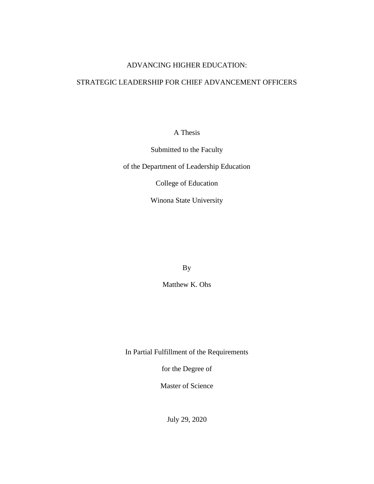# ADVANCING HIGHER EDUCATION:

# STRATEGIC LEADERSHIP FOR CHIEF ADVANCEMENT OFFICERS

A Thesis

Submitted to the Faculty

of the Department of Leadership Education

College of Education

Winona State University

By

Matthew K. Ohs

In Partial Fulfillment of the Requirements

for the Degree of

Master of Science

July 29, 2020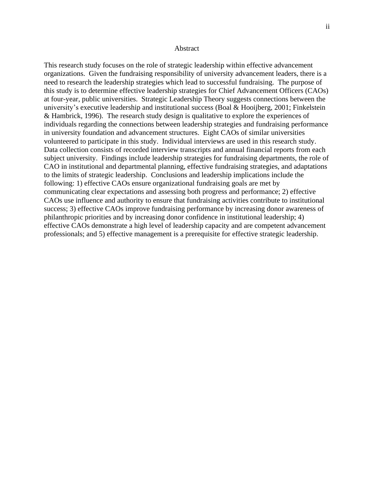#### Abstract

This research study focuses on the role of strategic leadership within effective advancement organizations. Given the fundraising responsibility of university advancement leaders, there is a need to research the leadership strategies which lead to successful fundraising. The purpose of this study is to determine effective leadership strategies for Chief Advancement Officers (CAOs) at four-year, public universities. Strategic Leadership Theory suggests connections between the university's executive leadership and institutional success (Boal & Hooijberg, 2001; Finkelstein & Hambrick, 1996). The research study design is qualitative to explore the experiences of individuals regarding the connections between leadership strategies and fundraising performance in university foundation and advancement structures. Eight CAOs of similar universities volunteered to participate in this study. Individual interviews are used in this research study. Data collection consists of recorded interview transcripts and annual financial reports from each subject university. Findings include leadership strategies for fundraising departments, the role of CAO in institutional and departmental planning, effective fundraising strategies, and adaptations to the limits of strategic leadership. Conclusions and leadership implications include the following: 1) effective CAOs ensure organizational fundraising goals are met by communicating clear expectations and assessing both progress and performance; 2) effective CAOs use influence and authority to ensure that fundraising activities contribute to institutional success; 3) effective CAOs improve fundraising performance by increasing donor awareness of philanthropic priorities and by increasing donor confidence in institutional leadership; 4) effective CAOs demonstrate a high level of leadership capacity and are competent advancement professionals; and 5) effective management is a prerequisite for effective strategic leadership.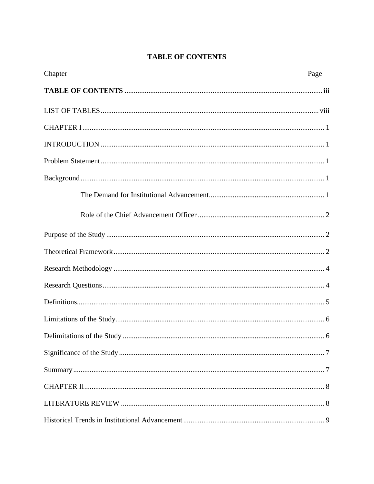# **TABLE OF CONTENTS**

<span id="page-3-0"></span>

| Chapter | Page |
|---------|------|
|         |      |
|         |      |
|         |      |
|         |      |
|         |      |
|         |      |
|         |      |
|         |      |
|         |      |
|         |      |
|         |      |
|         |      |
|         |      |
|         |      |
|         |      |
|         |      |
|         |      |
|         |      |
|         |      |
|         |      |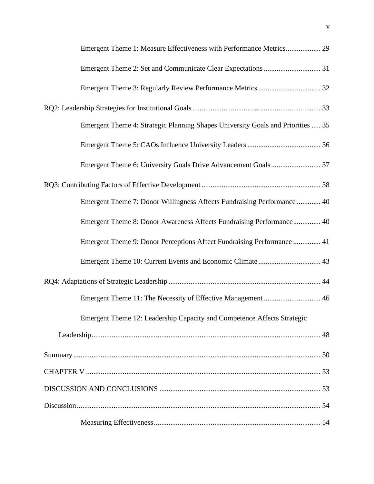| Emergent Theme 1: Measure Effectiveness with Performance Metrics 29             |
|---------------------------------------------------------------------------------|
|                                                                                 |
|                                                                                 |
|                                                                                 |
| Emergent Theme 4: Strategic Planning Shapes University Goals and Priorities  35 |
|                                                                                 |
|                                                                                 |
|                                                                                 |
| Emergent Theme 7: Donor Willingness Affects Fundraising Performance  40         |
| Emergent Theme 8: Donor Awareness Affects Fundraising Performance 40            |
| Emergent Theme 9: Donor Perceptions Affect Fundraising Performance  41          |
|                                                                                 |
|                                                                                 |
| Emergent Theme 11: The Necessity of Effective Management  46                    |
| Emergent Theme 12: Leadership Capacity and Competence Affects Strategic         |
|                                                                                 |
|                                                                                 |
|                                                                                 |
|                                                                                 |
|                                                                                 |
|                                                                                 |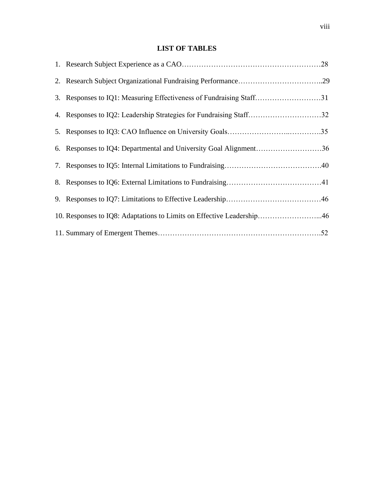# **LIST OF TABLES**

<span id="page-8-0"></span>

| 3. Responses to IQ1: Measuring Effectiveness of Fundraising Staff31   |  |
|-----------------------------------------------------------------------|--|
| 4. Responses to IQ2: Leadership Strategies for Fundraising Staff32    |  |
|                                                                       |  |
| 6. Responses to IQ4: Departmental and University Goal Alignment36     |  |
|                                                                       |  |
|                                                                       |  |
|                                                                       |  |
| 10. Responses to IQ8: Adaptations to Limits on Effective Leadership46 |  |
|                                                                       |  |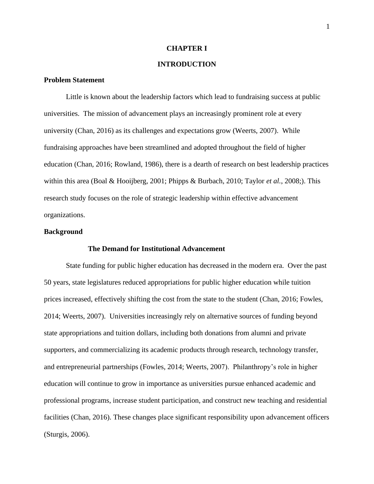#### **CHAPTER I**

# <span id="page-9-1"></span>**INTRODUCTION**

#### <span id="page-9-2"></span><span id="page-9-0"></span>**Problem Statement**

Little is known about the leadership factors which lead to fundraising success at public universities. The mission of advancement plays an increasingly prominent role at every university (Chan, 2016) as its challenges and expectations grow (Weerts, 2007). While fundraising approaches have been streamlined and adopted throughout the field of higher education (Chan, 2016; Rowland, 1986), there is a dearth of research on best leadership practices within this area (Boal & Hooijberg, 2001; Phipps & Burbach, 2010; Taylor *et al.*, 2008;). This research study focuses on the role of strategic leadership within effective advancement organizations.

## <span id="page-9-4"></span><span id="page-9-3"></span>**Background**

# **The Demand for Institutional Advancement**

State funding for public higher education has decreased in the modern era. Over the past 50 years, state legislatures reduced appropriations for public higher education while tuition prices increased, effectively shifting the cost from the state to the student (Chan, 2016; Fowles, 2014; Weerts, 2007). Universities increasingly rely on alternative sources of funding beyond state appropriations and tuition dollars, including both donations from alumni and private supporters, and commercializing its academic products through research, technology transfer, and entrepreneurial partnerships (Fowles, 2014; Weerts, 2007). Philanthropy's role in higher education will continue to grow in importance as universities pursue enhanced academic and professional programs, increase student participation, and construct new teaching and residential facilities (Chan, 2016). These changes place significant responsibility upon advancement officers (Sturgis, 2006).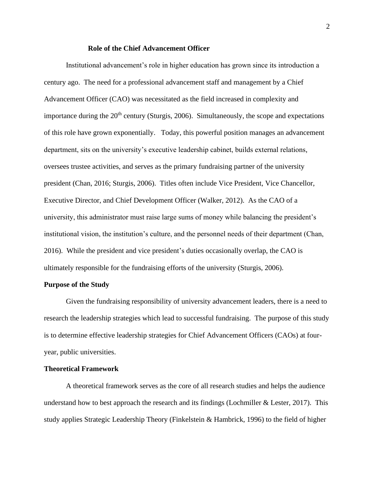#### **Role of the Chief Advancement Officer**

<span id="page-10-0"></span>Institutional advancement's role in higher education has grown since its introduction a century ago. The need for a professional advancement staff and management by a Chief Advancement Officer (CAO) was necessitated as the field increased in complexity and importance during the  $20<sup>th</sup>$  century (Sturgis, 2006). Simultaneously, the scope and expectations of this role have grown exponentially. Today, this powerful position manages an advancement department, sits on the university's executive leadership cabinet, builds external relations, oversees trustee activities, and serves as the primary fundraising partner of the university president (Chan, 2016; Sturgis, 2006). Titles often include Vice President, Vice Chancellor, Executive Director, and Chief Development Officer (Walker, 2012). As the CAO of a university, this administrator must raise large sums of money while balancing the president's institutional vision, the institution's culture, and the personnel needs of their department (Chan, 2016). While the president and vice president's duties occasionally overlap, the CAO is ultimately responsible for the fundraising efforts of the university (Sturgis, 2006).

## <span id="page-10-1"></span>**Purpose of the Study**

Given the fundraising responsibility of university advancement leaders, there is a need to research the leadership strategies which lead to successful fundraising. The purpose of this study is to determine effective leadership strategies for Chief Advancement Officers (CAOs) at fouryear, public universities.

## <span id="page-10-2"></span>**Theoretical Framework**

A theoretical framework serves as the core of all research studies and helps the audience understand how to best approach the research and its findings (Lochmiller  $&$  Lester, 2017). This study applies Strategic Leadership Theory (Finkelstein & Hambrick, 1996) to the field of higher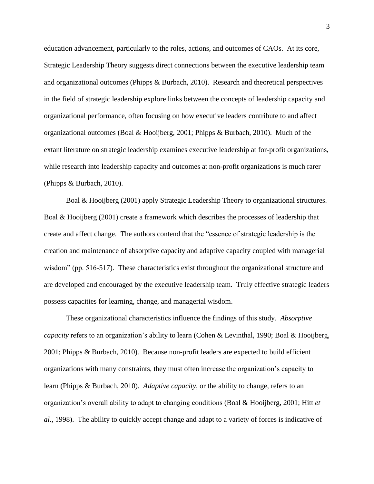education advancement, particularly to the roles, actions, and outcomes of CAOs. At its core, Strategic Leadership Theory suggests direct connections between the executive leadership team and organizational outcomes (Phipps & Burbach, 2010). Research and theoretical perspectives in the field of strategic leadership explore links between the concepts of leadership capacity and organizational performance, often focusing on how executive leaders contribute to and affect organizational outcomes (Boal & Hooijberg, 2001; Phipps & Burbach, 2010). Much of the extant literature on strategic leadership examines executive leadership at for-profit organizations, while research into leadership capacity and outcomes at non-profit organizations is much rarer (Phipps & Burbach, 2010).

Boal & Hooijberg (2001) apply Strategic Leadership Theory to organizational structures. Boal & Hooijberg (2001) create a framework which describes the processes of leadership that create and affect change. The authors contend that the "essence of strategic leadership is the creation and maintenance of absorptive capacity and adaptive capacity coupled with managerial wisdom" (pp. 516-517). These characteristics exist throughout the organizational structure and are developed and encouraged by the executive leadership team. Truly effective strategic leaders possess capacities for learning, change, and managerial wisdom.

These organizational characteristics influence the findings of this study. *Absorptive capacity* refers to an organization's ability to learn (Cohen & Levinthal, 1990; Boal & Hooijberg, 2001; Phipps & Burbach, 2010). Because non-profit leaders are expected to build efficient organizations with many constraints, they must often increase the organization's capacity to learn (Phipps & Burbach, 2010). *Adaptive capacity*, or the ability to change, refers to an organization's overall ability to adapt to changing conditions (Boal & Hooijberg, 2001; Hitt *et al*., 1998). The ability to quickly accept change and adapt to a variety of forces is indicative of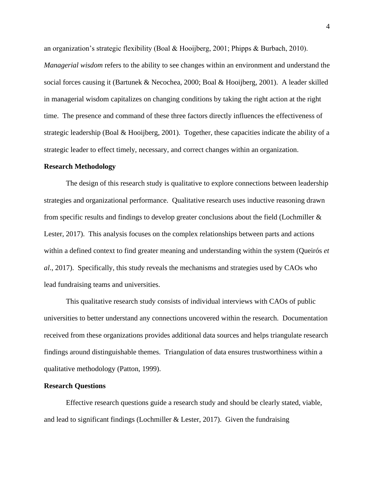an organization's strategic flexibility (Boal & Hooijberg, 2001; Phipps & Burbach, 2010). *Managerial wisdom* refers to the ability to see changes within an environment and understand the social forces causing it (Bartunek & Necochea, 2000; Boal & Hooijberg, 2001). A leader skilled in managerial wisdom capitalizes on changing conditions by taking the right action at the right time. The presence and command of these three factors directly influences the effectiveness of strategic leadership (Boal & Hooijberg, 2001). Together, these capacities indicate the ability of a strategic leader to effect timely, necessary, and correct changes within an organization.

#### <span id="page-12-0"></span>**Research Methodology**

The design of this research study is qualitative to explore connections between leadership strategies and organizational performance. Qualitative research uses inductive reasoning drawn from specific results and findings to develop greater conclusions about the field (Lochmiller & Lester, 2017). This analysis focuses on the complex relationships between parts and actions within a defined context to find greater meaning and understanding within the system (Queirós *et al*., 2017). Specifically, this study reveals the mechanisms and strategies used by CAOs who lead fundraising teams and universities.

This qualitative research study consists of individual interviews with CAOs of public universities to better understand any connections uncovered within the research. Documentation received from these organizations provides additional data sources and helps triangulate research findings around distinguishable themes. Triangulation of data ensures trustworthiness within a qualitative methodology (Patton, 1999).

#### <span id="page-12-1"></span>**Research Questions**

Effective research questions guide a research study and should be clearly stated, viable, and lead to significant findings (Lochmiller & Lester, 2017). Given the fundraising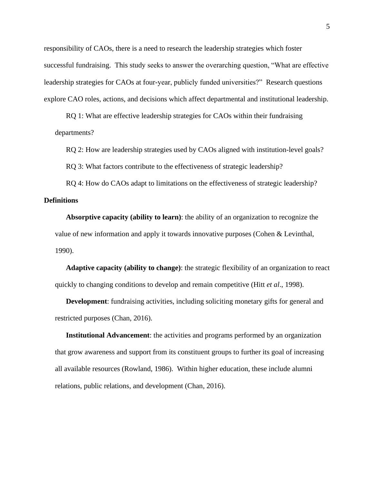responsibility of CAOs, there is a need to research the leadership strategies which foster successful fundraising. This study seeks to answer the overarching question, "What are effective leadership strategies for CAOs at four-year, publicly funded universities?" Research questions explore CAO roles, actions, and decisions which affect departmental and institutional leadership.

RQ 1: What are effective leadership strategies for CAOs within their fundraising departments?

RQ 2: How are leadership strategies used by CAOs aligned with institution-level goals?

RQ 3: What factors contribute to the effectiveness of strategic leadership?

<span id="page-13-0"></span>RQ 4: How do CAOs adapt to limitations on the effectiveness of strategic leadership? **Definitions**

**Absorptive capacity (ability to learn)**: the ability of an organization to recognize the value of new information and apply it towards innovative purposes (Cohen & Levinthal, 1990).

**Adaptive capacity (ability to change)**: the strategic flexibility of an organization to react quickly to changing conditions to develop and remain competitive (Hitt *et al*., 1998).

**Development**: fundraising activities, including soliciting monetary gifts for general and restricted purposes (Chan, 2016).

**Institutional Advancement**: the activities and programs performed by an organization that grow awareness and support from its constituent groups to further its goal of increasing all available resources (Rowland, 1986). Within higher education, these include alumni relations, public relations, and development (Chan, 2016).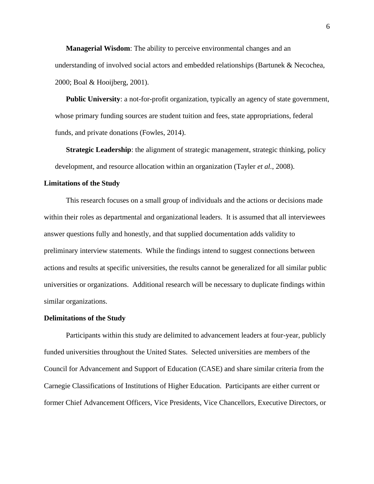**Managerial Wisdom**: The ability to perceive environmental changes and an understanding of involved social actors and embedded relationships (Bartunek & Necochea, 2000; Boal & Hooijberg, 2001).

**Public University:** a not-for-profit organization, typically an agency of state government, whose primary funding sources are student tuition and fees, state appropriations, federal funds, and private donations (Fowles, 2014).

**Strategic Leadership**: the alignment of strategic management, strategic thinking, policy development, and resource allocation within an organization (Tayler *et al.*, 2008).

#### <span id="page-14-0"></span>**Limitations of the Study**

This research focuses on a small group of individuals and the actions or decisions made within their roles as departmental and organizational leaders. It is assumed that all interviewees answer questions fully and honestly, and that supplied documentation adds validity to preliminary interview statements. While the findings intend to suggest connections between actions and results at specific universities, the results cannot be generalized for all similar public universities or organizations. Additional research will be necessary to duplicate findings within similar organizations.

#### <span id="page-14-1"></span>**Delimitations of the Study**

Participants within this study are delimited to advancement leaders at four-year, publicly funded universities throughout the United States. Selected universities are members of the Council for Advancement and Support of Education (CASE) and share similar criteria from the Carnegie Classifications of Institutions of Higher Education. Participants are either current or former Chief Advancement Officers, Vice Presidents, Vice Chancellors, Executive Directors, or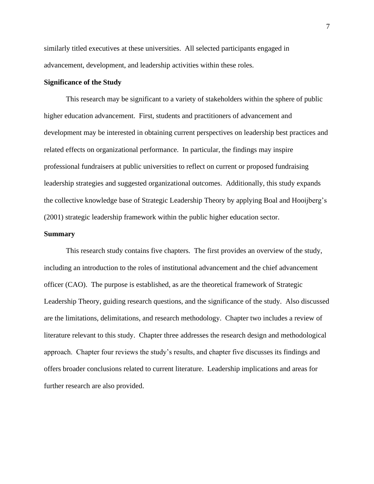similarly titled executives at these universities. All selected participants engaged in advancement, development, and leadership activities within these roles.

# <span id="page-15-0"></span>**Significance of the Study**

This research may be significant to a variety of stakeholders within the sphere of public higher education advancement. First, students and practitioners of advancement and development may be interested in obtaining current perspectives on leadership best practices and related effects on organizational performance. In particular, the findings may inspire professional fundraisers at public universities to reflect on current or proposed fundraising leadership strategies and suggested organizational outcomes. Additionally, this study expands the collective knowledge base of Strategic Leadership Theory by applying Boal and Hooijberg's (2001) strategic leadership framework within the public higher education sector.

#### <span id="page-15-1"></span>**Summary**

This research study contains five chapters. The first provides an overview of the study, including an introduction to the roles of institutional advancement and the chief advancement officer (CAO). The purpose is established, as are the theoretical framework of Strategic Leadership Theory, guiding research questions, and the significance of the study. Also discussed are the limitations, delimitations, and research methodology. Chapter two includes a review of literature relevant to this study. Chapter three addresses the research design and methodological approach. Chapter four reviews the study's results, and chapter five discusses its findings and offers broader conclusions related to current literature. Leadership implications and areas for further research are also provided.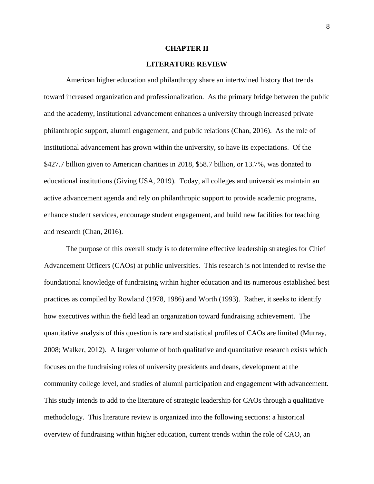# **CHAPTER II**

# <span id="page-16-1"></span>**LITERATURE REVIEW**

<span id="page-16-0"></span>American higher education and philanthropy share an intertwined history that trends toward increased organization and professionalization. As the primary bridge between the public and the academy, institutional advancement enhances a university through increased private philanthropic support, alumni engagement, and public relations (Chan, 2016). As the role of institutional advancement has grown within the university, so have its expectations. Of the \$427.7 billion given to American charities in 2018, \$58.7 billion, or 13.7%, was donated to educational institutions (Giving USA, 2019). Today, all colleges and universities maintain an active advancement agenda and rely on philanthropic support to provide academic programs, enhance student services, encourage student engagement, and build new facilities for teaching and research (Chan, 2016).

The purpose of this overall study is to determine effective leadership strategies for Chief Advancement Officers (CAOs) at public universities. This research is not intended to revise the foundational knowledge of fundraising within higher education and its numerous established best practices as compiled by Rowland (1978, 1986) and Worth (1993). Rather, it seeks to identify how executives within the field lead an organization toward fundraising achievement. The quantitative analysis of this question is rare and statistical profiles of CAOs are limited (Murray, 2008; Walker, 2012). A larger volume of both qualitative and quantitative research exists which focuses on the fundraising roles of university presidents and deans, development at the community college level, and studies of alumni participation and engagement with advancement. This study intends to add to the literature of strategic leadership for CAOs through a qualitative methodology. This literature review is organized into the following sections: a historical overview of fundraising within higher education, current trends within the role of CAO, an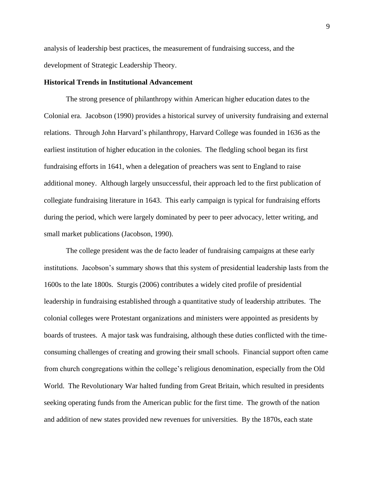analysis of leadership best practices, the measurement of fundraising success, and the development of Strategic Leadership Theory.

#### <span id="page-17-0"></span>**Historical Trends in Institutional Advancement**

The strong presence of philanthropy within American higher education dates to the Colonial era. Jacobson (1990) provides a historical survey of university fundraising and external relations. Through John Harvard's philanthropy, Harvard College was founded in 1636 as the earliest institution of higher education in the colonies. The fledgling school began its first fundraising efforts in 1641, when a delegation of preachers was sent to England to raise additional money. Although largely unsuccessful, their approach led to the first publication of collegiate fundraising literature in 1643. This early campaign is typical for fundraising efforts during the period, which were largely dominated by peer to peer advocacy, letter writing, and small market publications (Jacobson, 1990).

The college president was the de facto leader of fundraising campaigns at these early institutions. Jacobson's summary shows that this system of presidential leadership lasts from the 1600s to the late 1800s. Sturgis (2006) contributes a widely cited profile of presidential leadership in fundraising established through a quantitative study of leadership attributes. The colonial colleges were Protestant organizations and ministers were appointed as presidents by boards of trustees. A major task was fundraising, although these duties conflicted with the timeconsuming challenges of creating and growing their small schools. Financial support often came from church congregations within the college's religious denomination, especially from the Old World. The Revolutionary War halted funding from Great Britain, which resulted in presidents seeking operating funds from the American public for the first time. The growth of the nation and addition of new states provided new revenues for universities. By the 1870s, each state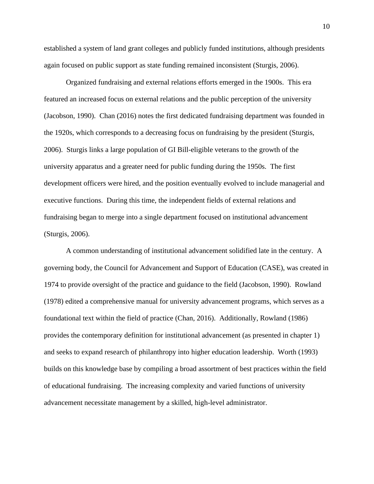established a system of land grant colleges and publicly funded institutions, although presidents again focused on public support as state funding remained inconsistent (Sturgis, 2006).

Organized fundraising and external relations efforts emerged in the 1900s. This era featured an increased focus on external relations and the public perception of the university (Jacobson, 1990). Chan (2016) notes the first dedicated fundraising department was founded in the 1920s, which corresponds to a decreasing focus on fundraising by the president (Sturgis, 2006). Sturgis links a large population of GI Bill-eligible veterans to the growth of the university apparatus and a greater need for public funding during the 1950s. The first development officers were hired, and the position eventually evolved to include managerial and executive functions. During this time, the independent fields of external relations and fundraising began to merge into a single department focused on institutional advancement (Sturgis, 2006).

A common understanding of institutional advancement solidified late in the century. A governing body, the Council for Advancement and Support of Education (CASE), was created in 1974 to provide oversight of the practice and guidance to the field (Jacobson, 1990). Rowland (1978) edited a comprehensive manual for university advancement programs, which serves as a foundational text within the field of practice (Chan, 2016). Additionally, Rowland (1986) provides the contemporary definition for institutional advancement (as presented in chapter 1) and seeks to expand research of philanthropy into higher education leadership. Worth (1993) builds on this knowledge base by compiling a broad assortment of best practices within the field of educational fundraising. The increasing complexity and varied functions of university advancement necessitate management by a skilled, high-level administrator.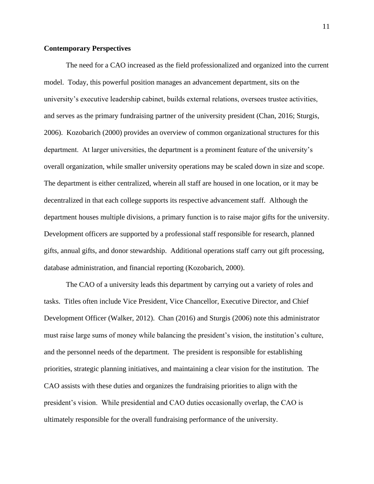# <span id="page-19-0"></span>**Contemporary Perspectives**

The need for a CAO increased as the field professionalized and organized into the current model. Today, this powerful position manages an advancement department, sits on the university's executive leadership cabinet, builds external relations, oversees trustee activities, and serves as the primary fundraising partner of the university president (Chan, 2016; Sturgis, 2006). Kozobarich (2000) provides an overview of common organizational structures for this department. At larger universities, the department is a prominent feature of the university's overall organization, while smaller university operations may be scaled down in size and scope. The department is either centralized, wherein all staff are housed in one location, or it may be decentralized in that each college supports its respective advancement staff. Although the department houses multiple divisions, a primary function is to raise major gifts for the university. Development officers are supported by a professional staff responsible for research, planned gifts, annual gifts, and donor stewardship. Additional operations staff carry out gift processing, database administration, and financial reporting (Kozobarich, 2000).

The CAO of a university leads this department by carrying out a variety of roles and tasks. Titles often include Vice President, Vice Chancellor, Executive Director, and Chief Development Officer (Walker, 2012). Chan (2016) and Sturgis (2006) note this administrator must raise large sums of money while balancing the president's vision, the institution's culture, and the personnel needs of the department. The president is responsible for establishing priorities, strategic planning initiatives, and maintaining a clear vision for the institution. The CAO assists with these duties and organizes the fundraising priorities to align with the president's vision. While presidential and CAO duties occasionally overlap, the CAO is ultimately responsible for the overall fundraising performance of the university.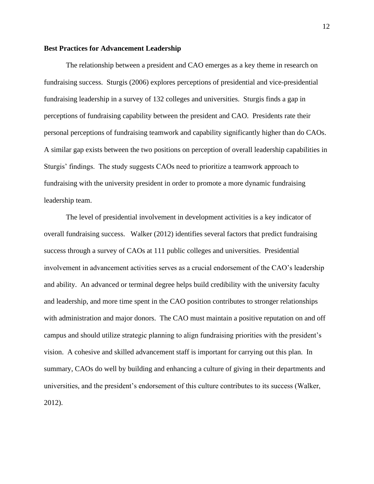# <span id="page-20-0"></span>**Best Practices for Advancement Leadership**

The relationship between a president and CAO emerges as a key theme in research on fundraising success. Sturgis (2006) explores perceptions of presidential and vice-presidential fundraising leadership in a survey of 132 colleges and universities. Sturgis finds a gap in perceptions of fundraising capability between the president and CAO. Presidents rate their personal perceptions of fundraising teamwork and capability significantly higher than do CAOs. A similar gap exists between the two positions on perception of overall leadership capabilities in Sturgis' findings. The study suggests CAOs need to prioritize a teamwork approach to fundraising with the university president in order to promote a more dynamic fundraising leadership team.

The level of presidential involvement in development activities is a key indicator of overall fundraising success. Walker (2012) identifies several factors that predict fundraising success through a survey of CAOs at 111 public colleges and universities. Presidential involvement in advancement activities serves as a crucial endorsement of the CAO's leadership and ability. An advanced or terminal degree helps build credibility with the university faculty and leadership, and more time spent in the CAO position contributes to stronger relationships with administration and major donors. The CAO must maintain a positive reputation on and off campus and should utilize strategic planning to align fundraising priorities with the president's vision. A cohesive and skilled advancement staff is important for carrying out this plan. In summary, CAOs do well by building and enhancing a culture of giving in their departments and universities, and the president's endorsement of this culture contributes to its success (Walker, 2012).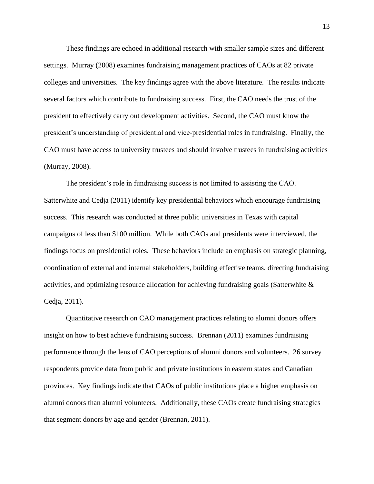These findings are echoed in additional research with smaller sample sizes and different settings. Murray (2008) examines fundraising management practices of CAOs at 82 private colleges and universities. The key findings agree with the above literature. The results indicate several factors which contribute to fundraising success. First, the CAO needs the trust of the president to effectively carry out development activities. Second, the CAO must know the president's understanding of presidential and vice-presidential roles in fundraising. Finally, the CAO must have access to university trustees and should involve trustees in fundraising activities (Murray, 2008).

The president's role in fundraising success is not limited to assisting the CAO. Satterwhite and Cedja (2011) identify key presidential behaviors which encourage fundraising success. This research was conducted at three public universities in Texas with capital campaigns of less than \$100 million. While both CAOs and presidents were interviewed, the findings focus on presidential roles. These behaviors include an emphasis on strategic planning, coordination of external and internal stakeholders, building effective teams, directing fundraising activities, and optimizing resource allocation for achieving fundraising goals (Satterwhite & Cedja, 2011).

Quantitative research on CAO management practices relating to alumni donors offers insight on how to best achieve fundraising success. Brennan (2011) examines fundraising performance through the lens of CAO perceptions of alumni donors and volunteers. 26 survey respondents provide data from public and private institutions in eastern states and Canadian provinces. Key findings indicate that CAOs of public institutions place a higher emphasis on alumni donors than alumni volunteers. Additionally, these CAOs create fundraising strategies that segment donors by age and gender (Brennan, 2011).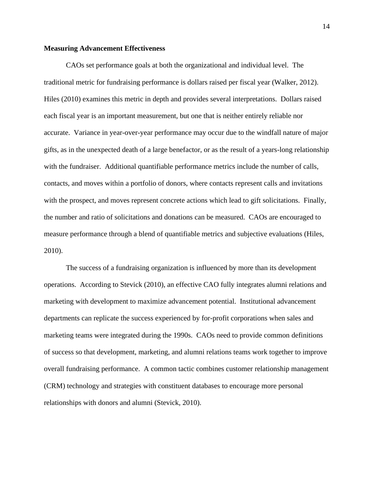# <span id="page-22-0"></span>**Measuring Advancement Effectiveness**

CAOs set performance goals at both the organizational and individual level. The traditional metric for fundraising performance is dollars raised per fiscal year (Walker, 2012). Hiles (2010) examines this metric in depth and provides several interpretations. Dollars raised each fiscal year is an important measurement, but one that is neither entirely reliable nor accurate. Variance in year-over-year performance may occur due to the windfall nature of major gifts, as in the unexpected death of a large benefactor, or as the result of a years-long relationship with the fundraiser. Additional quantifiable performance metrics include the number of calls, contacts, and moves within a portfolio of donors, where contacts represent calls and invitations with the prospect, and moves represent concrete actions which lead to gift solicitations. Finally, the number and ratio of solicitations and donations can be measured. CAOs are encouraged to measure performance through a blend of quantifiable metrics and subjective evaluations (Hiles, 2010).

The success of a fundraising organization is influenced by more than its development operations. According to Stevick (2010), an effective CAO fully integrates alumni relations and marketing with development to maximize advancement potential. Institutional advancement departments can replicate the success experienced by for-profit corporations when sales and marketing teams were integrated during the 1990s. CAOs need to provide common definitions of success so that development, marketing, and alumni relations teams work together to improve overall fundraising performance. A common tactic combines customer relationship management (CRM) technology and strategies with constituent databases to encourage more personal relationships with donors and alumni (Stevick, 2010).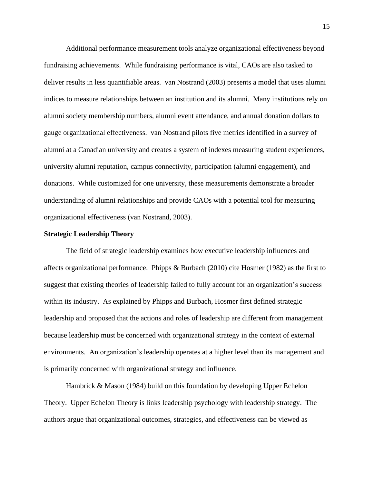Additional performance measurement tools analyze organizational effectiveness beyond fundraising achievements. While fundraising performance is vital, CAOs are also tasked to deliver results in less quantifiable areas. van Nostrand (2003) presents a model that uses alumni indices to measure relationships between an institution and its alumni. Many institutions rely on alumni society membership numbers, alumni event attendance, and annual donation dollars to gauge organizational effectiveness. van Nostrand pilots five metrics identified in a survey of alumni at a Canadian university and creates a system of indexes measuring student experiences, university alumni reputation, campus connectivity, participation (alumni engagement), and donations. While customized for one university, these measurements demonstrate a broader understanding of alumni relationships and provide CAOs with a potential tool for measuring organizational effectiveness (van Nostrand, 2003).

#### <span id="page-23-0"></span>**Strategic Leadership Theory**

The field of strategic leadership examines how executive leadership influences and affects organizational performance. Phipps & Burbach (2010) cite Hosmer (1982) as the first to suggest that existing theories of leadership failed to fully account for an organization's success within its industry. As explained by Phipps and Burbach, Hosmer first defined strategic leadership and proposed that the actions and roles of leadership are different from management because leadership must be concerned with organizational strategy in the context of external environments. An organization's leadership operates at a higher level than its management and is primarily concerned with organizational strategy and influence.

Hambrick & Mason (1984) build on this foundation by developing Upper Echelon Theory. Upper Echelon Theory is links leadership psychology with leadership strategy. The authors argue that organizational outcomes, strategies, and effectiveness can be viewed as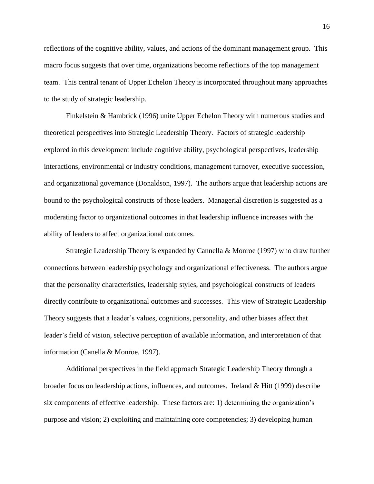reflections of the cognitive ability, values, and actions of the dominant management group. This macro focus suggests that over time, organizations become reflections of the top management team. This central tenant of Upper Echelon Theory is incorporated throughout many approaches to the study of strategic leadership.

Finkelstein & Hambrick (1996) unite Upper Echelon Theory with numerous studies and theoretical perspectives into Strategic Leadership Theory. Factors of strategic leadership explored in this development include cognitive ability, psychological perspectives, leadership interactions, environmental or industry conditions, management turnover, executive succession, and organizational governance (Donaldson, 1997). The authors argue that leadership actions are bound to the psychological constructs of those leaders. Managerial discretion is suggested as a moderating factor to organizational outcomes in that leadership influence increases with the ability of leaders to affect organizational outcomes.

Strategic Leadership Theory is expanded by Cannella & Monroe (1997) who draw further connections between leadership psychology and organizational effectiveness. The authors argue that the personality characteristics, leadership styles, and psychological constructs of leaders directly contribute to organizational outcomes and successes. This view of Strategic Leadership Theory suggests that a leader's values, cognitions, personality, and other biases affect that leader's field of vision, selective perception of available information, and interpretation of that information (Canella & Monroe, 1997).

Additional perspectives in the field approach Strategic Leadership Theory through a broader focus on leadership actions, influences, and outcomes. Ireland  $& Hitt (1999)$  describe six components of effective leadership. These factors are: 1) determining the organization's purpose and vision; 2) exploiting and maintaining core competencies; 3) developing human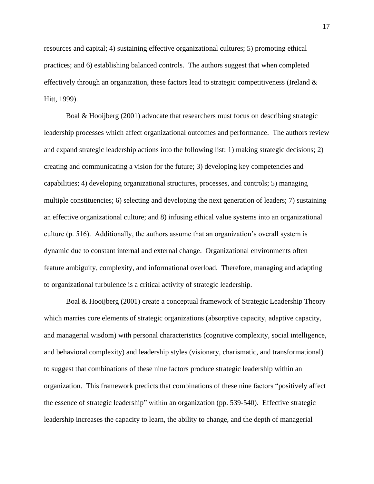resources and capital; 4) sustaining effective organizational cultures; 5) promoting ethical practices; and 6) establishing balanced controls. The authors suggest that when completed effectively through an organization, these factors lead to strategic competitiveness (Ireland  $\&$ Hitt, 1999).

Boal & Hooijberg (2001) advocate that researchers must focus on describing strategic leadership processes which affect organizational outcomes and performance. The authors review and expand strategic leadership actions into the following list: 1) making strategic decisions; 2) creating and communicating a vision for the future; 3) developing key competencies and capabilities; 4) developing organizational structures, processes, and controls; 5) managing multiple constituencies; 6) selecting and developing the next generation of leaders; 7) sustaining an effective organizational culture; and 8) infusing ethical value systems into an organizational culture (p. 516). Additionally, the authors assume that an organization's overall system is dynamic due to constant internal and external change. Organizational environments often feature ambiguity, complexity, and informational overload. Therefore, managing and adapting to organizational turbulence is a critical activity of strategic leadership.

Boal & Hooijberg (2001) create a conceptual framework of Strategic Leadership Theory which marries core elements of strategic organizations (absorptive capacity, adaptive capacity, and managerial wisdom) with personal characteristics (cognitive complexity, social intelligence, and behavioral complexity) and leadership styles (visionary, charismatic, and transformational) to suggest that combinations of these nine factors produce strategic leadership within an organization. This framework predicts that combinations of these nine factors "positively affect the essence of strategic leadership" within an organization (pp. 539-540). Effective strategic leadership increases the capacity to learn, the ability to change, and the depth of managerial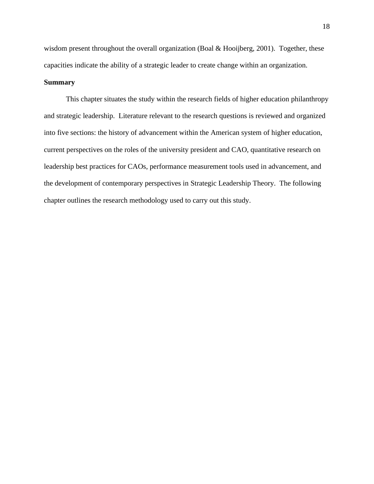wisdom present throughout the overall organization (Boal & Hooijberg, 2001). Together, these capacities indicate the ability of a strategic leader to create change within an organization.

# <span id="page-26-0"></span>**Summary**

This chapter situates the study within the research fields of higher education philanthropy and strategic leadership. Literature relevant to the research questions is reviewed and organized into five sections: the history of advancement within the American system of higher education, current perspectives on the roles of the university president and CAO, quantitative research on leadership best practices for CAOs, performance measurement tools used in advancement, and the development of contemporary perspectives in Strategic Leadership Theory. The following chapter outlines the research methodology used to carry out this study.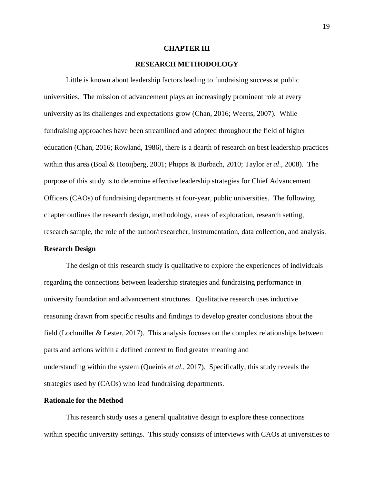#### **CHAPTER III**

# <span id="page-27-1"></span>**RESEARCH METHODOLOGY**

<span id="page-27-0"></span>Little is known about leadership factors leading to fundraising success at public universities. The mission of advancement plays an increasingly prominent role at every university as its challenges and expectations grow (Chan, 2016; Weerts, 2007). While fundraising approaches have been streamlined and adopted throughout the field of higher education (Chan, 2016; Rowland, 1986), there is a dearth of research on best leadership practices within this area (Boal & Hooijberg, 2001; Phipps & Burbach, 2010; Taylor *et al*., 2008). The purpose of this study is to determine effective leadership strategies for Chief Advancement Officers (CAOs) of fundraising departments at four-year, public universities. The following chapter outlines the research design, methodology, areas of exploration, research setting, research sample, the role of the author/researcher, instrumentation, data collection, and analysis.

# <span id="page-27-2"></span>**Research Design**

The design of this research study is qualitative to explore the experiences of individuals regarding the connections between leadership strategies and fundraising performance in university foundation and advancement structures. Qualitative research uses inductive reasoning drawn from specific results and findings to develop greater conclusions about the field (Lochmiller & Lester, 2017). This analysis focuses on the complex relationships between parts and actions within a defined context to find greater meaning and understanding within the system (Queirós *et al*., 2017). Specifically, this study reveals the strategies used by (CAOs) who lead fundraising departments.

# <span id="page-27-3"></span>**Rationale for the Method**

This research study uses a general qualitative design to explore these connections within specific university settings. This study consists of interviews with CAOs at universities to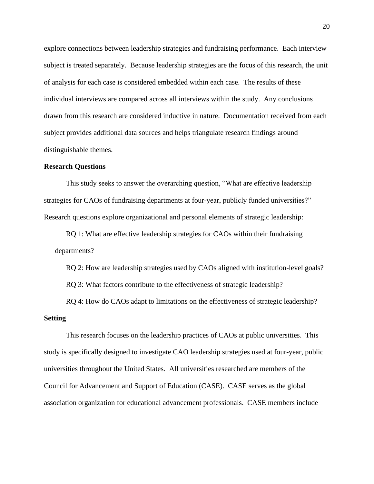explore connections between leadership strategies and fundraising performance. Each interview subject is treated separately. Because leadership strategies are the focus of this research, the unit of analysis for each case is considered embedded within each case. The results of these individual interviews are compared across all interviews within the study. Any conclusions drawn from this research are considered inductive in nature. Documentation received from each subject provides additional data sources and helps triangulate research findings around distinguishable themes.

## <span id="page-28-0"></span>**Research Questions**

This study seeks to answer the overarching question, "What are effective leadership strategies for CAOs of fundraising departments at four-year, publicly funded universities?" Research questions explore organizational and personal elements of strategic leadership:

RQ 1: What are effective leadership strategies for CAOs within their fundraising departments?

RQ 2: How are leadership strategies used by CAOs aligned with institution-level goals?

RQ 3: What factors contribute to the effectiveness of strategic leadership?

<span id="page-28-1"></span>RQ 4: How do CAOs adapt to limitations on the effectiveness of strategic leadership? **Setting**

This research focuses on the leadership practices of CAOs at public universities. This study is specifically designed to investigate CAO leadership strategies used at four-year, public universities throughout the United States. All universities researched are members of the Council for Advancement and Support of Education (CASE). CASE serves as the global association organization for educational advancement professionals. CASE members include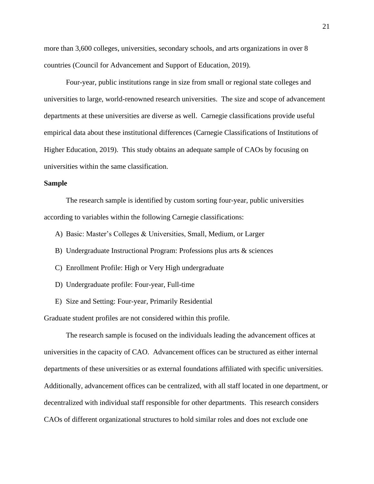more than 3,600 colleges, universities, secondary schools, and arts organizations in over 8 countries (Council for Advancement and Support of Education, 2019).

Four-year, public institutions range in size from small or regional state colleges and universities to large, world-renowned research universities. The size and scope of advancement departments at these universities are diverse as well. Carnegie classifications provide useful empirical data about these institutional differences (Carnegie Classifications of Institutions of Higher Education, 2019). This study obtains an adequate sample of CAOs by focusing on universities within the same classification.

#### <span id="page-29-0"></span>**Sample**

The research sample is identified by custom sorting four-year, public universities according to variables within the following Carnegie classifications:

- A) Basic: Master's Colleges & Universities, Small, Medium, or Larger
- B) Undergraduate Instructional Program: Professions plus arts & sciences
- C) Enrollment Profile: High or Very High undergraduate
- D) Undergraduate profile: Four-year, Full-time
- E) Size and Setting: Four-year, Primarily Residential

Graduate student profiles are not considered within this profile.

The research sample is focused on the individuals leading the advancement offices at universities in the capacity of CAO. Advancement offices can be structured as either internal departments of these universities or as external foundations affiliated with specific universities. Additionally, advancement offices can be centralized, with all staff located in one department, or decentralized with individual staff responsible for other departments. This research considers CAOs of different organizational structures to hold similar roles and does not exclude one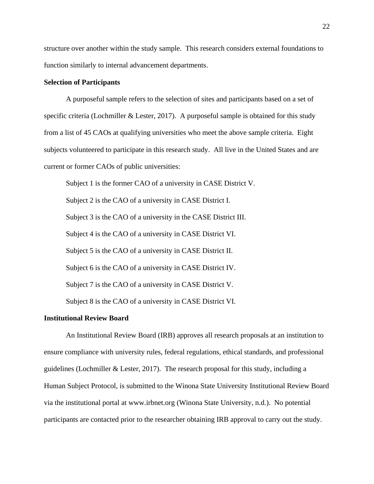structure over another within the study sample. This research considers external foundations to function similarly to internal advancement departments.

# <span id="page-30-0"></span>**Selection of Participants**

A purposeful sample refers to the selection of sites and participants based on a set of specific criteria (Lochmiller & Lester, 2017). A purposeful sample is obtained for this study from a list of 45 CAOs at qualifying universities who meet the above sample criteria. Eight subjects volunteered to participate in this research study. All live in the United States and are current or former CAOs of public universities:

Subject 1 is the former CAO of a university in CASE District V. Subject 2 is the CAO of a university in CASE District I. Subject 3 is the CAO of a university in the CASE District III. Subject 4 is the CAO of a university in CASE District VI. Subject 5 is the CAO of a university in CASE District II. Subject 6 is the CAO of a university in CASE District IV. Subject 7 is the CAO of a university in CASE District V. Subject 8 is the CAO of a university in CASE District VI.

#### <span id="page-30-1"></span>**Institutional Review Board**

An Institutional Review Board (IRB) approves all research proposals at an institution to ensure compliance with university rules, federal regulations, ethical standards, and professional guidelines (Lochmiller & Lester, 2017). The research proposal for this study, including a Human Subject Protocol, is submitted to the Winona State University Institutional Review Board via the institutional portal at www.irbnet.org (Winona State University, n.d.). No potential participants are contacted prior to the researcher obtaining IRB approval to carry out the study.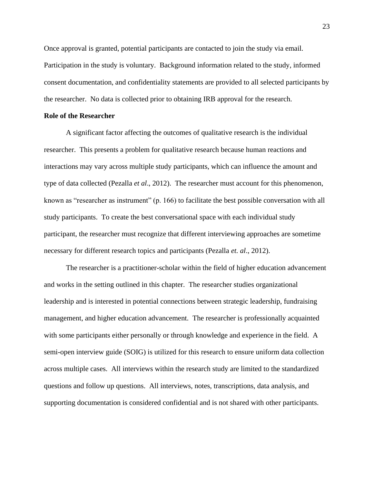Once approval is granted, potential participants are contacted to join the study via email. Participation in the study is voluntary. Background information related to the study, informed consent documentation, and confidentiality statements are provided to all selected participants by the researcher. No data is collected prior to obtaining IRB approval for the research.

## <span id="page-31-0"></span>**Role of the Researcher**

A significant factor affecting the outcomes of qualitative research is the individual researcher. This presents a problem for qualitative research because human reactions and interactions may vary across multiple study participants, which can influence the amount and type of data collected (Pezalla *et al*., 2012). The researcher must account for this phenomenon, known as "researcher as instrument" (p. 166) to facilitate the best possible conversation with all study participants. To create the best conversational space with each individual study participant, the researcher must recognize that different interviewing approaches are sometime necessary for different research topics and participants (Pezalla *et. al*., 2012).

The researcher is a practitioner-scholar within the field of higher education advancement and works in the setting outlined in this chapter. The researcher studies organizational leadership and is interested in potential connections between strategic leadership, fundraising management, and higher education advancement. The researcher is professionally acquainted with some participants either personally or through knowledge and experience in the field. A semi-open interview guide (SOIG) is utilized for this research to ensure uniform data collection across multiple cases. All interviews within the research study are limited to the standardized questions and follow up questions. All interviews, notes, transcriptions, data analysis, and supporting documentation is considered confidential and is not shared with other participants.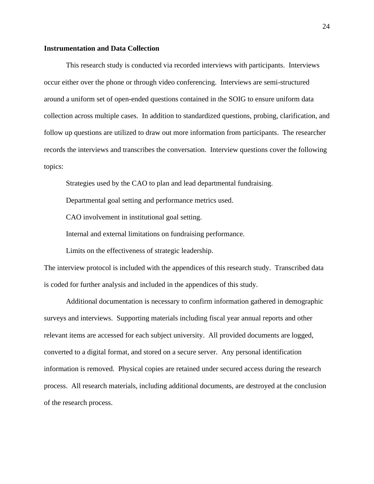## <span id="page-32-0"></span>**Instrumentation and Data Collection**

This research study is conducted via recorded interviews with participants. Interviews occur either over the phone or through video conferencing. Interviews are semi-structured around a uniform set of open-ended questions contained in the SOIG to ensure uniform data collection across multiple cases. In addition to standardized questions, probing, clarification, and follow up questions are utilized to draw out more information from participants. The researcher records the interviews and transcribes the conversation. Interview questions cover the following topics:

Strategies used by the CAO to plan and lead departmental fundraising.

Departmental goal setting and performance metrics used.

CAO involvement in institutional goal setting.

Internal and external limitations on fundraising performance.

Limits on the effectiveness of strategic leadership.

The interview protocol is included with the appendices of this research study. Transcribed data is coded for further analysis and included in the appendices of this study.

Additional documentation is necessary to confirm information gathered in demographic surveys and interviews. Supporting materials including fiscal year annual reports and other relevant items are accessed for each subject university. All provided documents are logged, converted to a digital format, and stored on a secure server. Any personal identification information is removed. Physical copies are retained under secured access during the research process. All research materials, including additional documents, are destroyed at the conclusion of the research process.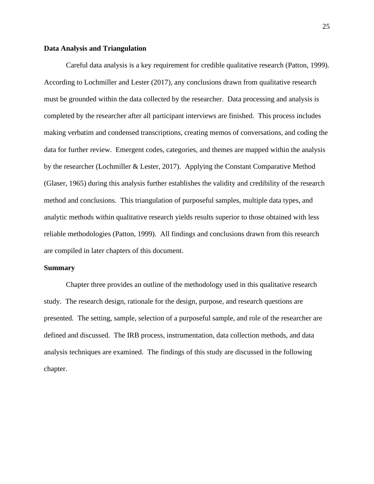#### <span id="page-33-0"></span>**Data Analysis and Triangulation**

Careful data analysis is a key requirement for credible qualitative research (Patton, 1999). According to Lochmiller and Lester (2017), any conclusions drawn from qualitative research must be grounded within the data collected by the researcher. Data processing and analysis is completed by the researcher after all participant interviews are finished. This process includes making verbatim and condensed transcriptions, creating memos of conversations, and coding the data for further review. Emergent codes, categories, and themes are mapped within the analysis by the researcher (Lochmiller & Lester, 2017). Applying the Constant Comparative Method (Glaser, 1965) during this analysis further establishes the validity and credibility of the research method and conclusions. This triangulation of purposeful samples, multiple data types, and analytic methods within qualitative research yields results superior to those obtained with less reliable methodologies (Patton, 1999). All findings and conclusions drawn from this research are compiled in later chapters of this document.

#### <span id="page-33-1"></span>**Summary**

Chapter three provides an outline of the methodology used in this qualitative research study. The research design, rationale for the design, purpose, and research questions are presented. The setting, sample, selection of a purposeful sample, and role of the researcher are defined and discussed. The IRB process, instrumentation, data collection methods, and data analysis techniques are examined. The findings of this study are discussed in the following chapter.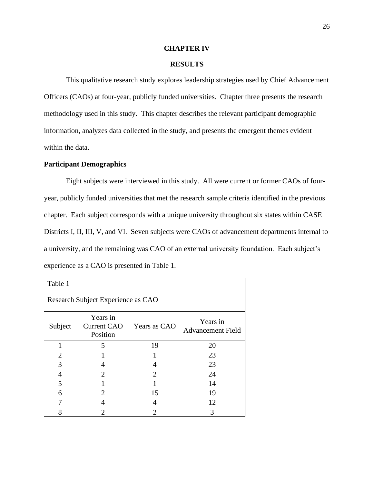#### **CHAPTER IV**

# <span id="page-34-1"></span>**RESULTS**

<span id="page-34-0"></span>This qualitative research study explores leadership strategies used by Chief Advancement Officers (CAOs) at four-year, publicly funded universities. Chapter three presents the research methodology used in this study. This chapter describes the relevant participant demographic information, analyzes data collected in the study, and presents the emergent themes evident within the data.

## <span id="page-34-2"></span>**Participant Demographics**

Eight subjects were interviewed in this study. All were current or former CAOs of fouryear, publicly funded universities that met the research sample criteria identified in the previous chapter. Each subject corresponds with a unique university throughout six states within CASE Districts I, II, III, V, and VI. Seven subjects were CAOs of advancement departments internal to a university, and the remaining was CAO of an external university foundation. Each subject's experience as a CAO is presented in Table 1.

| Table 1                            |                      |                          |                                      |  |
|------------------------------------|----------------------|--------------------------|--------------------------------------|--|
| Research Subject Experience as CAO |                      |                          |                                      |  |
| Subject                            | Years in<br>Position | Current CAO Years as CAO | Years in<br><b>Advancement Field</b> |  |
|                                    | 5                    | 19                       | 20                                   |  |
| $\overline{2}$                     |                      |                          | 23                                   |  |
| 3                                  | 4                    | 4                        | 23                                   |  |
| 4                                  | $\overline{2}$       | 2                        | 24                                   |  |
| 5                                  |                      |                          | 14                                   |  |
| 6                                  | 2                    | 15                       | 19                                   |  |
|                                    |                      | 4                        | 12                                   |  |
| 8                                  | 2                    | 2                        | 3                                    |  |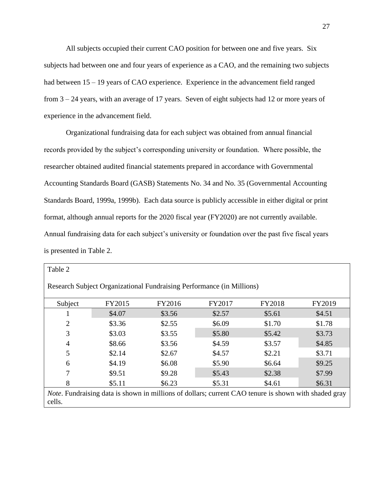All subjects occupied their current CAO position for between one and five years. Six subjects had between one and four years of experience as a CAO, and the remaining two subjects had between  $15 - 19$  years of CAO experience. Experience in the advancement field ranged from 3 – 24 years, with an average of 17 years. Seven of eight subjects had 12 or more years of experience in the advancement field.

Organizational fundraising data for each subject was obtained from annual financial records provided by the subject's corresponding university or foundation. Where possible, the researcher obtained audited financial statements prepared in accordance with Governmental Accounting Standards Board (GASB) Statements No. 34 and No. 35 (Governmental Accounting Standards Board, 1999a, 1999b). Each data source is publicly accessible in either digital or print format, although annual reports for the 2020 fiscal year (FY2020) are not currently available. Annual fundraising data for each subject's university or foundation over the past five fiscal years is presented in Table 2.

| Table 2                                                                                                                |        |        |        |        |        |
|------------------------------------------------------------------------------------------------------------------------|--------|--------|--------|--------|--------|
| Research Subject Organizational Fundraising Performance (in Millions)                                                  |        |        |        |        |        |
| Subject                                                                                                                | FY2015 | FY2016 | FY2017 | FY2018 | FY2019 |
|                                                                                                                        | \$4.07 | \$3.56 | \$2.57 | \$5.61 | \$4.51 |
| $\overline{2}$                                                                                                         | \$3.36 | \$2.55 | \$6.09 | \$1.70 | \$1.78 |
| 3                                                                                                                      | \$3.03 | \$3.55 | \$5.80 | \$5.42 | \$3.73 |
| 4                                                                                                                      | \$8.66 | \$3.56 | \$4.59 | \$3.57 | \$4.85 |
| 5                                                                                                                      | \$2.14 | \$2.67 | \$4.57 | \$2.21 | \$3.71 |
| 6                                                                                                                      | \$4.19 | \$6.08 | \$5.90 | \$6.64 | \$9.25 |
|                                                                                                                        | \$9.51 | \$9.28 | \$5.43 | \$2.38 | \$7.99 |
| 8                                                                                                                      | \$5.11 | \$6.23 | \$5.31 | \$4.61 | \$6.31 |
| <i>Note</i> . Fundraising data is shown in millions of dollars; current CAO tenure is shown with shaded gray<br>cells. |        |        |        |        |        |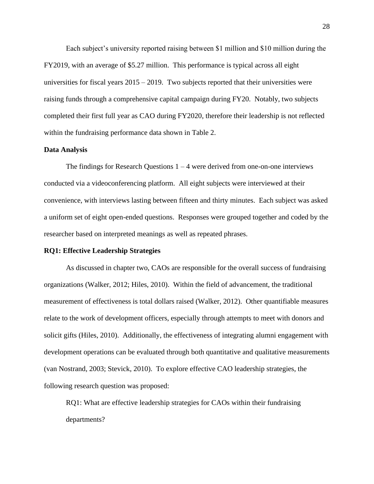Each subject's university reported raising between \$1 million and \$10 million during the FY2019, with an average of \$5.27 million. This performance is typical across all eight universities for fiscal years 2015 – 2019. Two subjects reported that their universities were raising funds through a comprehensive capital campaign during FY20. Notably, two subjects completed their first full year as CAO during FY2020, therefore their leadership is not reflected within the fundraising performance data shown in Table 2.

#### **Data Analysis**

The findings for Research Questions  $1 - 4$  were derived from one-on-one interviews conducted via a videoconferencing platform. All eight subjects were interviewed at their convenience, with interviews lasting between fifteen and thirty minutes. Each subject was asked a uniform set of eight open-ended questions. Responses were grouped together and coded by the researcher based on interpreted meanings as well as repeated phrases.

### **RQ1: Effective Leadership Strategies**

As discussed in chapter two, CAOs are responsible for the overall success of fundraising organizations (Walker, 2012; Hiles, 2010). Within the field of advancement, the traditional measurement of effectiveness is total dollars raised (Walker, 2012). Other quantifiable measures relate to the work of development officers, especially through attempts to meet with donors and solicit gifts (Hiles, 2010). Additionally, the effectiveness of integrating alumni engagement with development operations can be evaluated through both quantitative and qualitative measurements (van Nostrand, 2003; Stevick, 2010). To explore effective CAO leadership strategies, the following research question was proposed:

RQ1: What are effective leadership strategies for CAOs within their fundraising departments?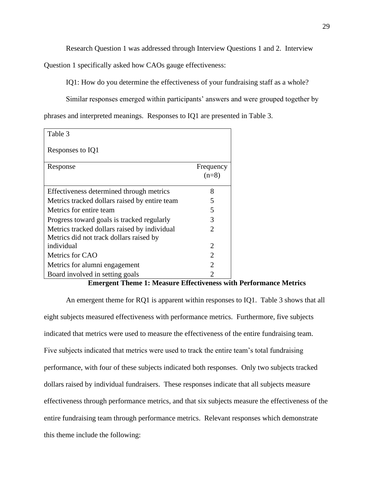Research Question 1 was addressed through Interview Questions 1 and 2. Interview

Question 1 specifically asked how CAOs gauge effectiveness:

IQ1: How do you determine the effectiveness of your fundraising staff as a whole?

Similar responses emerged within participants' answers and were grouped together by

phrases and interpreted meanings. Responses to IQ1 are presented in Table 3.

| Table 3                                       |                       |
|-----------------------------------------------|-----------------------|
| Responses to IQ1                              |                       |
| Response                                      | Frequency<br>$(n=8)$  |
| Effectiveness determined through metrics      | 8                     |
| Metrics tracked dollars raised by entire team | 5                     |
| Metrics for entire team                       | 5                     |
| Progress toward goals is tracked regularly    | 3                     |
| Metrics tracked dollars raised by individual  | $\mathcal{D}_{\cdot}$ |
| Metrics did not track dollars raised by       |                       |
| individual                                    | 2                     |
| Metrics for CAO                               | 2                     |
| Metrics for alumni engagement                 | $\mathcal{D}_{\cdot}$ |
| Board involved in setting goals               |                       |

#### **Emergent Theme 1: Measure Effectiveness with Performance Metrics**

An emergent theme for RQ1 is apparent within responses to IQ1. Table 3 shows that all eight subjects measured effectiveness with performance metrics. Furthermore, five subjects indicated that metrics were used to measure the effectiveness of the entire fundraising team. Five subjects indicated that metrics were used to track the entire team's total fundraising performance, with four of these subjects indicated both responses. Only two subjects tracked dollars raised by individual fundraisers. These responses indicate that all subjects measure effectiveness through performance metrics, and that six subjects measure the effectiveness of the entire fundraising team through performance metrics. Relevant responses which demonstrate this theme include the following: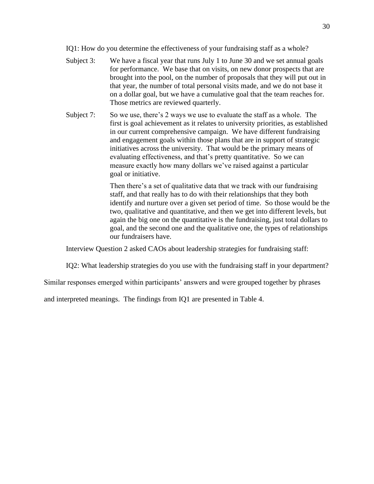IQ1: How do you determine the effectiveness of your fundraising staff as a whole?

- Subject 3: We have a fiscal year that runs July 1 to June 30 and we set annual goals for performance. We base that on visits, on new donor prospects that are brought into the pool, on the number of proposals that they will put out in that year, the number of total personal visits made, and we do not base it on a dollar goal, but we have a cumulative goal that the team reaches for. Those metrics are reviewed quarterly.
- Subject 7: So we use, there's 2 ways we use to evaluate the staff as a whole. The first is goal achievement as it relates to university priorities, as established in our current comprehensive campaign. We have different fundraising and engagement goals within those plans that are in support of strategic initiatives across the university. That would be the primary means of evaluating effectiveness, and that's pretty quantitative. So we can measure exactly how many dollars we've raised against a particular goal or initiative.

Then there's a set of qualitative data that we track with our fundraising staff, and that really has to do with their relationships that they both identify and nurture over a given set period of time. So those would be the two, qualitative and quantitative, and then we get into different levels, but again the big one on the quantitative is the fundraising, just total dollars to goal, and the second one and the qualitative one, the types of relationships our fundraisers have.

Interview Question 2 asked CAOs about leadership strategies for fundraising staff:

IQ2: What leadership strategies do you use with the fundraising staff in your department?

Similar responses emerged within participants' answers and were grouped together by phrases

and interpreted meanings. The findings from IQ1 are presented in Table 4.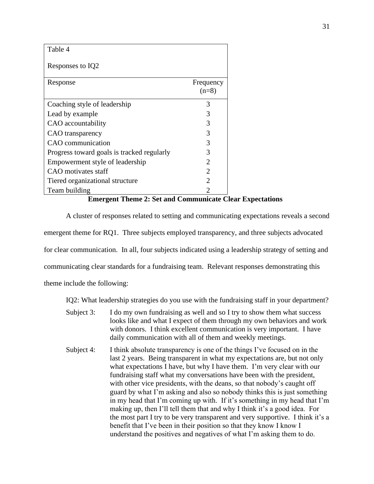| Table 4                                    |                             |
|--------------------------------------------|-----------------------------|
| Responses to IQ2                           |                             |
| Response                                   | Frequency<br>$(n=8)$        |
| Coaching style of leadership               | 3                           |
| Lead by example                            | 3                           |
| CAO accountability                         | 3                           |
| CAO transparency                           | 3                           |
| CAO communication                          | 3                           |
| Progress toward goals is tracked regularly | 3                           |
| Empowerment style of leadership            | 2                           |
| CAO motivates staff                        | $\mathcal{D}_{\mathcal{L}}$ |
| Tiered organizational structure            | $\mathfrak{D}_{\cdot}$      |
| Team building                              | 2                           |

# **Emergent Theme 2: Set and Communicate Clear Expectations**

A cluster of responses related to setting and communicating expectations reveals a second emergent theme for RQ1. Three subjects employed transparency, and three subjects advocated for clear communication. In all, four subjects indicated using a leadership strategy of setting and communicating clear standards for a fundraising team. Relevant responses demonstrating this theme include the following:

IQ2: What leadership strategies do you use with the fundraising staff in your department?

- Subject 3: I do my own fundraising as well and so I try to show them what success looks like and what I expect of them through my own behaviors and work with donors. I think excellent communication is very important. I have daily communication with all of them and weekly meetings.
- Subject 4: I think absolute transparency is one of the things I've focused on in the last 2 years. Being transparent in what my expectations are, but not only what expectations I have, but why I have them. I'm very clear with our fundraising staff what my conversations have been with the president, with other vice presidents, with the deans, so that nobody's caught off guard by what I'm asking and also so nobody thinks this is just something in my head that I'm coming up with. If it's something in my head that I'm making up, then I'll tell them that and why I think it's a good idea. For the most part I try to be very transparent and very supportive. I think it's a benefit that I've been in their position so that they know I know I understand the positives and negatives of what I'm asking them to do.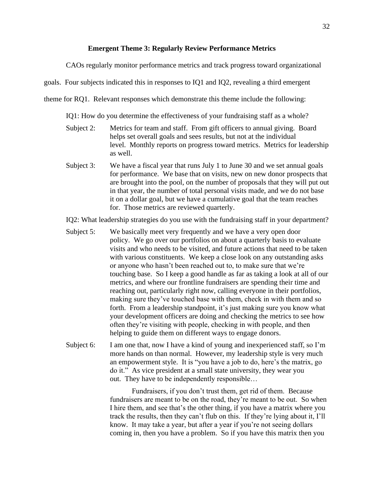### **Emergent Theme 3: Regularly Review Performance Metrics**

CAOs regularly monitor performance metrics and track progress toward organizational

goals. Four subjects indicated this in responses to IQ1 and IQ2, revealing a third emergent

theme for RQ1. Relevant responses which demonstrate this theme include the following:

IQ1: How do you determine the effectiveness of your fundraising staff as a whole?

- Subject 2: Metrics for team and staff. From gift officers to annual giving. Board helps set overall goals and sees results, but not at the individual level. Monthly reports on progress toward metrics. Metrics for leadership as well.
- Subject 3: We have a fiscal year that runs July 1 to June 30 and we set annual goals for performance. We base that on visits, new on new donor prospects that are brought into the pool, on the number of proposals that they will put out in that year, the number of total personal visits made, and we do not base it on a dollar goal, but we have a cumulative goal that the team reaches for. Those metrics are reviewed quarterly.

IQ2: What leadership strategies do you use with the fundraising staff in your department?

- Subject 5: We basically meet very frequently and we have a very open door policy. We go over our portfolios on about a quarterly basis to evaluate visits and who needs to be visited, and future actions that need to be taken with various constituents. We keep a close look on any outstanding asks or anyone who hasn't been reached out to, to make sure that we're touching base. So I keep a good handle as far as taking a look at all of our metrics, and where our frontline fundraisers are spending their time and reaching out, particularly right now, calling everyone in their portfolios, making sure they've touched base with them, check in with them and so forth. From a leadership standpoint, it's just making sure you know what your development officers are doing and checking the metrics to see how often they're visiting with people, checking in with people, and then helping to guide them on different ways to engage donors.
- Subject 6: I am one that, now I have a kind of young and inexperienced staff, so I'm more hands on than normal. However, my leadership style is very much an empowerment style. It is "you have a job to do, here's the matrix, go do it." As vice president at a small state university, they wear you out. They have to be independently responsible…

Fundraisers, if you don't trust them, get rid of them. Because fundraisers are meant to be on the road, they're meant to be out. So when I hire them, and see that's the other thing, if you have a matrix where you track the results, then they can't flub on this. If they're lying about it, I'll know. It may take a year, but after a year if you're not seeing dollars coming in, then you have a problem. So if you have this matrix then you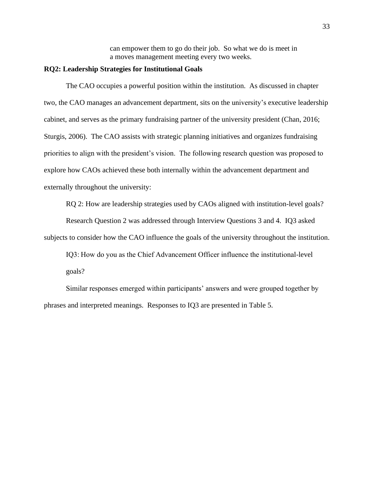can empower them to go do their job. So what we do is meet in a moves management meeting every two weeks.

# **RQ2: Leadership Strategies for Institutional Goals**

The CAO occupies a powerful position within the institution. As discussed in chapter two, the CAO manages an advancement department, sits on the university's executive leadership cabinet, and serves as the primary fundraising partner of the university president (Chan, 2016; Sturgis, 2006). The CAO assists with strategic planning initiatives and organizes fundraising priorities to align with the president's vision. The following research question was proposed to explore how CAOs achieved these both internally within the advancement department and externally throughout the university:

RQ 2: How are leadership strategies used by CAOs aligned with institution-level goals?

Research Question 2 was addressed through Interview Questions 3 and 4. IQ3 asked subjects to consider how the CAO influence the goals of the university throughout the institution.

IQ3: How do you as the Chief Advancement Officer influence the institutional-level goals?

Similar responses emerged within participants' answers and were grouped together by phrases and interpreted meanings. Responses to IQ3 are presented in Table 5.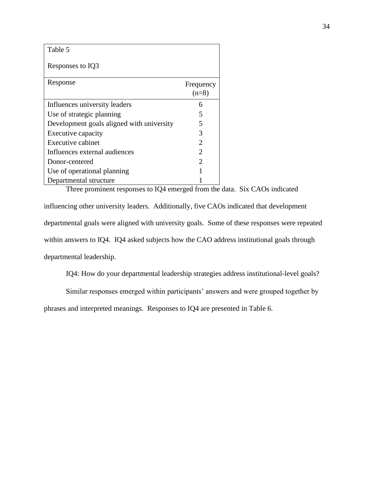| Table 5                                   |                      |
|-------------------------------------------|----------------------|
| Responses to IQ3                          |                      |
| Response                                  | Frequency<br>$(n=8)$ |
| Influences university leaders             | 6                    |
| Use of strategic planning                 | 5                    |
| Development goals aligned with university | 5                    |
| Executive capacity                        | 3                    |
| Executive cabinet                         | 2                    |
| Influences external audiences             | 2                    |
| Donor-centered                            | 2                    |
| Use of operational planning               |                      |
| Departmental structure                    |                      |

Three prominent responses to IQ4 emerged from the data. Six CAOs indicated

influencing other university leaders. Additionally, five CAOs indicated that development departmental goals were aligned with university goals. Some of these responses were repeated within answers to IQ4. IQ4 asked subjects how the CAO address institutional goals through departmental leadership.

IQ4: How do your departmental leadership strategies address institutional-level goals?

Similar responses emerged within participants' answers and were grouped together by

phrases and interpreted meanings. Responses to IQ4 are presented in Table 6.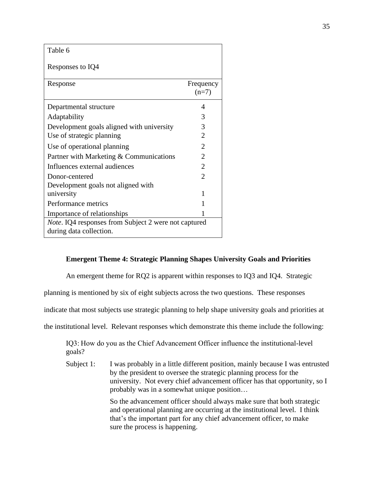| Table 6                                                                                 |                             |
|-----------------------------------------------------------------------------------------|-----------------------------|
| Responses to IQ4                                                                        |                             |
| Response                                                                                | Frequency<br>$(n=7)$        |
| Departmental structure                                                                  | 4                           |
| Adaptability                                                                            | 3                           |
| Development goals aligned with university                                               | 3                           |
| Use of strategic planning                                                               | 2                           |
| Use of operational planning                                                             | $\mathcal{D}_{\mathcal{L}}$ |
| Partner with Marketing & Communications                                                 | 2                           |
| Influences external audiences                                                           | 2                           |
| Donor-centered                                                                          | $\mathcal{D}_{\cdot}$       |
| Development goals not aligned with                                                      |                             |
| university                                                                              | 1                           |
| Performance metrics                                                                     |                             |
| Importance of relationships                                                             |                             |
| <i>Note</i> . IQ4 responses from Subject 2 were not captured<br>during data collection. |                             |

# **Emergent Theme 4: Strategic Planning Shapes University Goals and Priorities**

An emergent theme for RQ2 is apparent within responses to IQ3 and IQ4. Strategic

planning is mentioned by six of eight subjects across the two questions. These responses

indicate that most subjects use strategic planning to help shape university goals and priorities at

the institutional level. Relevant responses which demonstrate this theme include the following:

IQ3: How do you as the Chief Advancement Officer influence the institutional-level goals?

Subject 1: I was probably in a little different position, mainly because I was entrusted by the president to oversee the strategic planning process for the university. Not every chief advancement officer has that opportunity, so I probably was in a somewhat unique position…

> So the advancement officer should always make sure that both strategic and operational planning are occurring at the institutional level. I think that's the important part for any chief advancement officer, to make sure the process is happening.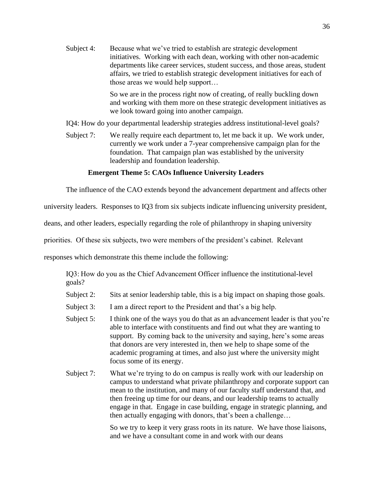Subject 4: Because what we've tried to establish are strategic development initiatives. Working with each dean, working with other non-academic departments like career services, student success, and those areas, student affairs, we tried to establish strategic development initiatives for each of those areas we would help support…

> So we are in the process right now of creating, of really buckling down and working with them more on these strategic development initiatives as we look toward going into another campaign.

IQ4: How do your departmental leadership strategies address institutional-level goals?

Subject 7: We really require each department to, let me back it up. We work under, currently we work under a 7-year comprehensive campaign plan for the foundation. That campaign plan was established by the university leadership and foundation leadership.

### **Emergent Theme 5: CAOs Influence University Leaders**

The influence of the CAO extends beyond the advancement department and affects other

university leaders. Responses to IQ3 from six subjects indicate influencing university president,

deans, and other leaders, especially regarding the role of philanthropy in shaping university

priorities. Of these six subjects, two were members of the president's cabinet. Relevant

responses which demonstrate this theme include the following:

IQ3: How do you as the Chief Advancement Officer influence the institutional-level goals?

- Subject 2: Sits at senior leadership table, this is a big impact on shaping those goals.
- Subject 3: I am a direct report to the President and that's a big help.
- Subject 5: I think one of the ways you do that as an advancement leader is that you're able to interface with constituents and find out what they are wanting to support. By coming back to the university and saying, here's some areas that donors are very interested in, then we help to shape some of the academic programing at times, and also just where the university might focus some of its energy.
- Subject 7: What we're trying to do on campus is really work with our leadership on campus to understand what private philanthropy and corporate support can mean to the institution, and many of our faculty staff understand that, and then freeing up time for our deans, and our leadership teams to actually engage in that. Engage in case building, engage in strategic planning, and then actually engaging with donors, that's been a challenge…

So we try to keep it very grass roots in its nature. We have those liaisons, and we have a consultant come in and work with our deans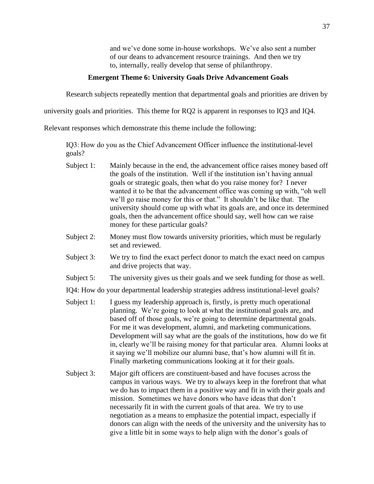and we've done some in-house workshops. We've also sent a number of our deans to advancement resource trainings. And then we try to, internally, really develop that sense of philanthropy.

### **Emergent Theme 6: University Goals Drive Advancement Goals**

Research subjects repeatedly mention that departmental goals and priorities are driven by

university goals and priorities. This theme for RQ2 is apparent in responses to IQ3 and IQ4.

Relevant responses which demonstrate this theme include the following:

IQ3: How do you as the Chief Advancement Officer influence the institutional-level goals?

- Subject 1: Mainly because in the end, the advancement office raises money based off the goals of the institution. Well if the institution isn't having annual goals or strategic goals, then what do you raise money for? I never wanted it to be that the advancement office was coming up with, "oh well we'll go raise money for this or that." It shouldn't be like that. The university should come up with what its goals are, and once its determined goals, then the advancement office should say, well how can we raise money for these particular goals?
- Subject 2: Money must flow towards university priorities, which must be regularly set and reviewed.
- Subject 3: We try to find the exact perfect donor to match the exact need on campus and drive projects that way.
- Subject 5: The university gives us their goals and we seek funding for those as well.

IQ4: How do your departmental leadership strategies address institutional-level goals?

- Subject 1: I guess my leadership approach is, firstly, is pretty much operational planning. We're going to look at what the institutional goals are, and based off of those goals, we're going to determine departmental goals. For me it was development, alumni, and marketing communications. Development will say what are the goals of the institutions, how do we fit in, clearly we'll be raising money for that particular area. Alumni looks at it saying we'll mobilize our alumni base, that's how alumni will fit in. Finally marketing communications looking at it for their goals.
- Subject 3: Major gift officers are constituent-based and have focuses across the campus in various ways. We try to always keep in the forefront that what we do has to impact them in a positive way and fit in with their goals and mission. Sometimes we have donors who have ideas that don't necessarily fit in with the current goals of that area. We try to use negotiation as a means to emphasize the potential impact, especially if donors can align with the needs of the university and the university has to give a little bit in some ways to help align with the donor's goals of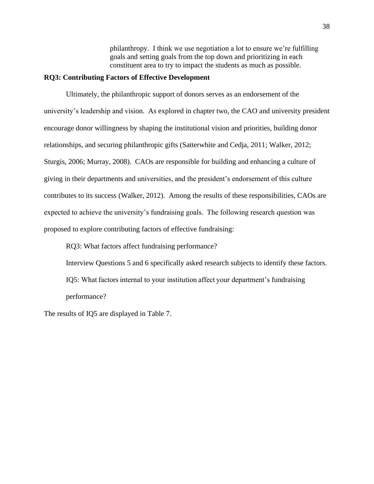philanthropy. I think we use negotiation a lot to ensure we're fulfilling goals and setting goals from the top down and prioritizing in each constituent area to try to impact the students as much as possible.

# **RQ3: Contributing Factors of Effective Development**

Ultimately, the philanthropic support of donors serves as an endorsement of the university's leadership and vision. As explored in chapter two, the CAO and university president encourage donor willingness by shaping the institutional vision and priorities, building donor relationships, and securing philanthropic gifts (Satterwhite and Cedja, 2011; Walker, 2012; Sturgis, 2006; Murray, 2008). CAOs are responsible for building and enhancing a culture of giving in their departments and universities, and the president's endorsement of this culture contributes to its success (Walker, 2012). Among the results of these responsibilities, CAOs are expected to achieve the university's fundraising goals. The following research question was proposed to explore contributing factors of effective fundraising:

RQ3: What factors affect fundraising performance?

Interview Questions 5 and 6 specifically asked research subjects to identify these factors.

IQ5: What factors internal to your institution affect your department's fundraising performance?

The results of IQ5 are displayed in Table 7.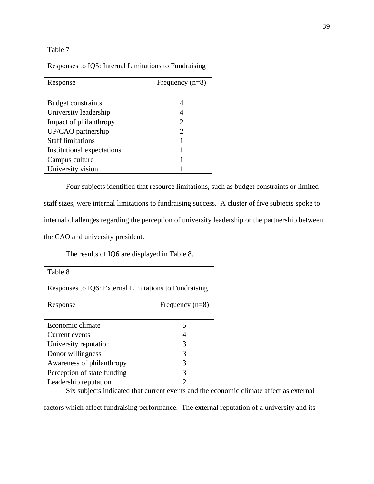Table 7

| Responses to IQ5: Internal Limitations to Fundraising |                             |
|-------------------------------------------------------|-----------------------------|
| Response                                              | Frequency $(n=8)$           |
|                                                       |                             |
| <b>Budget constraints</b>                             | 4                           |
| University leadership                                 |                             |
| Impact of philanthropy                                | 2                           |
| UP/CAO partnership                                    | $\mathcal{D}_{\mathcal{L}}$ |
| <b>Staff limitations</b>                              | 1                           |
| Institutional expectations                            | 1                           |
| Campus culture                                        | 1                           |
| University vision                                     |                             |

Four subjects identified that resource limitations, such as budget constraints or limited staff sizes, were internal limitations to fundraising success. A cluster of five subjects spoke to internal challenges regarding the perception of university leadership or the partnership between the CAO and university president.

The results of IQ6 are displayed in Table 8.

| Table 8                                               |                   |
|-------------------------------------------------------|-------------------|
| Responses to IQ6: External Limitations to Fundraising |                   |
| Response                                              | Frequency $(n=8)$ |
|                                                       |                   |
| Economic climate                                      | 5                 |
| Current events                                        |                   |
| University reputation                                 | 3                 |
| Donor willingness                                     | 3                 |
| Awareness of philanthropy                             | 3                 |
| Perception of state funding                           | 3                 |
| Leadership reputation                                 | 2                 |

Six subjects indicated that current events and the economic climate affect as external

factors which affect fundraising performance. The external reputation of a university and its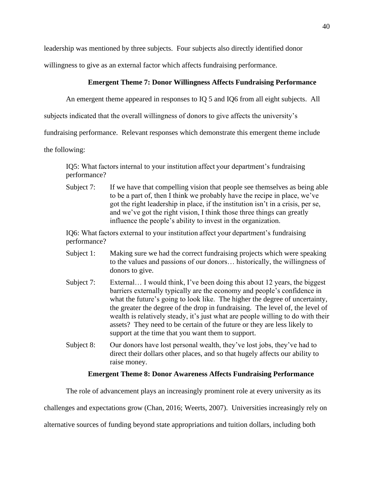leadership was mentioned by three subjects. Four subjects also directly identified donor

willingness to give as an external factor which affects fundraising performance.

# **Emergent Theme 7: Donor Willingness Affects Fundraising Performance**

An emergent theme appeared in responses to IQ 5 and IQ6 from all eight subjects. All

subjects indicated that the overall willingness of donors to give affects the university's

fundraising performance. Relevant responses which demonstrate this emergent theme include

the following:

IQ5: What factors internal to your institution affect your department's fundraising performance?

Subject 7: If we have that compelling vision that people see themselves as being able to be a part of, then I think we probably have the recipe in place, we've got the right leadership in place, if the institution isn't in a crisis, per se, and we've got the right vision, I think those three things can greatly influence the people's ability to invest in the organization.

IQ6: What factors external to your institution affect your department's fundraising performance?

- Subject 1: Making sure we had the correct fundraising projects which were speaking to the values and passions of our donors… historically, the willingness of donors to give.
- Subject 7: External... I would think, I've been doing this about 12 years, the biggest barriers externally typically are the economy and people's confidence in what the future's going to look like. The higher the degree of uncertainty, the greater the degree of the drop in fundraising. The level of, the level of wealth is relatively steady, it's just what are people willing to do with their assets? They need to be certain of the future or they are less likely to support at the time that you want them to support.
- Subject 8: Our donors have lost personal wealth, they've lost jobs, they've had to direct their dollars other places, and so that hugely affects our ability to raise money.

### **Emergent Theme 8: Donor Awareness Affects Fundraising Performance**

The role of advancement plays an increasingly prominent role at every university as its

challenges and expectations grow (Chan, 2016; Weerts, 2007). Universities increasingly rely on

alternative sources of funding beyond state appropriations and tuition dollars, including both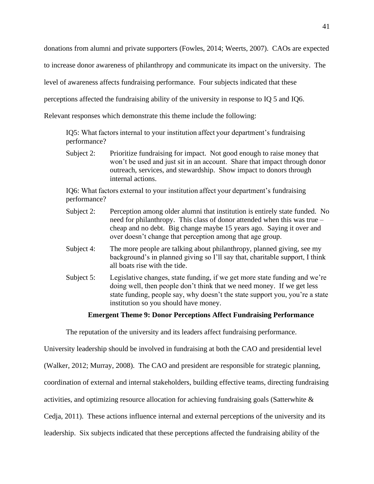donations from alumni and private supporters (Fowles, 2014; Weerts, 2007). CAOs are expected

to increase donor awareness of philanthropy and communicate its impact on the university. The

level of awareness affects fundraising performance. Four subjects indicated that these

perceptions affected the fundraising ability of the university in response to IQ 5 and IQ6.

Relevant responses which demonstrate this theme include the following:

IQ5: What factors internal to your institution affect your department's fundraising performance?

Subject 2: Prioritize fundraising for impact. Not good enough to raise money that won't be used and just sit in an account. Share that impact through donor outreach, services, and stewardship. Show impact to donors through internal actions.

IQ6: What factors external to your institution affect your department's fundraising performance?

- Subject 2: Perception among older alumni that institution is entirely state funded. No need for philanthropy. This class of donor attended when this was true – cheap and no debt. Big change maybe 15 years ago. Saying it over and over doesn't change that perception among that age group.
- Subject 4: The more people are talking about philanthropy, planned giving, see my background's in planned giving so I'll say that, charitable support, I think all boats rise with the tide.
- Subject 5: Legislative changes, state funding, if we get more state funding and we're doing well, then people don't think that we need money. If we get less state funding, people say, why doesn't the state support you, you're a state institution so you should have money.

### **Emergent Theme 9: Donor Perceptions Affect Fundraising Performance**

The reputation of the university and its leaders affect fundraising performance.

University leadership should be involved in fundraising at both the CAO and presidential level

(Walker, 2012; Murray, 2008). The CAO and president are responsible for strategic planning,

coordination of external and internal stakeholders, building effective teams, directing fundraising

activities, and optimizing resource allocation for achieving fundraising goals (Satterwhite &

Cedja, 2011). These actions influence internal and external perceptions of the university and its

leadership. Six subjects indicated that these perceptions affected the fundraising ability of the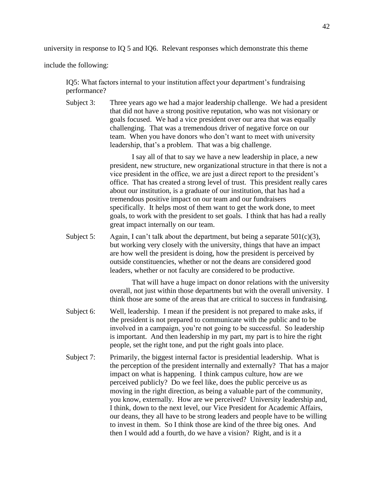university in response to IQ 5 and IQ6. Relevant responses which demonstrate this theme

include the following:

IQ5: What factors internal to your institution affect your department's fundraising performance?

Subject 3: Three years ago we had a major leadership challenge. We had a president that did not have a strong positive reputation, who was not visionary or goals focused. We had a vice president over our area that was equally challenging. That was a tremendous driver of negative force on our team. When you have donors who don't want to meet with university leadership, that's a problem. That was a big challenge.

> I say all of that to say we have a new leadership in place, a new president, new structure, new organizational structure in that there is not a vice president in the office, we are just a direct report to the president's office. That has created a strong level of trust. This president really cares about our institution, is a graduate of our institution, that has had a tremendous positive impact on our team and our fundraisers specifically. It helps most of them want to get the work done, to meet goals, to work with the president to set goals. I think that has had a really great impact internally on our team.

Subject 5: Again, I can't talk about the department, but being a separate  $501(c)(3)$ , but working very closely with the university, things that have an impact are how well the president is doing, how the president is perceived by outside constituencies, whether or not the deans are considered good leaders, whether or not faculty are considered to be productive.

> That will have a huge impact on donor relations with the university overall, not just within those departments but with the overall university. I think those are some of the areas that are critical to success in fundraising.

- Subject 6: Well, leadership. I mean if the president is not prepared to make asks, if the president is not prepared to communicate with the public and to be involved in a campaign, you're not going to be successful. So leadership is important. And then leadership in my part, my part is to hire the right people, set the right tone, and put the right goals into place.
- Subject 7: Primarily, the biggest internal factor is presidential leadership. What is the perception of the president internally and externally? That has a major impact on what is happening. I think campus culture, how are we perceived publicly? Do we feel like, does the public perceive us as moving in the right direction, as being a valuable part of the community, you know, externally. How are we perceived? University leadership and, I think, down to the next level, our Vice President for Academic Affairs, our deans, they all have to be strong leaders and people have to be willing to invest in them. So I think those are kind of the three big ones. And then I would add a fourth, do we have a vision? Right, and is it a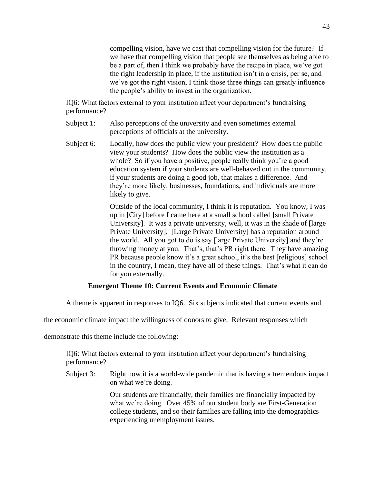compelling vision, have we cast that compelling vision for the future? If we have that compelling vision that people see themselves as being able to be a part of, then I think we probably have the recipe in place, we've got the right leadership in place, if the institution isn't in a crisis, per se, and we've got the right vision, I think those three things can greatly influence the people's ability to invest in the organization.

IQ6: What factors external to your institution affect your department's fundraising performance?

- Subject 1: Also perceptions of the university and even sometimes external perceptions of officials at the university.
- Subject 6: Locally, how does the public view your president? How does the public view your students? How does the public view the institution as a whole? So if you have a positive, people really think you're a good education system if your students are well-behaved out in the community, if your students are doing a good job, that makes a difference. And they're more likely, businesses, foundations, and individuals are more likely to give.

Outside of the local community, I think it is reputation. You know, I was up in [City] before I came here at a small school called [small Private University]. It was a private university, well, it was in the shade of [large Private University]. [Large Private University] has a reputation around the world. All you got to do is say [large Private University] and they're throwing money at you. That's, that's PR right there. They have amazing PR because people know it's a great school, it's the best [religious] school in the country, I mean, they have all of these things. That's what it can do for you externally.

# **Emergent Theme 10: Current Events and Economic Climate**

A theme is apparent in responses to IQ6. Six subjects indicated that current events and

the economic climate impact the willingness of donors to give. Relevant responses which

demonstrate this theme include the following:

IQ6: What factors external to your institution affect your department's fundraising performance?

Subject 3: Right now it is a world-wide pandemic that is having a tremendous impact on what we're doing.

> Our students are financially, their families are financially impacted by what we're doing. Over 45% of our student body are First-Generation college students, and so their families are falling into the demographics experiencing unemployment issues.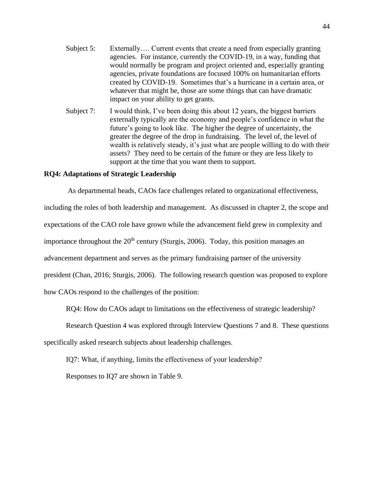- Subject 5: Externally…. Current events that create a need from especially granting agencies. For instance, currently the COVID-19, in a way, funding that would normally be program and project oriented and, especially granting agencies, private foundations are focused 100% on humanitarian efforts created by COVID-19. Sometimes that's a hurricane in a certain area, or whatever that might be, those are some things that can have dramatic impact on your ability to get grants.
- Subject 7: I would think, I've been doing this about 12 years, the biggest barriers externally typically are the economy and people's confidence in what the future's going to look like. The higher the degree of uncertainty, the greater the degree of the drop in fundraising. The level of, the level of wealth is relatively steady, it's just what are people willing to do with their assets? They need to be certain of the future or they are less likely to support at the time that you want them to support.

# **RQ4: Adaptations of Strategic Leadership**

As departmental heads, CAOs face challenges related to organizational effectiveness,

including the roles of both leadership and management. As discussed in chapter 2, the scope and expectations of the CAO role have grown while the advancement field grew in complexity and importance throughout the  $20<sup>th</sup>$  century (Sturgis, 2006). Today, this position manages an advancement department and serves as the primary fundraising partner of the university president (Chan, 2016; Sturgis, 2006). The following research question was proposed to explore how CAOs respond to the challenges of the position:

RQ4: How do CAOs adapt to limitations on the effectiveness of strategic leadership?

Research Question 4 was explored through Interview Questions 7 and 8. These questions

specifically asked research subjects about leadership challenges.

IQ7: What, if anything, limits the effectiveness of your leadership?

Responses to IQ7 are shown in Table 9.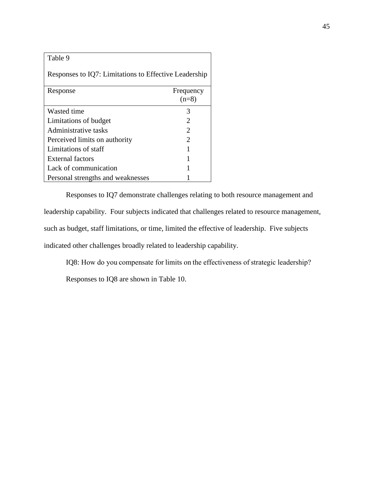| Fable |  |
|-------|--|
|-------|--|

Responses to IQ7: Limitations to Effective Leadership

| Response                          | Frequency<br>$(n=8)$        |
|-----------------------------------|-----------------------------|
| Wasted time                       | 3                           |
| Limitations of budget             | $\mathcal{D}_{\mathcal{L}}$ |
| Administrative tasks              | $\mathcal{D}_{\mathcal{L}}$ |
| Perceived limits on authority     | $\mathcal{D}_{\mathcal{L}}$ |
| Limitations of staff              |                             |
| External factors                  |                             |
| Lack of communication             |                             |
| Personal strengths and weaknesses |                             |

Responses to IQ7 demonstrate challenges relating to both resource management and leadership capability. Four subjects indicated that challenges related to resource management, such as budget, staff limitations, or time, limited the effective of leadership. Five subjects indicated other challenges broadly related to leadership capability.

IQ8: How do you compensate for limits on the effectiveness of strategic leadership?

Responses to IQ8 are shown in Table 10.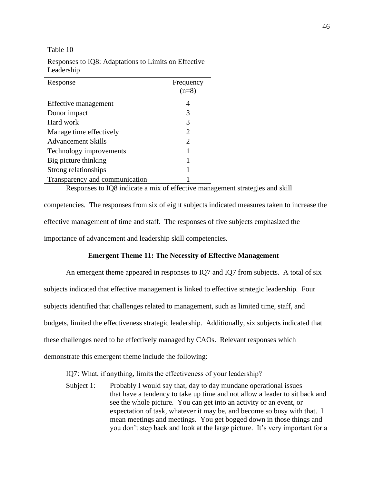| Table 10                                                           |                             |
|--------------------------------------------------------------------|-----------------------------|
| Responses to IQ8: Adaptations to Limits on Effective<br>Leadership |                             |
| Response                                                           | Frequency<br>$(n=8)$        |
| Effective management                                               | 4                           |
| Donor impact                                                       | 3                           |
| Hard work                                                          | 3                           |
| Manage time effectively                                            | $\mathfrak{D}$              |
| <b>Advancement Skills</b>                                          | $\mathcal{D}_{\mathcal{A}}$ |
| Technology improvements                                            | 1                           |
| Big picture thinking                                               |                             |
| Strong relationships                                               |                             |
| Transparency and communication                                     |                             |

Responses to IQ8 indicate a mix of effective management strategies and skill

competencies. The responses from six of eight subjects indicated measures taken to increase the effective management of time and staff. The responses of five subjects emphasized the importance of advancement and leadership skill competencies.

# **Emergent Theme 11: The Necessity of Effective Management**

An emergent theme appeared in responses to IQ7 and IQ7 from subjects. A total of six subjects indicated that effective management is linked to effective strategic leadership. Four subjects identified that challenges related to management, such as limited time, staff, and budgets, limited the effectiveness strategic leadership. Additionally, six subjects indicated that these challenges need to be effectively managed by CAOs. Relevant responses which demonstrate this emergent theme include the following:

IQ7: What, if anything, limits the effectiveness of your leadership?

Subject 1: Probably I would say that, day to day mundane operational issues that have a tendency to take up time and not allow a leader to sit back and see the whole picture. You can get into an activity or an event, or expectation of task, whatever it may be, and become so busy with that. I mean meetings and meetings. You get bogged down in those things and you don't step back and look at the large picture. It's very important for a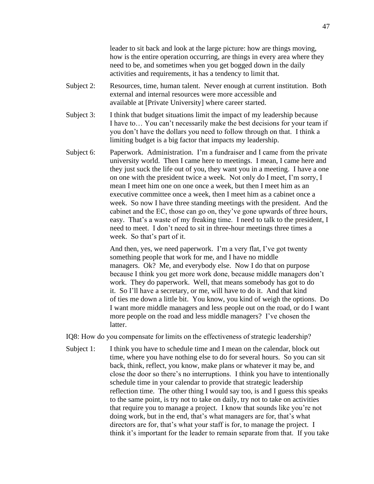leader to sit back and look at the large picture: how are things moving, how is the entire operation occurring, are things in every area where they need to be, and sometimes when you get bogged down in the daily activities and requirements, it has a tendency to limit that.

- Subject 2: Resources, time, human talent. Never enough at current institution. Both external and internal resources were more accessible and available at [Private University] where career started.
- Subject 3: I think that budget situations limit the impact of my leadership because I have to… You can't necessarily make the best decisions for your team if you don't have the dollars you need to follow through on that. I think a limiting budget is a big factor that impacts my leadership.
- Subject 6: Paperwork. Administration. I'm a fundraiser and I came from the private university world. Then I came here to meetings. I mean, I came here and they just suck the life out of you, they want you in a meeting. I have a one on one with the president twice a week. Not only do I meet, I'm sorry, I mean I meet him one on one once a week, but then I meet him as an executive committee once a week, then I meet him as a cabinet once a week. So now I have three standing meetings with the president. And the cabinet and the EC, those can go on, they've gone upwards of three hours, easy. That's a waste of my freaking time. I need to talk to the president, I need to meet. I don't need to sit in three-hour meetings three times a week. So that's part of it.

And then, yes, we need paperwork. I'm a very flat, I've got twenty something people that work for me, and I have no middle managers. Ok? Me, and everybody else. Now I do that on purpose because I think you get more work done, because middle managers don't work. They do paperwork. Well, that means somebody has got to do it. So I'll have a secretary, or me, will have to do it. And that kind of ties me down a little bit. You know, you kind of weigh the options. Do I want more middle managers and less people out on the road, or do I want more people on the road and less middle managers? I've chosen the latter.

IQ8: How do you compensate for limits on the effectiveness of strategic leadership?

Subject 1: I think you have to schedule time and I mean on the calendar, block out time, where you have nothing else to do for several hours. So you can sit back, think, reflect, you know, make plans or whatever it may be, and close the door so there's no interruptions. I think you have to intentionally schedule time in your calendar to provide that strategic leadership reflection time. The other thing I would say too, is and I guess this speaks to the same point, is try not to take on daily, try not to take on activities that require you to manage a project. I know that sounds like you're not doing work, but in the end, that's what managers are for, that's what directors are for, that's what your staff is for, to manage the project. I think it's important for the leader to remain separate from that. If you take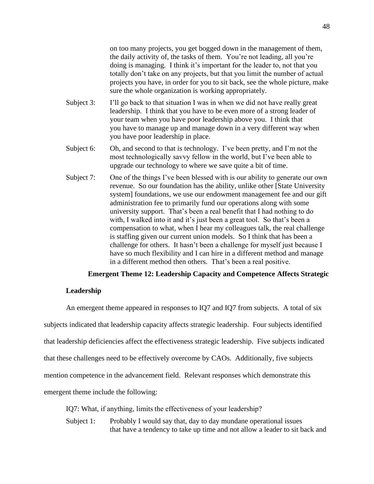on too many projects, you get bogged down in the management of them, the daily activity of, the tasks of them. You're not leading, all you're doing is managing. I think it's important for the leader to, not that you totally don't take on any projects, but that you limit the number of actual projects you have, in order for you to sit back, see the whole picture, make sure the whole organization is working appropriately.

- Subject 3: I'll go back to that situation I was in when we did not have really great leadership. I think that you have to be even more of a strong leader of your team when you have poor leadership above you. I think that you have to manage up and manage down in a very different way when you have poor leadership in place.
- Subject 6: Oh, and second to that is technology. I've been pretty, and I'm not the most technologically savvy fellow in the world, but I've been able to upgrade our technology to where we save quite a bit of time.
- Subject 7: One of the things I've been blessed with is our ability to generate our own revenue. So our foundation has the ability, unlike other [State University system] foundations, we use our endowment management fee and our gift administration fee to primarily fund our operations along with some university support. That's been a real benefit that I had nothing to do with, I walked into it and it's just been a great tool. So that's been a compensation to what, when I hear my colleagues talk, the real challenge is staffing given our current union models. So I think that has been a challenge for others. It hasn't been a challenge for myself just because I have so much flexibility and I can hire in a different method and manage in a different method then others. That's been a real positive.

#### **Emergent Theme 12: Leadership Capacity and Competence Affects Strategic**

### **Leadership**

An emergent theme appeared in responses to IQ7 and IQ7 from subjects. A total of six subjects indicated that leadership capacity affects strategic leadership. Four subjects identified that leadership deficiencies affect the effectiveness strategic leadership. Five subjects indicated that these challenges need to be effectively overcome by CAOs. Additionally, five subjects mention competence in the advancement field. Relevant responses which demonstrate this emergent theme include the following:

IQ7: What, if anything, limits the effectiveness of your leadership?

Subject 1: Probably I would say that, day to day mundane operational issues that have a tendency to take up time and not allow a leader to sit back and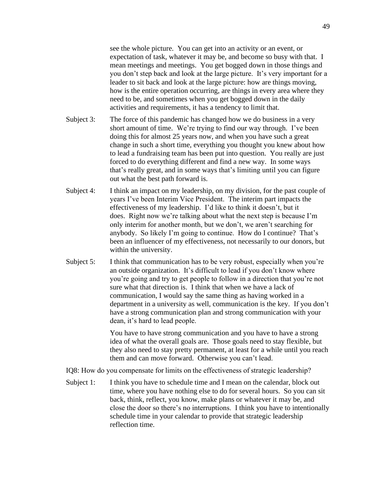see the whole picture. You can get into an activity or an event, or expectation of task, whatever it may be, and become so busy with that. I mean meetings and meetings. You get bogged down in those things and you don't step back and look at the large picture. It's very important for a leader to sit back and look at the large picture: how are things moving, how is the entire operation occurring, are things in every area where they need to be, and sometimes when you get bogged down in the daily activities and requirements, it has a tendency to limit that.

- Subject 3: The force of this pandemic has changed how we do business in a very short amount of time. We're trying to find our way through. I've been doing this for almost 25 years now, and when you have such a great change in such a short time, everything you thought you knew about how to lead a fundraising team has been put into question. You really are just forced to do everything different and find a new way. In some ways that's really great, and in some ways that's limiting until you can figure out what the best path forward is.
- Subject 4: I think an impact on my leadership, on my division, for the past couple of years I've been Interim Vice President. The interim part impacts the effectiveness of my leadership. I'd like to think it doesn't, but it does. Right now we're talking about what the next step is because I'm only interim for another month, but we don't, we aren't searching for anybody. So likely I'm going to continue. How do I continue? That's been an influencer of my effectiveness, not necessarily to our donors, but within the university.
- Subject 5: I think that communication has to be very robust, especially when you're an outside organization. It's difficult to lead if you don't know where you're going and try to get people to follow in a direction that you're not sure what that direction is. I think that when we have a lack of communication, I would say the same thing as having worked in a department in a university as well, communication is the key. If you don't have a strong communication plan and strong communication with your dean, it's hard to lead people.

You have to have strong communication and you have to have a strong idea of what the overall goals are. Those goals need to stay flexible, but they also need to stay pretty permanent, at least for a while until you reach them and can move forward. Otherwise you can't lead.

IQ8: How do you compensate for limits on the effectiveness of strategic leadership? 

Subject 1: I think you have to schedule time and I mean on the calendar, block out time, where you have nothing else to do for several hours. So you can sit back, think, reflect, you know, make plans or whatever it may be, and close the door so there's no interruptions. I think you have to intentionally schedule time in your calendar to provide that strategic leadership reflection time.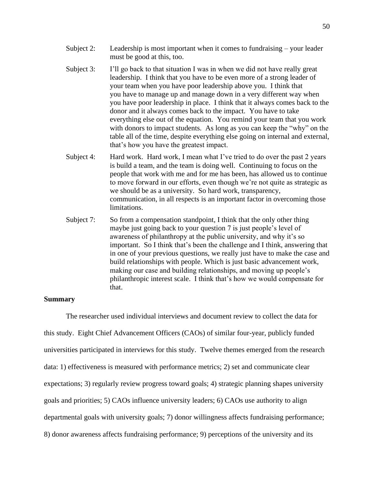- Subject 2: Leadership is most important when it comes to fundraising your leader must be good at this, too.
- Subject 3: I'll go back to that situation I was in when we did not have really great leadership. I think that you have to be even more of a strong leader of your team when you have poor leadership above you. I think that you have to manage up and manage down in a very different way when you have poor leadership in place. I think that it always comes back to the donor and it always comes back to the impact. You have to take everything else out of the equation. You remind your team that you work with donors to impact students. As long as you can keep the "why" on the table all of the time, despite everything else going on internal and external, that's how you have the greatest impact.
- Subject 4: Hard work. Hard work, I mean what I've tried to do over the past 2 years is build a team, and the team is doing well. Continuing to focus on the people that work with me and for me has been, has allowed us to continue to move forward in our efforts, even though we're not quite as strategic as we should be as a university. So hard work, transparency, communication, in all respects is an important factor in overcoming those limitations.
- Subject 7: So from a compensation standpoint, I think that the only other thing maybe just going back to your question 7 is just people's level of awareness of philanthropy at the public university, and why it's so important. So I think that's been the challenge and I think, answering that in one of your previous questions, we really just have to make the case and build relationships with people. Which is just basic advancement work, making our case and building relationships, and moving up people's philanthropic interest scale. I think that's how we would compensate for that.

# **Summary**

The researcher used individual interviews and document review to collect the data for this study. Eight Chief Advancement Officers (CAOs) of similar four-year, publicly funded universities participated in interviews for this study. Twelve themes emerged from the research data: 1) effectiveness is measured with performance metrics; 2) set and communicate clear expectations; 3) regularly review progress toward goals; 4) strategic planning shapes university goals and priorities; 5) CAOs influence university leaders; 6) CAOs use authority to align departmental goals with university goals; 7) donor willingness affects fundraising performance; 8) donor awareness affects fundraising performance; 9) perceptions of the university and its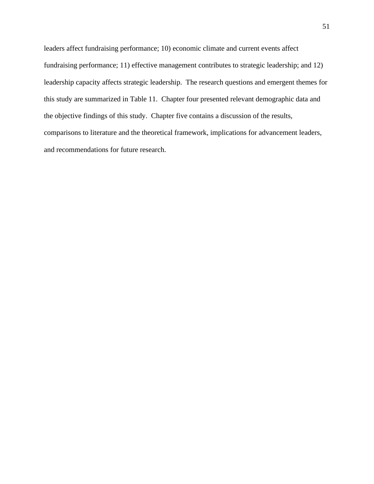leaders affect fundraising performance; 10) economic climate and current events affect fundraising performance; 11) effective management contributes to strategic leadership; and 12) leadership capacity affects strategic leadership. The research questions and emergent themes for this study are summarized in Table 11. Chapter four presented relevant demographic data and the objective findings of this study. Chapter five contains a discussion of the results, comparisons to literature and the theoretical framework, implications for advancement leaders, and recommendations for future research.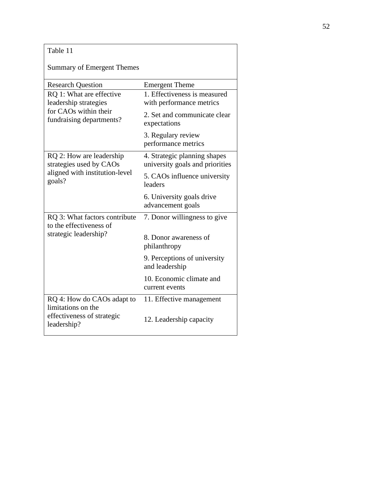| Table 11                                                                                               |                                                                 |
|--------------------------------------------------------------------------------------------------------|-----------------------------------------------------------------|
| <b>Summary of Emergent Themes</b>                                                                      |                                                                 |
| <b>Research Question</b>                                                                               | <b>Emergent Theme</b>                                           |
| RQ 1: What are effective<br>leadership strategies<br>for CAOs within their<br>fundraising departments? | 1. Effectiveness is measured<br>with performance metrics        |
|                                                                                                        | 2. Set and communicate clear<br>expectations                    |
|                                                                                                        | 3. Regulary review<br>performance metrics                       |
| RQ 2: How are leadership<br>strategies used by CAOs                                                    | 4. Strategic planning shapes<br>university goals and priorities |
| aligned with institution-level<br>goals?                                                               | 5. CAOs influence university<br>leaders                         |
|                                                                                                        | 6. University goals drive<br>advancement goals                  |
| RQ 3: What factors contribute<br>to the effectiveness of                                               | 7. Donor willingness to give                                    |
| strategic leadership?                                                                                  | 8. Donor awareness of<br>philanthropy                           |
|                                                                                                        | 9. Perceptions of university<br>and leadership                  |
|                                                                                                        | 10. Economic climate and<br>current events                      |
| RQ 4: How do CAOs adapt to                                                                             | 11. Effective management                                        |
| limitations on the<br>effectiveness of strategic<br>leadership?                                        | 12. Leadership capacity                                         |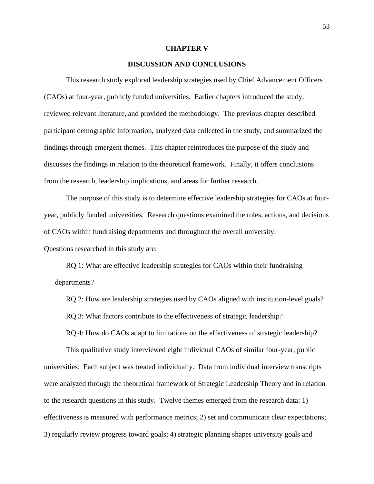#### **CHAPTER V**

# **DISCUSSION AND CONCLUSIONS**

This research study explored leadership strategies used by Chief Advancement Officers (CAOs) at four-year, publicly funded universities. Earlier chapters introduced the study, reviewed relevant literature, and provided the methodology. The previous chapter described participant demographic information, analyzed data collected in the study, and summarized the findings through emergent themes. This chapter reintroduces the purpose of the study and discusses the findings in relation to the theoretical framework. Finally, it offers conclusions from the research, leadership implications, and areas for further research.

The purpose of this study is to determine effective leadership strategies for CAOs at fouryear, publicly funded universities. Research questions examined the roles, actions, and decisions of CAOs within fundraising departments and throughout the overall university.

Questions researched in this study are:

RQ 1: What are effective leadership strategies for CAOs within their fundraising departments?

RQ 2: How are leadership strategies used by CAOs aligned with institution-level goals? RQ 3: What factors contribute to the effectiveness of strategic leadership?

RQ 4: How do CAOs adapt to limitations on the effectiveness of strategic leadership?

This qualitative study interviewed eight individual CAOs of similar four-year, public universities. Each subject was treated individually. Data from individual interview transcripts were analyzed through the theoretical framework of Strategic Leadership Theory and in relation to the research questions in this study. Twelve themes emerged from the research data: 1) effectiveness is measured with performance metrics; 2) set and communicate clear expectations; 3) regularly review progress toward goals; 4) strategic planning shapes university goals and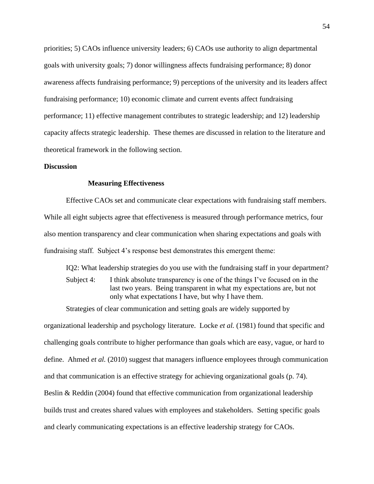priorities; 5) CAOs influence university leaders; 6) CAOs use authority to align departmental goals with university goals; 7) donor willingness affects fundraising performance; 8) donor awareness affects fundraising performance; 9) perceptions of the university and its leaders affect fundraising performance; 10) economic climate and current events affect fundraising performance; 11) effective management contributes to strategic leadership; and 12) leadership capacity affects strategic leadership. These themes are discussed in relation to the literature and theoretical framework in the following section.

### **Discussion**

### **Measuring Effectiveness**

Effective CAOs set and communicate clear expectations with fundraising staff members. While all eight subjects agree that effectiveness is measured through performance metrics, four also mention transparency and clear communication when sharing expectations and goals with fundraising staff. Subject 4's response best demonstrates this emergent theme:

IQ2: What leadership strategies do you use with the fundraising staff in your department?

Subject 4: I think absolute transparency is one of the things I've focused on in the last two years. Being transparent in what my expectations are, but not only what expectations I have, but why I have them.

Strategies of clear communication and setting goals are widely supported by

organizational leadership and psychology literature. Locke *et al.* (1981) found that specific and challenging goals contribute to higher performance than goals which are easy, vague, or hard to define. Ahmed *et al.* (2010) suggest that managers influence employees through communication and that communication is an effective strategy for achieving organizational goals (p. 74). Beslin & Reddin (2004) found that effective communication from organizational leadership builds trust and creates shared values with employees and stakeholders. Setting specific goals and clearly communicating expectations is an effective leadership strategy for CAOs.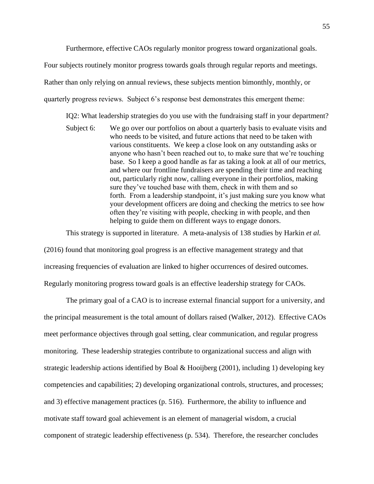Furthermore, effective CAOs regularly monitor progress toward organizational goals.

Four subjects routinely monitor progress towards goals through regular reports and meetings. Rather than only relying on annual reviews, these subjects mention bimonthly, monthly, or quarterly progress reviews. Subject 6's response best demonstrates this emergent theme:

IQ2: What leadership strategies do you use with the fundraising staff in your department?

Subject 6: We go over our portfolios on about a quarterly basis to evaluate visits and who needs to be visited, and future actions that need to be taken with various constituents. We keep a close look on any outstanding asks or anyone who hasn't been reached out to, to make sure that we're touching base. So I keep a good handle as far as taking a look at all of our metrics, and where our frontline fundraisers are spending their time and reaching out, particularly right now, calling everyone in their portfolios, making sure they've touched base with them, check in with them and so forth. From a leadership standpoint, it's just making sure you know what your development officers are doing and checking the metrics to see how often they're visiting with people, checking in with people, and then helping to guide them on different ways to engage donors.

This strategy is supported in literature. A meta-analysis of 138 studies by Harkin *et al.*

(2016) found that monitoring goal progress is an effective management strategy and that increasing frequencies of evaluation are linked to higher occurrences of desired outcomes. Regularly monitoring progress toward goals is an effective leadership strategy for CAOs.

The primary goal of a CAO is to increase external financial support for a university, and the principal measurement is the total amount of dollars raised (Walker, 2012). Effective CAOs meet performance objectives through goal setting, clear communication, and regular progress monitoring. These leadership strategies contribute to organizational success and align with strategic leadership actions identified by Boal & Hooijberg (2001), including 1) developing key competencies and capabilities; 2) developing organizational controls, structures, and processes; and 3) effective management practices (p. 516). Furthermore, the ability to influence and motivate staff toward goal achievement is an element of managerial wisdom, a crucial component of strategic leadership effectiveness (p. 534). Therefore, the researcher concludes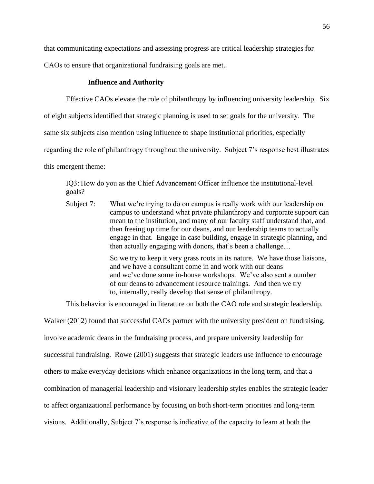that communicating expectations and assessing progress are critical leadership strategies for CAOs to ensure that organizational fundraising goals are met.

# **Influence and Authority**

Effective CAOs elevate the role of philanthropy by influencing university leadership. Six

of eight subjects identified that strategic planning is used to set goals for the university. The

same six subjects also mention using influence to shape institutional priorities, especially

regarding the role of philanthropy throughout the university. Subject 7's response best illustrates

this emergent theme:

IQ3: How do you as the Chief Advancement Officer influence the institutional-level goals?

Subject 7: What we're trying to do on campus is really work with our leadership on campus to understand what private philanthropy and corporate support can mean to the institution, and many of our faculty staff understand that, and then freeing up time for our deans, and our leadership teams to actually engage in that. Engage in case building, engage in strategic planning, and then actually engaging with donors, that's been a challenge…

> So we try to keep it very grass roots in its nature. We have those liaisons, and we have a consultant come in and work with our deans and we've done some in-house workshops. We've also sent a number of our deans to advancement resource trainings. And then we try to, internally, really develop that sense of philanthropy.

This behavior is encouraged in literature on both the CAO role and strategic leadership.

Walker (2012) found that successful CAOs partner with the university president on fundraising, involve academic deans in the fundraising process, and prepare university leadership for successful fundraising. Rowe (2001) suggests that strategic leaders use influence to encourage others to make everyday decisions which enhance organizations in the long term, and that a combination of managerial leadership and visionary leadership styles enables the strategic leader to affect organizational performance by focusing on both short-term priorities and long-term visions. Additionally, Subject 7's response is indicative of the capacity to learn at both the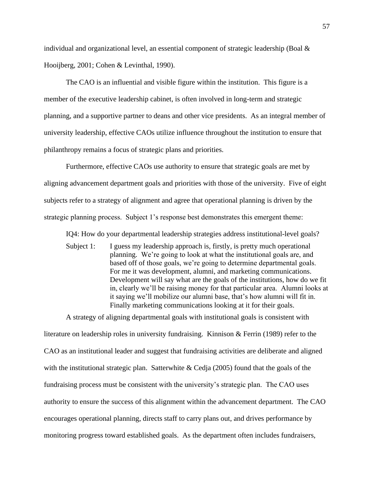individual and organizational level, an essential component of strategic leadership (Boal  $\&$ Hooijberg, 2001; Cohen & Levinthal, 1990).

The CAO is an influential and visible figure within the institution. This figure is a member of the executive leadership cabinet, is often involved in long-term and strategic planning, and a supportive partner to deans and other vice presidents. As an integral member of university leadership, effective CAOs utilize influence throughout the institution to ensure that philanthropy remains a focus of strategic plans and priorities.

Furthermore, effective CAOs use authority to ensure that strategic goals are met by aligning advancement department goals and priorities with those of the university. Five of eight subjects refer to a strategy of alignment and agree that operational planning is driven by the strategic planning process. Subject 1's response best demonstrates this emergent theme:

IQ4: How do your departmental leadership strategies address institutional-level goals?

Subject 1: I guess my leadership approach is, firstly, is pretty much operational planning. We're going to look at what the institutional goals are, and based off of those goals, we're going to determine departmental goals. For me it was development, alumni, and marketing communications. Development will say what are the goals of the institutions, how do we fit in, clearly we'll be raising money for that particular area. Alumni looks at it saying we'll mobilize our alumni base, that's how alumni will fit in. Finally marketing communications looking at it for their goals.

A strategy of aligning departmental goals with institutional goals is consistent with

literature on leadership roles in university fundraising. Kinnison & Ferrin (1989) refer to the CAO as an institutional leader and suggest that fundraising activities are deliberate and aligned with the institutional strategic plan. Satterwhite & Cedja (2005) found that the goals of the fundraising process must be consistent with the university's strategic plan. The CAO uses authority to ensure the success of this alignment within the advancement department. The CAO encourages operational planning, directs staff to carry plans out, and drives performance by monitoring progress toward established goals. As the department often includes fundraisers,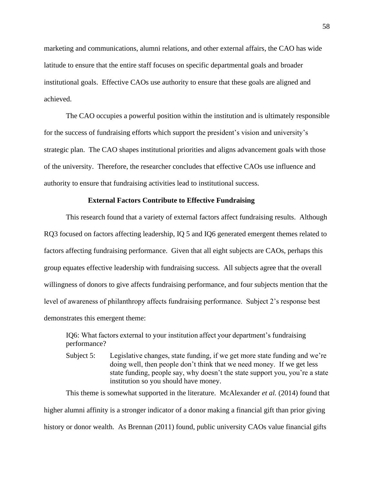marketing and communications, alumni relations, and other external affairs, the CAO has wide latitude to ensure that the entire staff focuses on specific departmental goals and broader institutional goals. Effective CAOs use authority to ensure that these goals are aligned and achieved.

The CAO occupies a powerful position within the institution and is ultimately responsible for the success of fundraising efforts which support the president's vision and university's strategic plan. The CAO shapes institutional priorities and aligns advancement goals with those of the university. Therefore, the researcher concludes that effective CAOs use influence and authority to ensure that fundraising activities lead to institutional success.

### **External Factors Contribute to Effective Fundraising**

This research found that a variety of external factors affect fundraising results. Although RQ3 focused on factors affecting leadership, IQ 5 and IQ6 generated emergent themes related to factors affecting fundraising performance. Given that all eight subjects are CAOs, perhaps this group equates effective leadership with fundraising success. All subjects agree that the overall willingness of donors to give affects fundraising performance, and four subjects mention that the level of awareness of philanthropy affects fundraising performance. Subject 2's response best demonstrates this emergent theme:

IQ6: What factors external to your institution affect your department's fundraising performance?

Subject 5: Legislative changes, state funding, if we get more state funding and we're doing well, then people don't think that we need money. If we get less state funding, people say, why doesn't the state support you, you're a state institution so you should have money.

This theme is somewhat supported in the literature. McAlexander *et al.* (2014) found that higher alumni affinity is a stronger indicator of a donor making a financial gift than prior giving history or donor wealth. As Brennan (2011) found, public university CAOs value financial gifts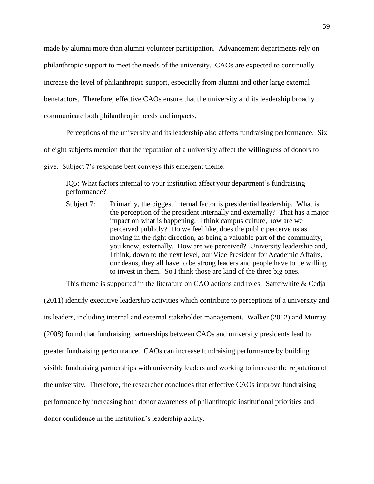made by alumni more than alumni volunteer participation. Advancement departments rely on philanthropic support to meet the needs of the university. CAOs are expected to continually increase the level of philanthropic support, especially from alumni and other large external benefactors. Therefore, effective CAOs ensure that the university and its leadership broadly communicate both philanthropic needs and impacts.

Perceptions of the university and its leadership also affects fundraising performance. Six

of eight subjects mention that the reputation of a university affect the willingness of donors to

give. Subject 7's response best conveys this emergent theme:

IQ5: What factors internal to your institution affect your department's fundraising performance?

Subject 7: Primarily, the biggest internal factor is presidential leadership. What is the perception of the president internally and externally? That has a major impact on what is happening. I think campus culture, how are we perceived publicly? Do we feel like, does the public perceive us as moving in the right direction, as being a valuable part of the community, you know, externally. How are we perceived? University leadership and, I think, down to the next level, our Vice President for Academic Affairs, our deans, they all have to be strong leaders and people have to be willing to invest in them. So I think those are kind of the three big ones.

This theme is supported in the literature on CAO actions and roles. Satterwhite & Cedja

(2011) identify executive leadership activities which contribute to perceptions of a university and its leaders, including internal and external stakeholder management. Walker (2012) and Murray (2008) found that fundraising partnerships between CAOs and university presidents lead to greater fundraising performance. CAOs can increase fundraising performance by building visible fundraising partnerships with university leaders and working to increase the reputation of the university. Therefore, the researcher concludes that effective CAOs improve fundraising performance by increasing both donor awareness of philanthropic institutional priorities and donor confidence in the institution's leadership ability.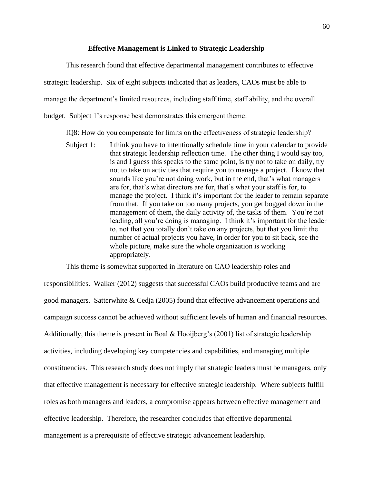#### **Effective Management is Linked to Strategic Leadership**

This research found that effective departmental management contributes to effective strategic leadership. Six of eight subjects indicated that as leaders, CAOs must be able to manage the department's limited resources, including staff time, staff ability, and the overall budget. Subject 1's response best demonstrates this emergent theme:

IQ8: How do you compensate for limits on the effectiveness of strategic leadership? 

Subject 1: I think you have to intentionally schedule time in your calendar to provide that strategic leadership reflection time. The other thing I would say too, is and I guess this speaks to the same point, is try not to take on daily, try not to take on activities that require you to manage a project. I know that sounds like you're not doing work, but in the end, that's what managers are for, that's what directors are for, that's what your staff is for, to manage the project. I think it's important for the leader to remain separate from that. If you take on too many projects, you get bogged down in the management of them, the daily activity of, the tasks of them. You're not leading, all you're doing is managing. I think it's important for the leader to, not that you totally don't take on any projects, but that you limit the number of actual projects you have, in order for you to sit back, see the whole picture, make sure the whole organization is working appropriately.

This theme is somewhat supported in literature on CAO leadership roles and responsibilities. Walker (2012) suggests that successful CAOs build productive teams and are good managers. Satterwhite & Cedja (2005) found that effective advancement operations and campaign success cannot be achieved without sufficient levels of human and financial resources. Additionally, this theme is present in Boal & Hooijberg's (2001) list of strategic leadership activities, including developing key competencies and capabilities, and managing multiple constituencies. This research study does not imply that strategic leaders must be managers, only that effective management is necessary for effective strategic leadership. Where subjects fulfill roles as both managers and leaders, a compromise appears between effective management and effective leadership. Therefore, the researcher concludes that effective departmental management is a prerequisite of effective strategic advancement leadership.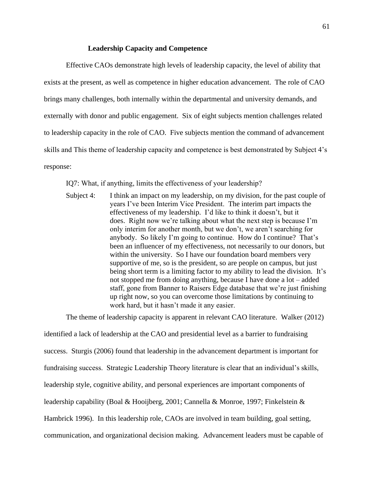### **Leadership Capacity and Competence**

Effective CAOs demonstrate high levels of leadership capacity, the level of ability that exists at the present, as well as competence in higher education advancement. The role of CAO brings many challenges, both internally within the departmental and university demands, and externally with donor and public engagement. Six of eight subjects mention challenges related to leadership capacity in the role of CAO. Five subjects mention the command of advancement skills and This theme of leadership capacity and competence is best demonstrated by Subject 4's response:

IQ7: What, if anything, limits the effectiveness of your leadership?

Subject 4: I think an impact on my leadership, on my division, for the past couple of years I've been Interim Vice President. The interim part impacts the effectiveness of my leadership. I'd like to think it doesn't, but it does. Right now we're talking about what the next step is because I'm only interim for another month, but we don't, we aren't searching for anybody. So likely I'm going to continue. How do I continue? That's been an influencer of my effectiveness, not necessarily to our donors, but within the university. So I have our foundation board members very supportive of me, so is the president, so are people on campus, but just being short term is a limiting factor to my ability to lead the division. It's not stopped me from doing anything, because I have done a lot – added staff, gone from Banner to Raisers Edge database that we're just finishing up right now, so you can overcome those limitations by continuing to work hard, but it hasn't made it any easier.

The theme of leadership capacity is apparent in relevant CAO literature. Walker (2012)

identified a lack of leadership at the CAO and presidential level as a barrier to fundraising success. Sturgis (2006) found that leadership in the advancement department is important for fundraising success. Strategic Leadership Theory literature is clear that an individual's skills, leadership style, cognitive ability, and personal experiences are important components of leadership capability (Boal & Hooijberg, 2001; Cannella & Monroe, 1997; Finkelstein & Hambrick 1996). In this leadership role, CAOs are involved in team building, goal setting, communication, and organizational decision making. Advancement leaders must be capable of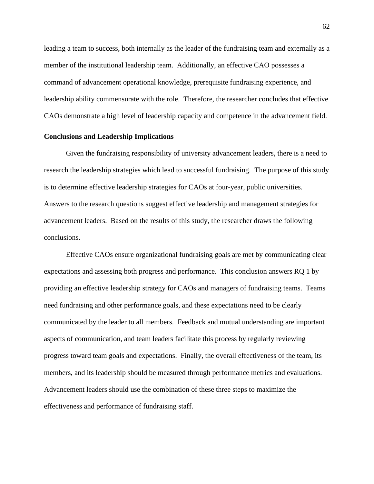leading a team to success, both internally as the leader of the fundraising team and externally as a member of the institutional leadership team. Additionally, an effective CAO possesses a command of advancement operational knowledge, prerequisite fundraising experience, and leadership ability commensurate with the role. Therefore, the researcher concludes that effective CAOs demonstrate a high level of leadership capacity and competence in the advancement field.

#### **Conclusions and Leadership Implications**

Given the fundraising responsibility of university advancement leaders, there is a need to research the leadership strategies which lead to successful fundraising. The purpose of this study is to determine effective leadership strategies for CAOs at four-year, public universities. Answers to the research questions suggest effective leadership and management strategies for advancement leaders. Based on the results of this study, the researcher draws the following conclusions.

Effective CAOs ensure organizational fundraising goals are met by communicating clear expectations and assessing both progress and performance. This conclusion answers RQ 1 by providing an effective leadership strategy for CAOs and managers of fundraising teams. Teams need fundraising and other performance goals, and these expectations need to be clearly communicated by the leader to all members. Feedback and mutual understanding are important aspects of communication, and team leaders facilitate this process by regularly reviewing progress toward team goals and expectations. Finally, the overall effectiveness of the team, its members, and its leadership should be measured through performance metrics and evaluations. Advancement leaders should use the combination of these three steps to maximize the effectiveness and performance of fundraising staff.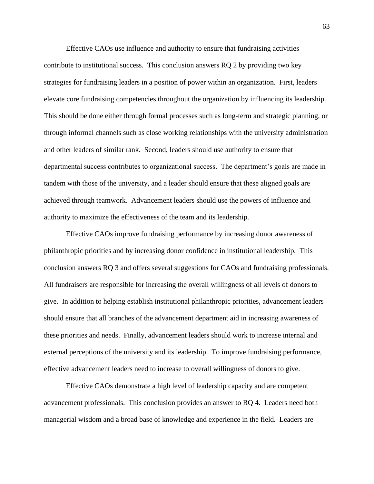Effective CAOs use influence and authority to ensure that fundraising activities contribute to institutional success. This conclusion answers RQ 2 by providing two key strategies for fundraising leaders in a position of power within an organization. First, leaders elevate core fundraising competencies throughout the organization by influencing its leadership. This should be done either through formal processes such as long-term and strategic planning, or through informal channels such as close working relationships with the university administration and other leaders of similar rank. Second, leaders should use authority to ensure that departmental success contributes to organizational success. The department's goals are made in tandem with those of the university, and a leader should ensure that these aligned goals are achieved through teamwork. Advancement leaders should use the powers of influence and authority to maximize the effectiveness of the team and its leadership.

Effective CAOs improve fundraising performance by increasing donor awareness of philanthropic priorities and by increasing donor confidence in institutional leadership. This conclusion answers RQ 3 and offers several suggestions for CAOs and fundraising professionals. All fundraisers are responsible for increasing the overall willingness of all levels of donors to give. In addition to helping establish institutional philanthropic priorities, advancement leaders should ensure that all branches of the advancement department aid in increasing awareness of these priorities and needs. Finally, advancement leaders should work to increase internal and external perceptions of the university and its leadership. To improve fundraising performance, effective advancement leaders need to increase to overall willingness of donors to give.

Effective CAOs demonstrate a high level of leadership capacity and are competent advancement professionals. This conclusion provides an answer to RQ 4. Leaders need both managerial wisdom and a broad base of knowledge and experience in the field. Leaders are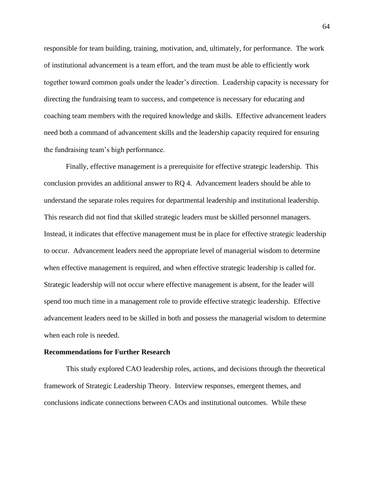responsible for team building, training, motivation, and, ultimately, for performance. The work of institutional advancement is a team effort, and the team must be able to efficiently work together toward common goals under the leader's direction. Leadership capacity is necessary for directing the fundraising team to success, and competence is necessary for educating and coaching team members with the required knowledge and skills. Effective advancement leaders need both a command of advancement skills and the leadership capacity required for ensuring the fundraising team's high performance.

Finally, effective management is a prerequisite for effective strategic leadership. This conclusion provides an additional answer to RQ 4. Advancement leaders should be able to understand the separate roles requires for departmental leadership and institutional leadership. This research did not find that skilled strategic leaders must be skilled personnel managers. Instead, it indicates that effective management must be in place for effective strategic leadership to occur. Advancement leaders need the appropriate level of managerial wisdom to determine when effective management is required, and when effective strategic leadership is called for. Strategic leadership will not occur where effective management is absent, for the leader will spend too much time in a management role to provide effective strategic leadership. Effective advancement leaders need to be skilled in both and possess the managerial wisdom to determine when each role is needed.

#### **Recommendations for Further Research**

This study explored CAO leadership roles, actions, and decisions through the theoretical framework of Strategic Leadership Theory. Interview responses, emergent themes, and conclusions indicate connections between CAOs and institutional outcomes. While these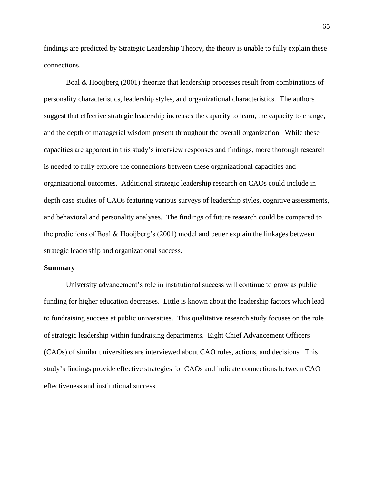findings are predicted by Strategic Leadership Theory, the theory is unable to fully explain these connections.

Boal & Hooijberg (2001) theorize that leadership processes result from combinations of personality characteristics, leadership styles, and organizational characteristics. The authors suggest that effective strategic leadership increases the capacity to learn, the capacity to change, and the depth of managerial wisdom present throughout the overall organization. While these capacities are apparent in this study's interview responses and findings, more thorough research is needed to fully explore the connections between these organizational capacities and organizational outcomes. Additional strategic leadership research on CAOs could include in depth case studies of CAOs featuring various surveys of leadership styles, cognitive assessments, and behavioral and personality analyses. The findings of future research could be compared to the predictions of Boal & Hooijberg's (2001) model and better explain the linkages between strategic leadership and organizational success.

#### **Summary**

University advancement's role in institutional success will continue to grow as public funding for higher education decreases. Little is known about the leadership factors which lead to fundraising success at public universities. This qualitative research study focuses on the role of strategic leadership within fundraising departments. Eight Chief Advancement Officers (CAOs) of similar universities are interviewed about CAO roles, actions, and decisions. This study's findings provide effective strategies for CAOs and indicate connections between CAO effectiveness and institutional success.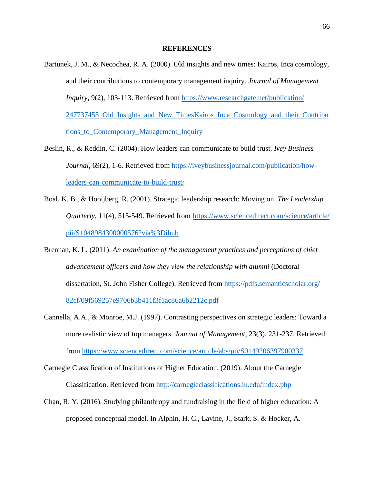#### **REFERENCES**

- Bartunek, J. M., & Necochea, R. A. (2000). Old insights and new times: Kairos, Inca cosmology, and their contributions to contemporary management inquiry. *Journal of Management Inquiry*, 9(2), 103-113. Retrieved from [https://www.researchgate.net/publication/](https://www.researchgate.net/publication/247737455_Old_Insights_and_New_TimesKairos_Inca_Cosmology_and_their_Contributions_to_Contemporary_Management_Inquiry) [247737455\\_Old\\_Insights\\_and\\_New\\_TimesKairos\\_Inca\\_Cosmology\\_and\\_their\\_Contribu](https://www.researchgate.net/publication/247737455_Old_Insights_and_New_TimesKairos_Inca_Cosmology_and_their_Contributions_to_Contemporary_Management_Inquiry) [tions\\_to\\_Contemporary\\_Management\\_Inquiry](https://www.researchgate.net/publication/247737455_Old_Insights_and_New_TimesKairos_Inca_Cosmology_and_their_Contributions_to_Contemporary_Management_Inquiry)
- Beslin, R., & Reddin, C. (2004). How leaders can communicate to build trust. *Ivey Business Journal*, 69(2), 1-6. Retrieved from [https://iveybusinessjournal.com/publication/how](https://iveybusinessjournal.com/publication/how-leaders-can-communicate-to-build-trust/)[leaders-can-communicate-to-build-trust/](https://iveybusinessjournal.com/publication/how-leaders-can-communicate-to-build-trust/)
- Boal, K. B., & Hooijberg, R. (2001). Strategic leadership research: Moving on. *The Leadership Quarterly*, 11(4), 515-549. Retrieved from [https://www.sciencedirect.com/science/article/](https://www.sciencedirect.com/science/article/pii/S1048984300000576?via%3Dihub) [pii/S1048984300000576?via%3Dihub](https://www.sciencedirect.com/science/article/pii/S1048984300000576?via%3Dihub)
- Brennan, K. L. (2011). *An examination of the management practices and perceptions of chief advancement officers and how they view the relationship with alumni* (Doctoral dissertation, St. John Fisher College). Retrieved from [https://pdfs.semanticscholar.org/](https://pdfs.semanticscholar.org/82cf/09f569257e9706b3b411f3f1ac86a6b2212c.pdf) [82cf/09f569257e9706b3b411f3f1ac86a6b2212c.pdf](https://pdfs.semanticscholar.org/82cf/09f569257e9706b3b411f3f1ac86a6b2212c.pdf)
- Cannella, A.A., & Monroe, M.J. (1997). Contrasting perspectives on strategic leaders: Toward a more realistic view of top managers. *Journal of Management*, 23(3), 231-237. Retrieved from<https://www.sciencedirect.com/science/article/abs/pii/S0149206397900337>
- Carnegie Classification of Institutions of Higher Education. (2019). About the Carnegie Classification. Retrieved from<http://carnegieclassifications.iu.edu/index.php>
- Chan, R. Y. (2016). Studying philanthropy and fundraising in the field of higher education: A proposed conceptual model. In Alphin, H. C., Lavine, J., Stark, S. & Hocker, A.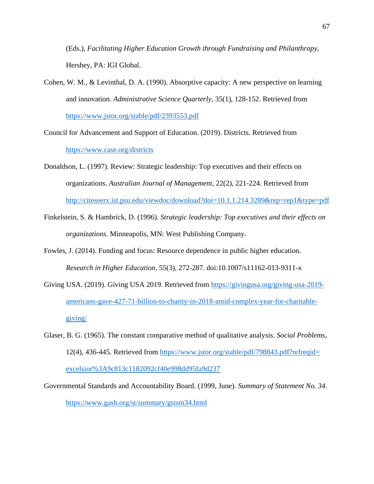(Eds.), *Facilitating Higher Education Growth through Fundraising and Philanthropy*, Hershey, PA: IGI Global.

- Cohen, W. M., & Levinthal, D. A. (1990). Absorptive capacity: A new perspective on learning and innovation. *Administrative Science Quarterly*, 35(1), 128-152. Retrieved from <https://www.jstor.org/stable/pdf/2393553.pdf>
- Council for Advancement and Support of Education. (2019). Districts. Retrieved from <https://www.case.org/districts>
- Donaldson, L. (1997). Review: Strategic leadership: Top executives and their effects on organizations. *Australian Journal of Management*, 22(2), 221-224. Retrieved from <http://citeseerx.ist.psu.edu/viewdoc/download?doi=10.1.1.214.3289&rep=rep1&type=pdf>
- Finkelstein, S. & Hambrick, D. (1996). *Strategic leadership: Top executives and their effects on organizations*. Minneapolis, MN: West Publishing Company.
- Fowles, J. (2014). Funding and focus: Resource dependence in public higher education. *Research in Higher Education*, 55(3), 272-287. doi:10.1007/s11162-013-9311-x
- Giving USA. (2019). Giving USA 2019. Retrieved from [https://givingusa.org/giving-usa-2019](https://givingusa.org/giving-usa-2019-americans-gave-427-71-billion-to-charity-in-2018-amid-complex-year-for-charitable-giving/) [americans-gave-427-71-billion-to-charity-in-2018-amid-complex-year-for-charitable](https://givingusa.org/giving-usa-2019-americans-gave-427-71-billion-to-charity-in-2018-amid-complex-year-for-charitable-giving/)[giving/](https://givingusa.org/giving-usa-2019-americans-gave-427-71-billion-to-charity-in-2018-amid-complex-year-for-charitable-giving/)
- Glaser, B. G. (1965). The constant comparative method of qualitative analysis. *Social Problems*, 12(4), 436-445. Retrieved from [https://www.jstor.org/stable/pdf/798843.pdf?refreqid=](https://www.jstor.org/stable/pdf/798843.pdf?refreqid=excelsior%3A9c813c1182092cf40e998dd95fa9d237) [excelsior%3A9c813c1182092cf40e998dd95fa9d237](https://www.jstor.org/stable/pdf/798843.pdf?refreqid=excelsior%3A9c813c1182092cf40e998dd95fa9d237)
- Governmental Standards and Accountability Board. (1999, June). *Summary of Statement No. 34*. <https://www.gasb.org/st/summary/gstsm34.html>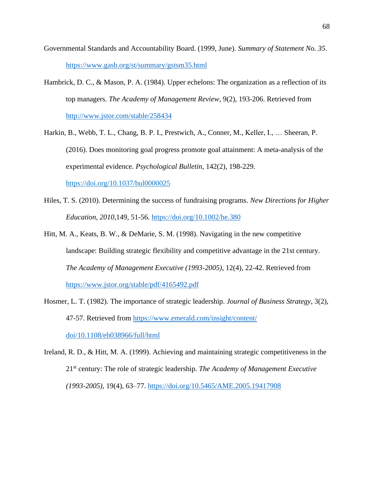- Governmental Standards and Accountability Board. (1999, June). *Summary of Statement No. 35*. <https://www.gasb.org/st/summary/gstsm35.html>
- Hambrick, D. C., & Mason, P. A. (1984). Upper echelons: The organization as a reflection of its top managers. *The Academy of Management Review*, 9(2), 193-206. Retrieved from <http://www.jstor.com/stable/258434>
- Harkin, B., Webb, T. L., Chang, B. P. I., Prestwich, A., Conner, M., Keller, I., … Sheeran, P. (2016). Does monitoring goal progress promote goal attainment: A meta-analysis of the experimental evidence. *Psychological Bulletin*, 142(2), 198-229. [https://doi.org/10.1037/bul0000025](https://doi.apa.org/doi/10.1037/bul0000025)
- Hiles, T. S. (2010). Determining the success of fundraising programs. *New Directions for Higher Education, 2010*,149, 51-56.<https://doi.org/10.1002/he.380>
- Hitt, M. A., Keats, B. W., & DeMarie, S. M. (1998). Navigating in the new competitive landscape: Building strategic flexibility and competitive advantage in the 21st century. *The Academy of Management Executive (1993-2005)*, 12(4), 22-42. Retrieved from <https://www.jstor.org/stable/pdf/4165492.pdf>
- Hosmer, L. T. (1982). The importance of strategic leadership. *Journal of Business Strategy*, 3(2), 47-57. Retrieved from [https://www.emerald.com/insight/content/](https://www.emerald.com/insight/content/doi/10.1108/eb038966/full/html) [doi/10.1108/eb038966/full/html](https://www.emerald.com/insight/content/doi/10.1108/eb038966/full/html)
- Ireland, R. D., & Hitt, M. A. (1999). Achieving and maintaining strategic competitiveness in the 21st century: The role of strategic leadership. *The Academy of Management Executive (1993-2005)*, 19(4), 63–77.<https://doi.org/10.5465/AME.2005.19417908>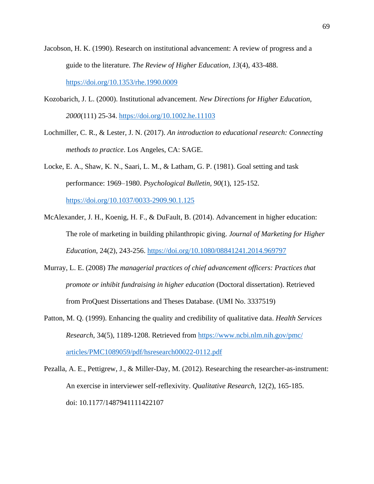- Jacobson, H. K. (1990). Research on institutional advancement: A review of progress and a guide to the literature. *The Review of Higher Education, 13*(4), 433-488. <https://doi.org/10.1353/rhe.1990.0009>
- Kozobarich, J. L. (2000). Institutional advancement. *New Directions for Higher Education, 2000*(111) 25-34.<https://doi.org/10.1002.he.11103>
- Lochmiller, C. R., & Lester, J. N. (2017). *An introduction to educational research: Connecting methods to practice*. Los Angeles, CA: SAGE.

Locke, E. A., Shaw, K. N., Saari, L. M., & Latham, G. P. (1981). Goal setting and task performance: 1969–1980. *Psychological Bulletin, 90*(1), 125-152.

<https://doi.org/10.1037/0033-2909.90.1.125>

- McAlexander, J. H., Koenig, H. F., & DuFault, B. (2014). Advancement in higher education: The role of marketing in building philanthropic giving. *Journal of Marketing for Higher Education*, 24(2), 243-256.<https://doi.org/10.1080/08841241.2014.969797>
- Murray, L. E. (2008) *The managerial practices of chief advancement officers: Practices that promote or inhibit fundraising in higher education* (Doctoral dissertation). Retrieved from ProQuest Dissertations and Theses Database. (UMI No. 3337519)
- Patton, M. Q. (1999). Enhancing the quality and credibility of qualitative data. *Health Services Research*, 34(5), 1189-1208. Retrieved from [https://www.ncbi.nlm.nih.gov/pmc/](https://www.ncbi.nlm.nih.gov/pmc/articles/PMC1089059/pdf/hsresearch00022-0112.pdf) [articles/PMC1089059/pdf/hsresearch00022-0112.pdf](https://www.ncbi.nlm.nih.gov/pmc/articles/PMC1089059/pdf/hsresearch00022-0112.pdf)
- Pezalla, A. E., Pettigrew, J., & Miller-Day, M. (2012). Researching the researcher-as-instrument: An exercise in interviewer self-reflexivity. *Qualitative Research*, 12(2), 165-185. doi: 10.1177/1487941111422107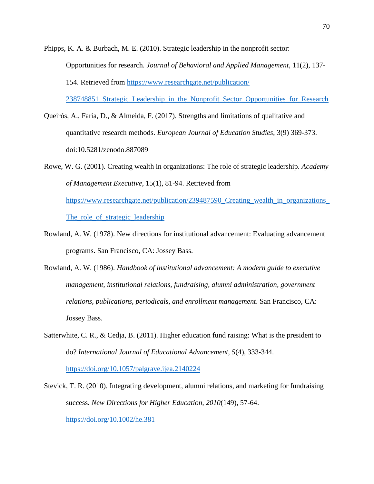Phipps, K. A. & Burbach, M. E. (2010). Strategic leadership in the nonprofit sector: Opportunities for research. *Journal of Behavioral and Applied Management*, 11(2), 137- 154. Retrieved from [https://www.researchgate.net/publication/](https://www.researchgate.net/publication/238748851_Strategic_Leadership_in_the_Nonprofit_Sector_Opportunities_for_Research)

[238748851\\_Strategic\\_Leadership\\_in\\_the\\_Nonprofit\\_Sector\\_Opportunities\\_for\\_Research](https://www.researchgate.net/publication/238748851_Strategic_Leadership_in_the_Nonprofit_Sector_Opportunities_for_Research)

- Queirós, A., Faria, D., & Almeida, F. (2017). Strengths and limitations of qualitative and quantitative research methods. *European Journal of Education Studies*, 3(9) 369-373. doi:10.5281/zenodo.887089
- Rowe, W. G. (2001). Creating wealth in organizations: The role of strategic leadership. *Academy of Management Executive*, 15(1), 81-94. Retrieved from [https://www.researchgate.net/publication/239487590\\_Creating\\_wealth\\_in\\_organizations\\_](https://www.researchgate.net/publication/239487590_Creating_wealth_in_organizations_The_role_of_strategic_leadership) [The\\_role\\_of\\_strategic\\_leadership](https://www.researchgate.net/publication/239487590_Creating_wealth_in_organizations_The_role_of_strategic_leadership)
- Rowland, A. W. (1978). New directions for institutional advancement: Evaluating advancement programs. San Francisco, CA: Jossey Bass.
- Rowland, A. W. (1986). *Handbook of institutional advancement: A modern guide to executive management, institutional relations, fundraising, alumni administration, government relations, publications, periodicals, and enrollment management*. San Francisco, CA: Jossey Bass.
- Satterwhite, C. R., & Cedja, B. (2011). Higher education fund raising: What is the president to do? *International Journal of Educational Advancement, 5*(4), 333-344. <https://doi.org/10.1057/palgrave.ijea.2140224>
- Stevick, T. R. (2010). Integrating development, alumni relations, and marketing for fundraising success. *New Directions for Higher Education, 2010*(149), 57-64. <https://doi.org/10.1002/he.381>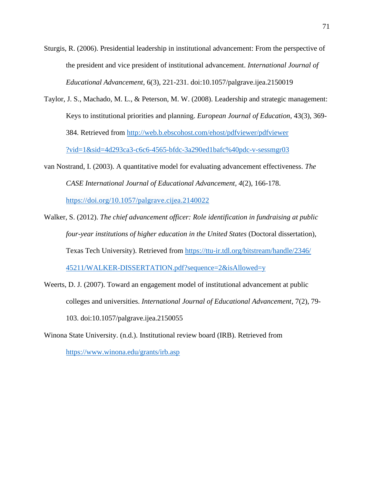Sturgis, R. (2006). Presidential leadership in institutional advancement: From the perspective of the president and vice president of institutional advancement. *International Journal of Educational Advancement*, 6(3), 221-231. doi:10.1057/palgrave.ijea.2150019

- Taylor, J. S., Machado, M. L., & Peterson, M. W. (2008). Leadership and strategic management: Keys to institutional priorities and planning. *European Journal of Education*, 43(3), 369- 384. Retrieved from [http://web.b.ebscohost.com/ehost/pdfviewer/pdfviewer](http://web.b.ebscohost.com/ehost/pdfviewer/pdfviewer?vid=1&sid=4d293ca3-c6c6-4565-bfdc-3a290ed1bafc%40pdc-v-sessmgr03) [?vid=1&sid=4d293ca3-c6c6-4565-bfdc-3a290ed1bafc%40pdc-v-sessmgr03](http://web.b.ebscohost.com/ehost/pdfviewer/pdfviewer?vid=1&sid=4d293ca3-c6c6-4565-bfdc-3a290ed1bafc%40pdc-v-sessmgr03)
- van Nostrand, I. (2003). A quantitative model for evaluating advancement effectiveness. *The CASE International Journal of Educational Advancement, 4*(2), 166-178. <https://doi.org/10.1057/palgrave.cijea.2140022>
- Walker, S. (2012). *The chief advancement officer: Role identification in fundraising at public four-year institutions of higher education in the United States* (Doctoral dissertation), Texas Tech University). Retrieved from [https://ttu-ir.tdl.org/bitstream/handle/2346/](https://ttu-ir.tdl.org/bitstream/handle/2346/45211/WALKER-DISSERTATION.pdf?sequence=2&isAllowed=y) [45211/WALKER-DISSERTATION.pdf?sequence=2&isAllowed=y](https://ttu-ir.tdl.org/bitstream/handle/2346/45211/WALKER-DISSERTATION.pdf?sequence=2&isAllowed=y)
- Weerts, D. J. (2007). Toward an engagement model of institutional advancement at public colleges and universities. *International Journal of Educational Advancement*, 7(2), 79- 103. doi:10.1057/palgrave.ijea.2150055
- Winona State University. (n.d.). Institutional review board (IRB). Retrieved from <https://www.winona.edu/grants/irb.asp>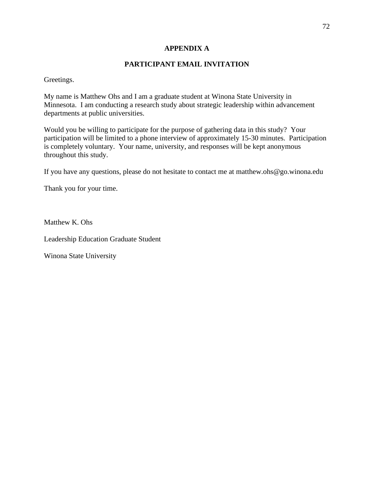## **APPENDIX A**

## **PARTICIPANT EMAIL INVITATION**

Greetings.

My name is Matthew Ohs and I am a graduate student at Winona State University in Minnesota. I am conducting a research study about strategic leadership within advancement departments at public universities.

Would you be willing to participate for the purpose of gathering data in this study? Your participation will be limited to a phone interview of approximately 15-30 minutes. Participation is completely voluntary. Your name, university, and responses will be kept anonymous throughout this study.

If you have any questions, please do not hesitate to contact me at matthew.ohs@go.winona.edu

Thank you for your time.

Matthew K. Ohs

Leadership Education Graduate Student

Winona State University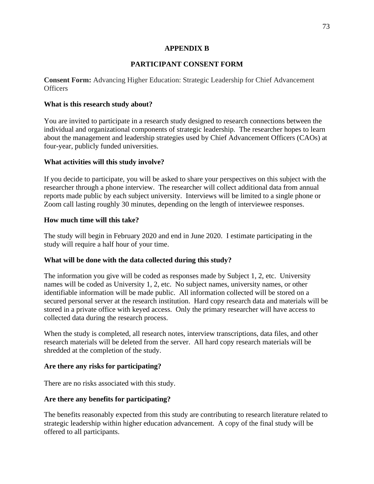## **APPENDIX B**

# **PARTICIPANT CONSENT FORM**

**Consent Form:** Advancing Higher Education: Strategic Leadership for Chief Advancement **Officers** 

# **What is this research study about?**

You are invited to participate in a research study designed to research connections between the individual and organizational components of strategic leadership. The researcher hopes to learn about the management and leadership strategies used by Chief Advancement Officers (CAOs) at four-year, publicly funded universities.

## **What activities will this study involve?**

If you decide to participate, you will be asked to share your perspectives on this subject with the researcher through a phone interview. The researcher will collect additional data from annual reports made public by each subject university. Interviews will be limited to a single phone or Zoom call lasting roughly 30 minutes, depending on the length of interviewee responses.

## **How much time will this take?**

The study will begin in February 2020 and end in June 2020. I estimate participating in the study will require a half hour of your time.

# **What will be done with the data collected during this study?**

The information you give will be coded as responses made by Subject 1, 2, etc. University names will be coded as University 1, 2, etc. No subject names, university names, or other identifiable information will be made public. All information collected will be stored on a secured personal server at the research institution. Hard copy research data and materials will be stored in a private office with keyed access. Only the primary researcher will have access to collected data during the research process.

When the study is completed, all research notes, interview transcriptions, data files, and other research materials will be deleted from the server. All hard copy research materials will be shredded at the completion of the study.

# **Are there any risks for participating?**

There are no risks associated with this study.

# **Are there any benefits for participating?**

The benefits reasonably expected from this study are contributing to research literature related to strategic leadership within higher education advancement. A copy of the final study will be offered to all participants.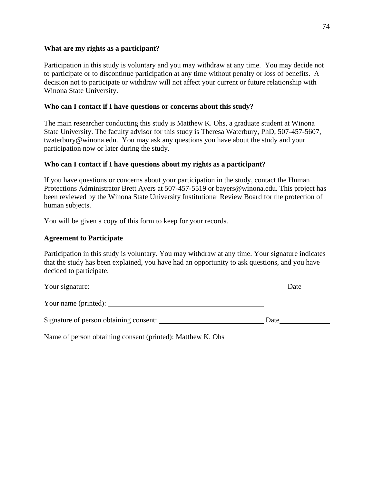### **What are my rights as a participant?**

Participation in this study is voluntary and you may withdraw at any time. You may decide not to participate or to discontinue participation at any time without penalty or loss of benefits. A decision not to participate or withdraw will not affect your current or future relationship with Winona State University.

### **Who can I contact if I have questions or concerns about this study?**

The main researcher conducting this study is Matthew K. Ohs, a graduate student at Winona State University. The faculty advisor for this study is Theresa Waterbury, PhD, 507-457-5607, twaterbury@winona.edu. You may ask any questions you have about the study and your participation now or later during the study.

### **Who can I contact if I have questions about my rights as a participant?**

If you have questions or concerns about your participation in the study, contact the Human Protections Administrator Brett Ayers at 507-457-5519 or bayers@winona.edu. This project has been reviewed by the Winona State University Institutional Review Board for the protection of human subjects.

You will be given a copy of this form to keep for your records.

### **Agreement to Participate**

Participation in this study is voluntary. You may withdraw at any time. Your signature indicates that the study has been explained, you have had an opportunity to ask questions, and you have decided to participate.

| Your signature:                        | Date |
|----------------------------------------|------|
|                                        |      |
| Signature of person obtaining consent: | Date |
|                                        |      |

Name of person obtaining consent (printed): Matthew K. Ohs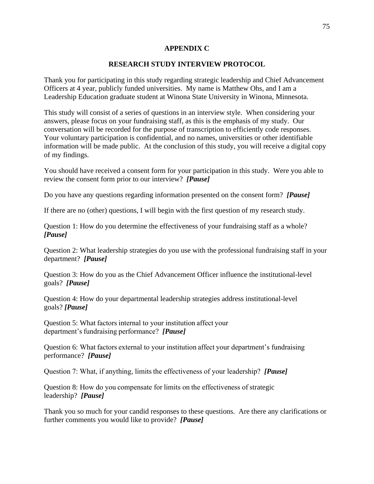### **APPENDIX C**

### **RESEARCH STUDY INTERVIEW PROTOCOL**

Thank you for participating in this study regarding strategic leadership and Chief Advancement Officers at 4 year, publicly funded universities. My name is Matthew Ohs, and I am a Leadership Education graduate student at Winona State University in Winona, Minnesota.

This study will consist of a series of questions in an interview style. When considering your answers, please focus on your fundraising staff, as this is the emphasis of my study. Our conversation will be recorded for the purpose of transcription to efficiently code responses. Your voluntary participation is confidential, and no names, universities or other identifiable information will be made public. At the conclusion of this study, you will receive a digital copy of my findings.

You should have received a consent form for your participation in this study. Were you able to review the consent form prior to our interview? *[Pause]*

Do you have any questions regarding information presented on the consent form? *[Pause]*

If there are no (other) questions, I will begin with the first question of my research study.

Question 1: How do you determine the effectiveness of your fundraising staff as a whole? *[Pause]*

Question 2: What leadership strategies do you use with the professional fundraising staff in your department? *[Pause]*

Question 3: How do you as the Chief Advancement Officer influence the institutional-level goals? *[Pause]*

Question 4: How do your departmental leadership strategies address institutional-level goals? *[Pause]*

Question 5: What factors internal to your institution affect your department's fundraising performance? *[Pause]*

Question 6: What factors external to your institution affect your department's fundraising performance? *[Pause]*

Question 7: What, if anything, limits the effectiveness of your leadership? *[Pause]*

Question 8: How do you compensate for limits on the effectiveness of strategic leadership? *[Pause]*

Thank you so much for your candid responses to these questions. Are there any clarifications or further comments you would like to provide? *[Pause]*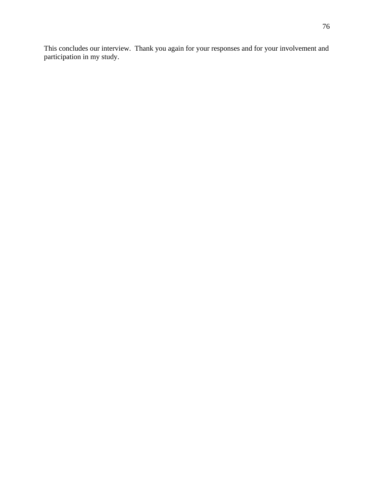This concludes our interview. Thank you again for your responses and for your involvement and participation in my study.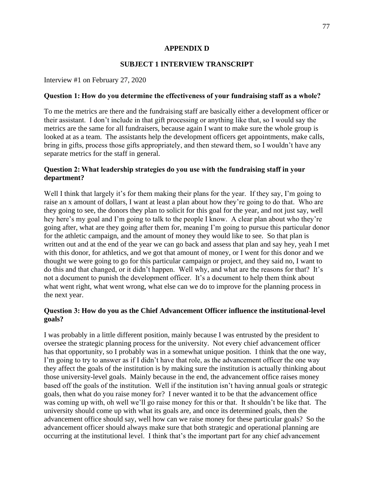### **APPENDIX D**

## **SUBJECT 1 INTERVIEW TRANSCRIPT**

Interview #1 on February 27, 2020

### **Question 1: How do you determine the effectiveness of your fundraising staff as a whole?**

To me the metrics are there and the fundraising staff are basically either a development officer or their assistant. I don't include in that gift processing or anything like that, so I would say the metrics are the same for all fundraisers, because again I want to make sure the whole group is looked at as a team. The assistants help the development officers get appointments, make calls, bring in gifts, process those gifts appropriately, and then steward them, so I wouldn't have any separate metrics for the staff in general.

## **Question 2: What leadership strategies do you use with the fundraising staff in your department?**

Well I think that largely it's for them making their plans for the year. If they say, I'm going to raise an x amount of dollars, I want at least a plan about how they're going to do that. Who are they going to see, the donors they plan to solicit for this goal for the year, and not just say, well hey here's my goal and I'm going to talk to the people I know. A clear plan about who they're going after, what are they going after them for, meaning I'm going to pursue this particular donor for the athletic campaign, and the amount of money they would like to see. So that plan is written out and at the end of the year we can go back and assess that plan and say hey, yeah I met with this donor, for athletics, and we got that amount of money, or I went for this donor and we thought we were going to go for this particular campaign or project, and they said no, I want to do this and that changed, or it didn't happen. Well why, and what are the reasons for that? It's not a document to punish the development officer. It's a document to help them think about what went right, what went wrong, what else can we do to improve for the planning process in the next year.

### **Question 3: How do you as the Chief Advancement Officer influence the institutional-level goals?**

I was probably in a little different position, mainly because I was entrusted by the president to oversee the strategic planning process for the university. Not every chief advancement officer has that opportunity, so I probably was in a somewhat unique position. I think that the one way, I'm going to try to answer as if I didn't have that role, as the advancement officer the one way they affect the goals of the institution is by making sure the institution is actually thinking about those university-level goals. Mainly because in the end, the advancement office raises money based off the goals of the institution. Well if the institution isn't having annual goals or strategic goals, then what do you raise money for? I never wanted it to be that the advancement office was coming up with, oh well we'll go raise money for this or that. It shouldn't be like that. The university should come up with what its goals are, and once its determined goals, then the advancement office should say, well how can we raise money for these particular goals? So the advancement officer should always make sure that both strategic and operational planning are occurring at the institutional level. I think that's the important part for any chief advancement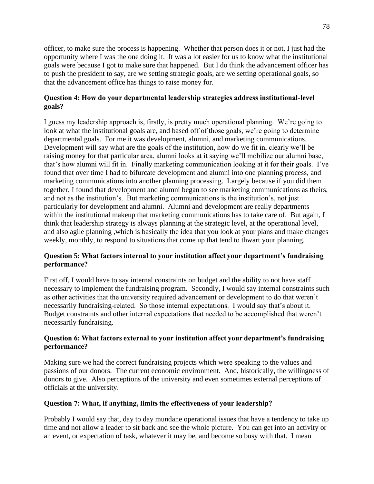officer, to make sure the process is happening. Whether that person does it or not, I just had the opportunity where I was the one doing it. It was a lot easier for us to know what the institutional goals were because I got to make sure that happened. But I do think the advancement officer has to push the president to say, are we setting strategic goals, are we setting operational goals, so that the advancement office has things to raise money for.

# **Question 4: How do your departmental leadership strategies address institutional-level goals?**

I guess my leadership approach is, firstly, is pretty much operational planning. We're going to look at what the institutional goals are, and based off of those goals, we're going to determine departmental goals. For me it was development, alumni, and marketing communications. Development will say what are the goals of the institution, how do we fit in, clearly we'll be raising money for that particular area, alumni looks at it saying we'll mobilize our alumni base, that's how alumni will fit in. Finally marketing communication looking at it for their goals. I've found that over time I had to bifurcate development and alumni into one planning process, and marketing communications into another planning processing. Largely because if you did them together, I found that development and alumni began to see marketing communications as theirs, and not as the institution's. But marketing communications is the institution's, not just particularly for development and alumni. Alumni and development are really departments within the institutional makeup that marketing communications has to take care of. But again, I think that leadership strategy is always planning at the strategic level, at the operational level, and also agile planning ,which is basically the idea that you look at your plans and make changes weekly, monthly, to respond to situations that come up that tend to thwart your planning.

# **Question 5: What factors internal to your institution affect your department's fundraising performance?**

First off, I would have to say internal constraints on budget and the ability to not have staff necessary to implement the fundraising program. Secondly, I would say internal constraints such as other activities that the university required advancement or development to do that weren't necessarily fundraising-related. So those internal expectations. I would say that's about it. Budget constraints and other internal expectations that needed to be accomplished that weren't necessarily fundraising.

# **Question 6: What factors external to your institution affect your department's fundraising performance?**

Making sure we had the correct fundraising projects which were speaking to the values and passions of our donors. The current economic environment. And, historically, the willingness of donors to give. Also perceptions of the university and even sometimes external perceptions of officials at the university.

# **Question 7: What, if anything, limits the effectiveness of your leadership?**

Probably I would say that, day to day mundane operational issues that have a tendency to take up time and not allow a leader to sit back and see the whole picture. You can get into an activity or an event, or expectation of task, whatever it may be, and become so busy with that. I mean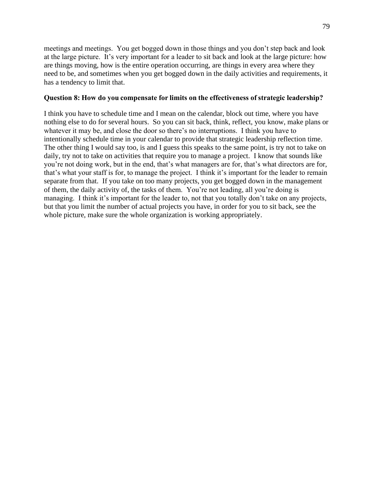meetings and meetings. You get bogged down in those things and you don't step back and look at the large picture. It's very important for a leader to sit back and look at the large picture: how are things moving, how is the entire operation occurring, are things in every area where they need to be, and sometimes when you get bogged down in the daily activities and requirements, it has a tendency to limit that.

### **Question 8: How do you compensate for limits on the effectiveness of strategic leadership?**

I think you have to schedule time and I mean on the calendar, block out time, where you have nothing else to do for several hours. So you can sit back, think, reflect, you know, make plans or whatever it may be, and close the door so there's no interruptions. I think you have to intentionally schedule time in your calendar to provide that strategic leadership reflection time. The other thing I would say too, is and I guess this speaks to the same point, is try not to take on daily, try not to take on activities that require you to manage a project. I know that sounds like you're not doing work, but in the end, that's what managers are for, that's what directors are for, that's what your staff is for, to manage the project. I think it's important for the leader to remain separate from that. If you take on too many projects, you get bogged down in the management of them, the daily activity of, the tasks of them. You're not leading, all you're doing is managing. I think it's important for the leader to, not that you totally don't take on any projects, but that you limit the number of actual projects you have, in order for you to sit back, see the whole picture, make sure the whole organization is working appropriately.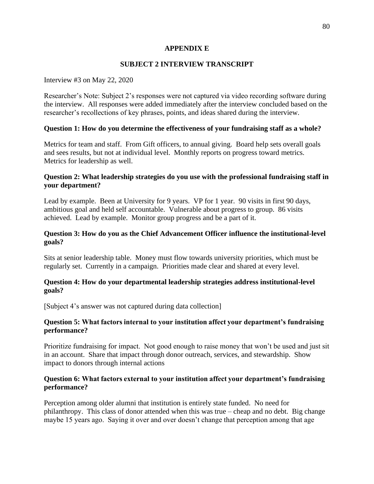## **APPENDIX E**

# **SUBJECT 2 INTERVIEW TRANSCRIPT**

### Interview #3 on May 22, 2020

Researcher's Note: Subject 2's responses were not captured via video recording software during the interview. All responses were added immediately after the interview concluded based on the researcher's recollections of key phrases, points, and ideas shared during the interview.

### **Question 1: How do you determine the effectiveness of your fundraising staff as a whole?**

Metrics for team and staff. From Gift officers, to annual giving. Board help sets overall goals and sees results, but not at individual level. Monthly reports on progress toward metrics. Metrics for leadership as well.

## **Question 2: What leadership strategies do you use with the professional fundraising staff in your department?**

Lead by example. Been at University for 9 years. VP for 1 year. 90 visits in first 90 days, ambitious goal and held self accountable. Vulnerable about progress to group. 86 visits achieved. Lead by example. Monitor group progress and be a part of it.

## **Question 3: How do you as the Chief Advancement Officer influence the institutional-level goals?**

Sits at senior leadership table. Money must flow towards university priorities, which must be regularly set. Currently in a campaign. Priorities made clear and shared at every level.

### **Question 4: How do your departmental leadership strategies address institutional-level goals?**

[Subject 4's answer was not captured during data collection]

### **Question 5: What factors internal to your institution affect your department's fundraising performance?**

Prioritize fundraising for impact. Not good enough to raise money that won't be used and just sit in an account. Share that impact through donor outreach, services, and stewardship. Show impact to donors through internal actions

### **Question 6: What factors external to your institution affect your department's fundraising performance?**

Perception among older alumni that institution is entirely state funded. No need for philanthropy. This class of donor attended when this was true – cheap and no debt. Big change maybe 15 years ago. Saying it over and over doesn't change that perception among that age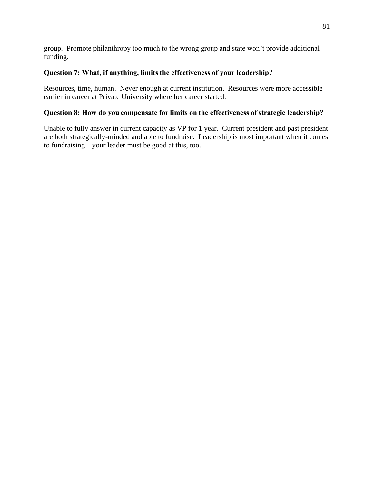group. Promote philanthropy too much to the wrong group and state won't provide additional funding.

# **Question 7: What, if anything, limits the effectiveness of your leadership?**

Resources, time, human. Never enough at current institution. Resources were more accessible earlier in career at Private University where her career started.

# **Question 8: How do you compensate for limits on the effectiveness of strategic leadership?**

Unable to fully answer in current capacity as VP for 1 year. Current president and past president are both strategically-minded and able to fundraise. Leadership is most important when it comes to fundraising – your leader must be good at this, too.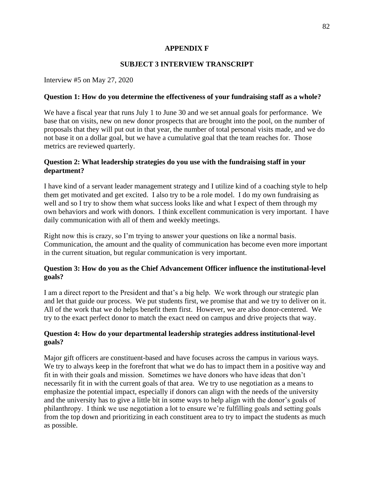# **APPENDIX F**

# **SUBJECT 3 INTERVIEW TRANSCRIPT**

Interview #5 on May 27, 2020

### **Question 1: How do you determine the effectiveness of your fundraising staff as a whole?**

We have a fiscal year that runs July 1 to June 30 and we set annual goals for performance. We base that on visits, new on new donor prospects that are brought into the pool, on the number of proposals that they will put out in that year, the number of total personal visits made, and we do not base it on a dollar goal, but we have a cumulative goal that the team reaches for. Those metrics are reviewed quarterly.

## **Question 2: What leadership strategies do you use with the fundraising staff in your department?**

I have kind of a servant leader management strategy and I utilize kind of a coaching style to help them get motivated and get excited. I also try to be a role model. I do my own fundraising as well and so I try to show them what success looks like and what I expect of them through my own behaviors and work with donors. I think excellent communication is very important. I have daily communication with all of them and weekly meetings.

Right now this is crazy, so I'm trying to answer your questions on like a normal basis. Communication, the amount and the quality of communication has become even more important in the current situation, but regular communication is very important.

## **Question 3: How do you as the Chief Advancement Officer influence the institutional-level goals?**

I am a direct report to the President and that's a big help. We work through our strategic plan and let that guide our process. We put students first, we promise that and we try to deliver on it. All of the work that we do helps benefit them first. However, we are also donor-centered. We try to the exact perfect donor to match the exact need on campus and drive projects that way.

## **Question 4: How do your departmental leadership strategies address institutional-level goals?**

Major gift officers are constituent-based and have focuses across the campus in various ways. We try to always keep in the forefront that what we do has to impact them in a positive way and fit in with their goals and mission. Sometimes we have donors who have ideas that don't necessarily fit in with the current goals of that area. We try to use negotiation as a means to emphasize the potential impact, especially if donors can align with the needs of the university and the university has to give a little bit in some ways to help align with the donor's goals of philanthropy. I think we use negotiation a lot to ensure we're fulfilling goals and setting goals from the top down and prioritizing in each constituent area to try to impact the students as much as possible.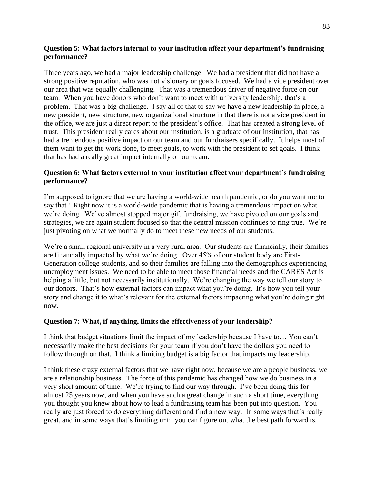# **Question 5: What factors internal to your institution affect your department's fundraising performance?**

Three years ago, we had a major leadership challenge. We had a president that did not have a strong positive reputation, who was not visionary or goals focused. We had a vice president over our area that was equally challenging. That was a tremendous driver of negative force on our team. When you have donors who don't want to meet with university leadership, that's a problem. That was a big challenge. I say all of that to say we have a new leadership in place, a new president, new structure, new organizational structure in that there is not a vice president in the office, we are just a direct report to the president's office. That has created a strong level of trust. This president really cares about our institution, is a graduate of our institution, that has had a tremendous positive impact on our team and our fundraisers specifically. It helps most of them want to get the work done, to meet goals, to work with the president to set goals. I think that has had a really great impact internally on our team.

# **Question 6: What factors external to your institution affect your department's fundraising performance?**

I'm supposed to ignore that we are having a world-wide health pandemic, or do you want me to say that? Right now it is a world-wide pandemic that is having a tremendous impact on what we're doing. We've almost stopped major gift fundraising, we have pivoted on our goals and strategies, we are again student focused so that the central mission continues to ring true. We're just pivoting on what we normally do to meet these new needs of our students.

We're a small regional university in a very rural area. Our students are financially, their families are financially impacted by what we're doing. Over 45% of our student body are First-Generation college students, and so their families are falling into the demographics experiencing unemployment issues. We need to be able to meet those financial needs and the CARES Act is helping a little, but not necessarily institutionally. We're changing the way we tell our story to our donors. That's how external factors can impact what you're doing. It's how you tell your story and change it to what's relevant for the external factors impacting what you're doing right now.

### **Question 7: What, if anything, limits the effectiveness of your leadership?**

I think that budget situations limit the impact of my leadership because I have to… You can't necessarily make the best decisions for your team if you don't have the dollars you need to follow through on that. I think a limiting budget is a big factor that impacts my leadership.

I think these crazy external factors that we have right now, because we are a people business, we are a relationship business. The force of this pandemic has changed how we do business in a very short amount of time. We're trying to find our way through. I've been doing this for almost 25 years now, and when you have such a great change in such a short time, everything you thought you knew about how to lead a fundraising team has been put into question. You really are just forced to do everything different and find a new way. In some ways that's really great, and in some ways that's limiting until you can figure out what the best path forward is.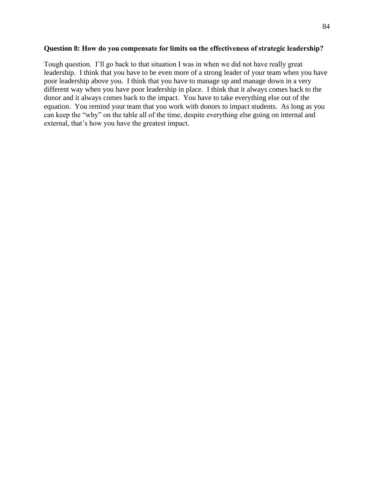#### **Question 8: How do you compensate for limits on the effectiveness of strategic leadership?**

Tough question. I'll go back to that situation I was in when we did not have really great leadership. I think that you have to be even more of a strong leader of your team when you have poor leadership above you. I think that you have to manage up and manage down in a very different way when you have poor leadership in place. I think that it always comes back to the donor and it always comes back to the impact. You have to take everything else out of the equation. You remind your team that you work with donors to impact students. As long as you can keep the "why" on the table all of the time, despite everything else going on internal and external, that's how you have the greatest impact.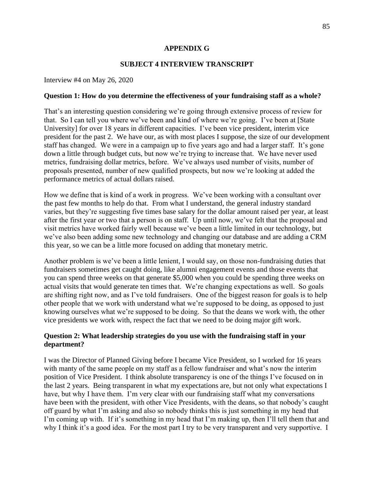### **APPENDIX G**

## **SUBJECT 4 INTERVIEW TRANSCRIPT**

Interview #4 on May 26, 2020

#### **Question 1: How do you determine the effectiveness of your fundraising staff as a whole?**

That's an interesting question considering we're going through extensive process of review for that. So I can tell you where we've been and kind of where we're going. I've been at [State University] for over 18 years in different capacities. I've been vice president, interim vice president for the past 2. We have our, as with most places I suppose, the size of our development staff has changed. We were in a campaign up to five years ago and had a larger staff. It's gone down a little through budget cuts, but now we're trying to increase that. We have never used metrics, fundraising dollar metrics, before. We've always used number of visits, number of proposals presented, number of new qualified prospects, but now we're looking at added the performance metrics of actual dollars raised.

How we define that is kind of a work in progress. We've been working with a consultant over the past few months to help do that. From what I understand, the general industry standard varies, but they're suggesting five times base salary for the dollar amount raised per year, at least after the first year or two that a person is on staff. Up until now, we've felt that the proposal and visit metrics have worked fairly well because we've been a little limited in our technology, but we've also been adding some new technology and changing our database and are adding a CRM this year, so we can be a little more focused on adding that monetary metric.

Another problem is we've been a little lenient, I would say, on those non-fundraising duties that fundraisers sometimes get caught doing, like alumni engagement events and those events that you can spend three weeks on that generate \$5,000 when you could be spending three weeks on actual visits that would generate ten times that. We're changing expectations as well. So goals are shifting right now, and as I've told fundraisers. One of the biggest reason for goals is to help other people that we work with understand what we're supposed to be doing, as opposed to just knowing ourselves what we're supposed to be doing. So that the deans we work with, the other vice presidents we work with, respect the fact that we need to be doing major gift work.

## **Question 2: What leadership strategies do you use with the fundraising staff in your department?**

I was the Director of Planned Giving before I became Vice President, so I worked for 16 years with manty of the same people on my staff as a fellow fundraiser and what's now the interim position of Vice President. I think absolute transparency is one of the things I've focused on in the last 2 years. Being transparent in what my expectations are, but not only what expectations I have, but why I have them. I'm very clear with our fundraising staff what my conversations have been with the president, with other Vice Presidents, with the deans, so that nobody's caught off guard by what I'm asking and also so nobody thinks this is just something in my head that I'm coming up with. If it's something in my head that I'm making up, then I'll tell them that and why I think it's a good idea. For the most part I try to be very transparent and very supportive. I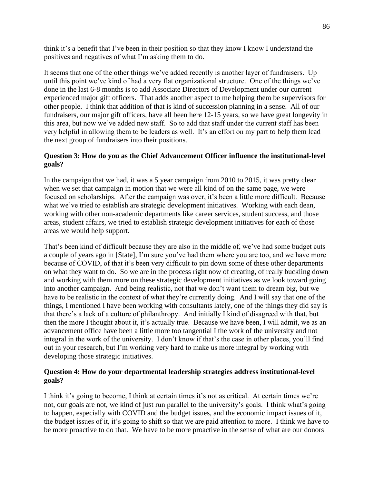think it's a benefit that I've been in their position so that they know I know I understand the positives and negatives of what I'm asking them to do.

It seems that one of the other things we've added recently is another layer of fundraisers. Up until this point we've kind of had a very flat organizational structure. One of the things we've done in the last 6-8 months is to add Associate Directors of Development under our current experienced major gift officers. That adds another aspect to me helping them be supervisors for other people. I think that addition of that is kind of succession planning in a sense. All of our fundraisers, our major gift officers, have all been here 12-15 years, so we have great longevity in this area, but now we've added new staff. So to add that staff under the current staff has been very helpful in allowing them to be leaders as well. It's an effort on my part to help them lead the next group of fundraisers into their positions.

# **Question 3: How do you as the Chief Advancement Officer influence the institutional-level goals?**

In the campaign that we had, it was a 5 year campaign from 2010 to 2015, it was pretty clear when we set that campaign in motion that we were all kind of on the same page, we were focused on scholarships. After the campaign was over, it's been a little more difficult. Because what we've tried to establish are strategic development initiatives. Working with each dean, working with other non-academic departments like career services, student success, and those areas, student affairs, we tried to establish strategic development initiatives for each of those areas we would help support.

That's been kind of difficult because they are also in the middle of, we've had some budget cuts a couple of years ago in [State], I'm sure you've had them where you are too, and we have more because of COVID, of that it's been very difficult to pin down some of these other departments on what they want to do. So we are in the process right now of creating, of really buckling down and working with them more on these strategic development initiatives as we look toward going into another campaign. And being realistic, not that we don't want them to dream big, but we have to be realistic in the context of what they're currently doing. And I will say that one of the things, I mentioned I have been working with consultants lately, one of the things they did say is that there's a lack of a culture of philanthropy. And initially I kind of disagreed with that, but then the more I thought about it, it's actually true. Because we have been, I will admit, we as an advancement office have been a little more too tangential I the work of the university and not integral in the work of the university. I don't know if that's the case in other places, you'll find out in your research, but I'm working very hard to make us more integral by working with developing those strategic initiatives.

### **Question 4: How do your departmental leadership strategies address institutional-level goals?**

I think it's going to become, I think at certain times it's not as critical. At certain times we're not, our goals are not, we kind of just run parallel to the university's goals. I think what's going to happen, especially with COVID and the budget issues, and the economic impact issues of it, the budget issues of it, it's going to shift so that we are paid attention to more. I think we have to be more proactive to do that. We have to be more proactive in the sense of what are our donors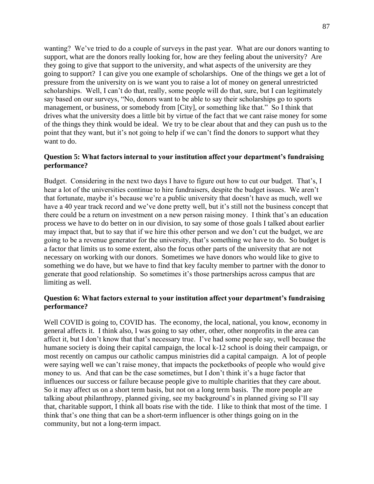wanting? We've tried to do a couple of surveys in the past year. What are our donors wanting to support, what are the donors really looking for, how are they feeling about the university? Are they going to give that support to the university, and what aspects of the university are they going to support? I can give you one example of scholarships. One of the things we get a lot of pressure from the university on is we want you to raise a lot of money on general unrestricted scholarships. Well, I can't do that, really, some people will do that, sure, but I can legitimately say based on our surveys, "No, donors want to be able to say their scholarships go to sports management, or business, or somebody from [City], or something like that." So I think that drives what the university does a little bit by virtue of the fact that we cant raise money for some of the things they think would be ideal. We try to be clear about that and they can push us to the point that they want, but it's not going to help if we can't find the donors to support what they want to do.

## **Question 5: What factors internal to your institution affect your department's fundraising performance?**

Budget. Considering in the next two days I have to figure out how to cut our budget. That's, I hear a lot of the universities continue to hire fundraisers, despite the budget issues. We aren't that fortunate, maybe it's because we're a public university that doesn't have as much, well we have a 40 year track record and we've done pretty well, but it's still not the business concept that there could be a return on investment on a new person raising money. I think that's an education process we have to do better on in our division, to say some of those goals I talked about earlier may impact that, but to say that if we hire this other person and we don't cut the budget, we are going to be a revenue generator for the university, that's something we have to do. So budget is a factor that limits us to some extent, also the focus other parts of the university that are not necessary on working with our donors. Sometimes we have donors who would like to give to something we do have, but we have to find that key faculty member to partner with the donor to generate that good relationship. So sometimes it's those partnerships across campus that are limiting as well.

### **Question 6: What factors external to your institution affect your department's fundraising performance?**

Well COVID is going to, COVID has. The economy, the local, national, you know, economy in general affects it. I think also, I was going to say other, other, other nonprofits in the area can affect it, but I don't know that that's necessary true. I've had some people say, well because the humane society is doing their capital campaign, the local k-12 school is doing their campaign, or most recently on campus our catholic campus ministries did a capital campaign. A lot of people were saying well we can't raise money, that impacts the pocketbooks of people who would give money to us. And that can be the case sometimes, but I don't think it's a huge factor that influences our success or failure because people give to multiple charities that they care about. So it may affect us on a short term basis, but not on a long term basis. The more people are talking about philanthropy, planned giving, see my background's in planned giving so I'll say that, charitable support, I think all boats rise with the tide. I like to think that most of the time. I think that's one thing that can be a short-term influencer is other things going on in the community, but not a long-term impact.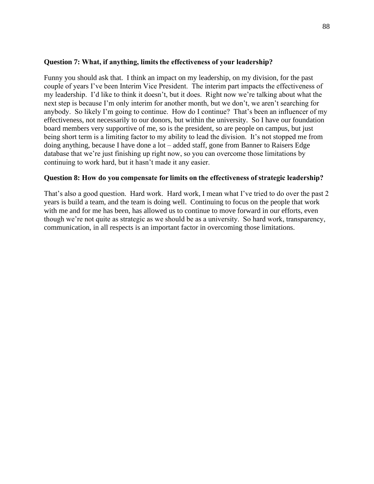### **Question 7: What, if anything, limits the effectiveness of your leadership?**

Funny you should ask that. I think an impact on my leadership, on my division, for the past couple of years I've been Interim Vice President. The interim part impacts the effectiveness of my leadership. I'd like to think it doesn't, but it does. Right now we're talking about what the next step is because I'm only interim for another month, but we don't, we aren't searching for anybody. So likely I'm going to continue. How do I continue? That's been an influencer of my effectiveness, not necessarily to our donors, but within the university. So I have our foundation board members very supportive of me, so is the president, so are people on campus, but just being short term is a limiting factor to my ability to lead the division. It's not stopped me from doing anything, because I have done a lot – added staff, gone from Banner to Raisers Edge database that we're just finishing up right now, so you can overcome those limitations by continuing to work hard, but it hasn't made it any easier.

### **Question 8: How do you compensate for limits on the effectiveness of strategic leadership?**

That's also a good question. Hard work. Hard work, I mean what I've tried to do over the past 2 years is build a team, and the team is doing well. Continuing to focus on the people that work with me and for me has been, has allowed us to continue to move forward in our efforts, even though we're not quite as strategic as we should be as a university. So hard work, transparency, communication, in all respects is an important factor in overcoming those limitations.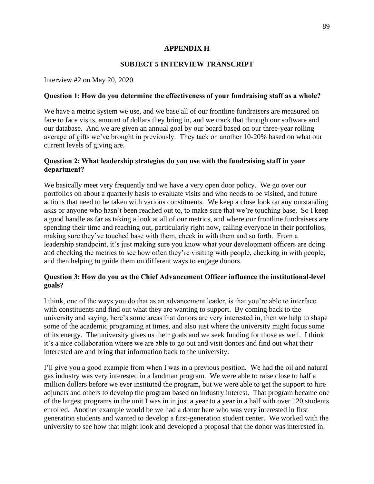## **APPENDIX H**

## **SUBJECT 5 INTERVIEW TRANSCRIPT**

Interview #2 on May 20, 2020

### **Question 1: How do you determine the effectiveness of your fundraising staff as a whole?**

We have a metric system we use, and we base all of our frontline fundraisers are measured on face to face visits, amount of dollars they bring in, and we track that through our software and our database. And we are given an annual goal by our board based on our three-year rolling average of gifts we've brought in previously. They tack on another 10-20% based on what our current levels of giving are.

## **Question 2: What leadership strategies do you use with the fundraising staff in your department?**

We basically meet very frequently and we have a very open door policy. We go over our portfolios on about a quarterly basis to evaluate visits and who needs to be visited, and future actions that need to be taken with various constituents. We keep a close look on any outstanding asks or anyone who hasn't been reached out to, to make sure that we're touching base. So I keep a good handle as far as taking a look at all of our metrics, and where our frontline fundraisers are spending their time and reaching out, particularly right now, calling everyone in their portfolios, making sure they've touched base with them, check in with them and so forth. From a leadership standpoint, it's just making sure you know what your development officers are doing and checking the metrics to see how often they're visiting with people, checking in with people, and then helping to guide them on different ways to engage donors.

## **Question 3: How do you as the Chief Advancement Officer influence the institutional-level goals?**

I think, one of the ways you do that as an advancement leader, is that you're able to interface with constituents and find out what they are wanting to support. By coming back to the university and saying, here's some areas that donors are very interested in, then we help to shape some of the academic programing at times, and also just where the university might focus some of its energy. The university gives us their goals and we seek funding for those as well. I think it's a nice collaboration where we are able to go out and visit donors and find out what their interested are and bring that information back to the university.

I'll give you a good example from when I was in a previous position. We had the oil and natural gas industry was very interested in a landman program. We were able to raise close to half a million dollars before we ever instituted the program, but we were able to get the support to hire adjuncts and others to develop the program based on industry interest. That program became one of the largest programs in the unit I was in in just a year to a year in a half with over 120 students enrolled. Another example would be we had a donor here who was very interested in first generation students and wanted to develop a first-generation student center. We worked with the university to see how that might look and developed a proposal that the donor was interested in.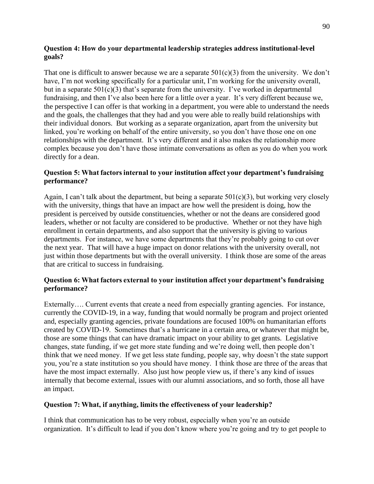# **Question 4: How do your departmental leadership strategies address institutional-level goals?**

That one is difficult to answer because we are a separate  $501(c)(3)$  from the university. We don't have, I'm not working specifically for a particular unit, I'm working for the university overall, but in a separate  $501(c)(3)$  that's separate from the university. I've worked in departmental fundraising, and then I've also been here for a little over a year. It's very different because we, the perspective I can offer is that working in a department, you were able to understand the needs and the goals, the challenges that they had and you were able to really build relationships with their individual donors. But working as a separate organization, apart from the university but linked, you're working on behalf of the entire university, so you don't have those one on one relationships with the department. It's very different and it also makes the relationship more complex because you don't have those intimate conversations as often as you do when you work directly for a dean.

# **Question 5: What factors internal to your institution affect your department's fundraising performance?**

Again, I can't talk about the department, but being a separate  $501(c)(3)$ , but working very closely with the university, things that have an impact are how well the president is doing, how the president is perceived by outside constituencies, whether or not the deans are considered good leaders, whether or not faculty are considered to be productive. Whether or not they have high enrollment in certain departments, and also support that the university is giving to various departments. For instance, we have some departments that they're probably going to cut over the next year. That will have a huge impact on donor relations with the university overall, not just within those departments but with the overall university. I think those are some of the areas that are critical to success in fundraising.

# **Question 6: What factors external to your institution affect your department's fundraising performance?**

Externally.... Current events that create a need from especially granting agencies. For instance, currently the COVID-19, in a way, funding that would normally be program and project oriented and, especially granting agencies, private foundations are focused 100% on humanitarian efforts created by COVID-19. Sometimes that's a hurricane in a certain area, or whatever that might be, those are some things that can have dramatic impact on your ability to get grants. Legislative changes, state funding, if we get more state funding and we're doing well, then people don't think that we need money. If we get less state funding, people say, why doesn't the state support you, you're a state institution so you should have money. I think those are three of the areas that have the most impact externally. Also just how people view us, if there's any kind of issues internally that become external, issues with our alumni associations, and so forth, those all have an impact.

# **Question 7: What, if anything, limits the effectiveness of your leadership?**

I think that communication has to be very robust, especially when you're an outside organization. It's difficult to lead if you don't know where you're going and try to get people to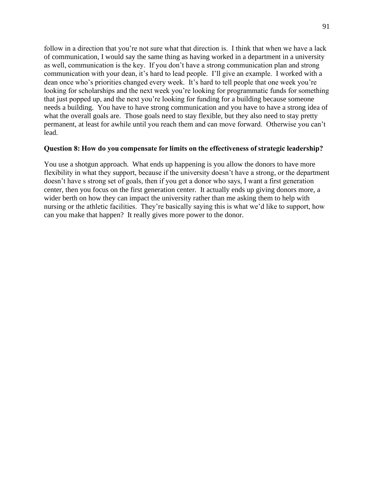follow in a direction that you're not sure what that direction is. I think that when we have a lack of communication, I would say the same thing as having worked in a department in a university as well, communication is the key. If you don't have a strong communication plan and strong communication with your dean, it's hard to lead people. I'll give an example. I worked with a dean once who's priorities changed every week. It's hard to tell people that one week you're looking for scholarships and the next week you're looking for programmatic funds for something that just popped up, and the next you're looking for funding for a building because someone needs a building. You have to have strong communication and you have to have a strong idea of what the overall goals are. Those goals need to stay flexible, but they also need to stay pretty permanent, at least for awhile until you reach them and can move forward. Otherwise you can't lead.

#### **Question 8: How do you compensate for limits on the effectiveness of strategic leadership?**

You use a shotgun approach. What ends up happening is you allow the donors to have more flexibility in what they support, because if the university doesn't have a strong, or the department doesn't have s strong set of goals, then if you get a donor who says, I want a first generation center, then you focus on the first generation center. It actually ends up giving donors more, a wider berth on how they can impact the university rather than me asking them to help with nursing or the athletic facilities. They're basically saying this is what we'd like to support, how can you make that happen? It really gives more power to the donor.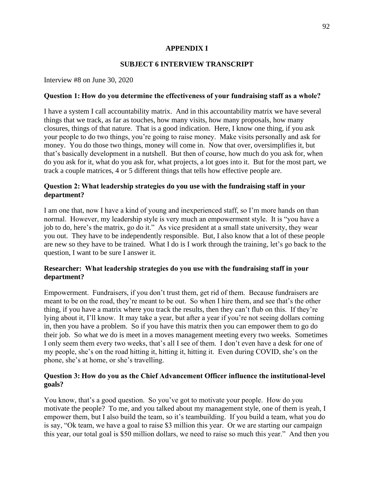# **APPENDIX I**

## **SUBJECT 6 INTERVIEW TRANSCRIPT**

Interview #8 on June 30, 2020

### **Question 1: How do you determine the effectiveness of your fundraising staff as a whole?**

I have a system I call accountability matrix. And in this accountability matrix we have several things that we track, as far as touches, how many visits, how many proposals, how many closures, things of that nature. That is a good indication. Here, I know one thing, if you ask your people to do two things, you're going to raise money. Make visits personally and ask for money. You do those two things, money will come in. Now that over, oversimplifies it, but that's basically development in a nutshell. But then of course, how much do you ask for, when do you ask for it, what do you ask for, what projects, a lot goes into it. But for the most part, we track a couple matrices, 4 or 5 different things that tells how effective people are.

## **Question 2: What leadership strategies do you use with the fundraising staff in your department?**

I am one that, now I have a kind of young and inexperienced staff, so I'm more hands on than normal. However, my leadership style is very much an empowerment style. It is "you have a job to do, here's the matrix, go do it." As vice president at a small state university, they wear you out. They have to be independently responsible. But, I also know that a lot of these people are new so they have to be trained. What I do is I work through the training, let's go back to the question, I want to be sure I answer it.

## **Researcher:  What leadership strategies do you use with the fundraising staff in your department?**

Empowerment. Fundraisers, if you don't trust them, get rid of them. Because fundraisers are meant to be on the road, they're meant to be out. So when I hire them, and see that's the other thing, if you have a matrix where you track the results, then they can't flub on this. If they're lying about it, I'll know. It may take a year, but after a year if you're not seeing dollars coming in, then you have a problem. So if you have this matrix then you can empower them to go do their job. So what we do is meet in a moves management meeting every two weeks. Sometimes I only seem them every two weeks, that's all I see of them. I don't even have a desk for one of my people, she's on the road hitting it, hitting it, hitting it. Even during COVID, she's on the phone, she's at home, or she's travelling.

## **Question 3: How do you as the Chief Advancement Officer influence the institutional-level goals?**

You know, that's a good question. So you've got to motivate your people. How do you motivate the people? To me, and you talked about my management style, one of them is yeah, I empower them, but I also build the team, so it's teambuilding. If you build a team, what you do is say, "Ok team, we have a goal to raise \$3 million this year. Or we are starting our campaign this year, our total goal is \$50 million dollars, we need to raise so much this year." And then you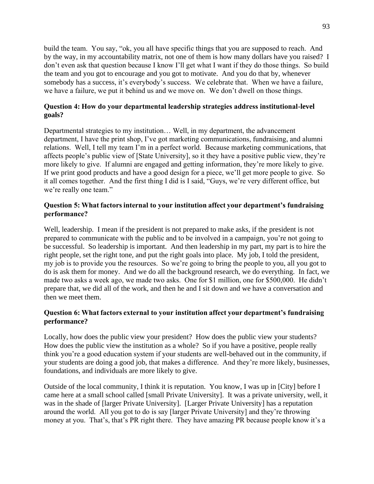build the team. You say, "ok, you all have specific things that you are supposed to reach. And by the way, in my accountability matrix, not one of them is how many dollars have you raised? I don't even ask that question because I know I'll get what I want if they do those things. So build the team and you got to encourage and you got to motivate. And you do that by, whenever somebody has a success, it's everybody's success. We celebrate that. When we have a failure, we have a failure, we put it behind us and we move on. We don't dwell on those things.

# **Question 4: How do your departmental leadership strategies address institutional-level goals?**

Departmental strategies to my institution… Well, in my department, the advancement department, I have the print shop, I've got marketing communications, fundraising, and alumni relations. Well, I tell my team I'm in a perfect world. Because marketing communications, that affects people's public view of [State University], so it they have a positive public view, they're more likely to give. If alumni are engaged and getting information, they're more likely to give. If we print good products and have a good design for a piece, we'll get more people to give. So it all comes together. And the first thing I did is I said, "Guys, we're very different office, but we're really one team."

## **Question 5: What factors internal to your institution affect your department's fundraising performance?**

Well, leadership. I mean if the president is not prepared to make asks, if the president is not prepared to communicate with the public and to be involved in a campaign, you're not going to be successful. So leadership is important. And then leadership in my part, my part is to hire the right people, set the right tone, and put the right goals into place. My job, I told the president, my job is to provide you the resources. So we're going to bring the people to you, all you got to do is ask them for money. And we do all the background research, we do everything. In fact, we made two asks a week ago, we made two asks. One for \$1 million, one for \$500,000. He didn't prepare that, we did all of the work, and then he and I sit down and we have a conversation and then we meet them.

## **Question 6: What factors external to your institution affect your department's fundraising performance?**

Locally, how does the public view your president? How does the public view your students? How does the public view the institution as a whole? So if you have a positive, people really think you're a good education system if your students are well-behaved out in the community, if your students are doing a good job, that makes a difference. And they're more likely, businesses, foundations, and individuals are more likely to give.

Outside of the local community, I think it is reputation. You know, I was up in [City] before I came here at a small school called [small Private University]. It was a private university, well, it was in the shade of [larger Private University]. [Larger Private University] has a reputation around the world. All you got to do is say [larger Private University] and they're throwing money at you. That's, that's PR right there. They have amazing PR because people know it's a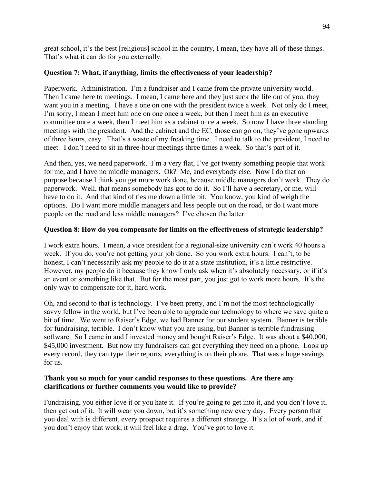great school, it's the best [religious] school in the country, I mean, they have all of these things. That's what it can do for you externally.

# **Question 7: What, if anything, limits the effectiveness of your leadership?**

Paperwork. Administration. I'm a fundraiser and I came from the private university world. Then I came here to meetings. I mean, I came here and they just suck the life out of you, they want you in a meeting. I have a one on one with the president twice a week. Not only do I meet, I'm sorry, I mean I meet him one on one once a week, but then I meet him as an executive committee once a week, then I meet him as a cabinet once a week. So now I have three standing meetings with the president. And the cabinet and the EC, those can go on, they've gone upwards of three hours, easy. That's a waste of my freaking time. I need to talk to the president, I need to meet. I don't need to sit in three-hour meetings three times a week. So that's part of it.

And then, yes, we need paperwork. I'm a very flat, I've got twenty something people that work for me, and I have no middle managers. Ok? Me, and everybody else. Now I do that on purpose because I think you get more work done, because middle managers don't work. They do paperwork. Well, that means somebody has got to do it. So I'll have a secretary, or me, will have to do it. And that kind of ties me down a little bit. You know, you kind of weigh the options. Do I want more middle managers and less people out on the road, or do I want more people on the road and less middle managers? I've chosen the latter.

# **Question 8: How do you compensate for limits on the effectiveness of strategic leadership?**

I work extra hours. I mean, a vice president for a regional-size university can't work 40 hours a week. If you do, you're not getting your job done. So you work extra hours. I can't, to be honest, I can't necessarily ask my people to do it at a state institution, it's a little restrictive. However, my people do it because they know I only ask when it's absolutely necessary, or if it's an event or something like that. But for the most part, you just got to work more hours. It's the only way to compensate for it, hard work.

Oh, and second to that is technology. I've been pretty, and I'm not the most technologically savvy fellow in the world, but I've been able to upgrade our technology to where we save quite a bit of time. We went to Raiser's Edge, we had Banner for our student system. Banner is terrible for fundraising, terrible. I don't know what you are using, but Banner is terrible fundraising software. So I came in and I invested money and bought Raiser's Edge. It was about a \$40,000, \$45,000 investment. But now my fundraisers can get everything they need on a phone. Look up every record, they can type their reports, everything is on their phone. That was a huge savings for us.

# **Thank you so much for your candid responses to these questions. Are there any clarifications or further comments you would like to provide?**

Fundraising, you either love it or you hate it. If you're going to get into it, and you don't love it, then get out of it. It will wear you down, but it's something new every day. Every person that you deal with is different, every prospect requires a different strategy. It's a lot of work, and if you don't enjoy that work, it will feel like a drag. You've got to love it.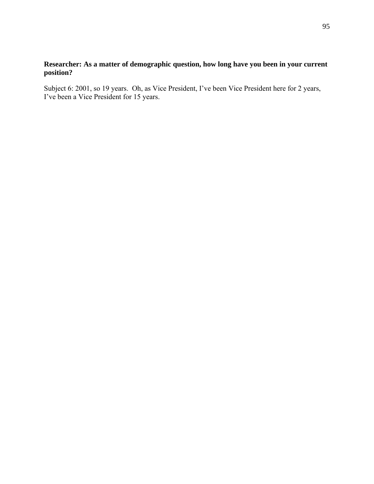# **Researcher: As a matter of demographic question, how long have you been in your current position?**

Subject 6: 2001, so 19 years. Oh, as Vice President, I've been Vice President here for 2 years, I've been a Vice President for 15 years.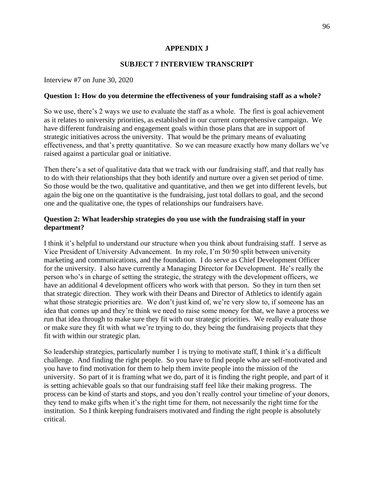## **APPENDIX J**

## **SUBJECT 7 INTERVIEW TRANSCRIPT**

Interview #7 on June 30, 2020

### **Question 1: How do you determine the effectiveness of your fundraising staff as a whole?**

So we use, there's 2 ways we use to evaluate the staff as a whole. The first is goal achievement as it relates to university priorities, as established in our current comprehensive campaign. We have different fundraising and engagement goals within those plans that are in support of strategic initiatives across the university. That would be the primary means of evaluating effectiveness, and that's pretty quantitative. So we can measure exactly how many dollars we've raised against a particular goal or initiative.

Then there's a set of qualitative data that we track with our fundraising staff, and that really has to do with their relationships that they both identify and nurture over a given set period of time. So those would be the two, qualitative and quantitative, and then we get into different levels, but again the big one on the quantitative is the fundraising, just total dollars to goal, and the second one and the qualitative one, the types of relationships our fundraisers have.

## **Question 2: What leadership strategies do you use with the fundraising staff in your department?**

I think it's helpful to understand our structure when you think about fundraising staff. I serve as Vice President of University Advancement. In my role, I'm 50/50 split between university marketing and communications, and the foundation. I do serve as Chief Development Officer for the university. I also have currently a Managing Director for Development. He's really the person who's in charge of setting the strategic, the strategy with the development officers, we have an additional 4 development officers who work with that person. So they in turn then set that strategic direction. They work with their Deans and Director of Athletics to identify again what those strategic priorities are. We don't just kind of, we're very slow to, if someone has an idea that comes up and they're think we need to raise some money for that, we have a process we run that idea through to make sure they fit with our strategic priorities. We really evaluate those or make sure they fit with what we're trying to do, they being the fundraising projects that they fit with within our strategic plan.

So leadership strategies, particularly number 1 is trying to motivate staff, I think it's a difficult challenge. And finding the right people. So you have to find people who are self-motivated and you have to find motivation for them to help them invite people into the mission of the university. So part of it is framing what we do, part of it is finding the right people, and part of it is setting achievable goals so that our fundraising staff feel like their making progress. The process can be kind of starts and stops, and you don't really control your timeline of your donors, they tend to make gifts when it's the right time for them, not necessarily the right time for the institution. So I think keeping fundraisers motivated and finding the right people is absolutely critical.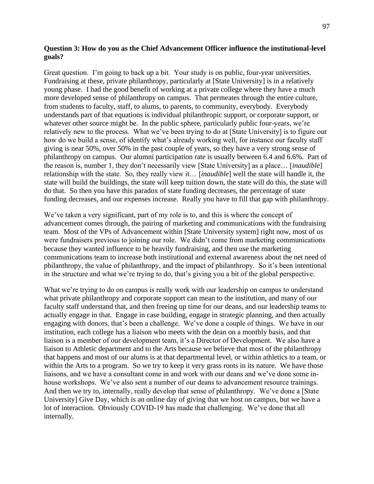### **Question 3: How do you as the Chief Advancement Officer influence the institutional-level goals?**

Great question. I'm going to back up a bit. Your study is on public, four-year universities. Fundraising at these, private philanthropy, particularly at [State University] is in a relatively young phase. I had the good benefit of working at a private college where they have a much more developed sense of philanthropy on campus. That permeates through the entire culture, from students to faculty, staff, to alums, to parents, to community, everybody. Everybody understands part of that equations is individual philanthropic support, or corporate support, or whatever other source might be. In the public sphere, particularly public four-years, we're relatively new to the process. What we've been trying to do at [State University] is to figure out how do we build a sense, of identify what's already working well, for instance our faculty staff giving is near 50%, over 50% in the past couple of years, so they have a very strong sense of philanthropy on campus. Our alumni participation rate is usually between 6.4 and 6.6%. Part of the reason is, number 1, they don't necessarily view [State University] as a place… [*inaudible*] relationship with the state. So, they really view it… [*inaudible*] well the state will handle it, the state will build the buildings, the state will keep tuition down, the state will do this, the state will do that. So then you have this paradox of state funding decreases, the percentage of state funding decreases, and our expenses increase. Really you have to fill that gap with philanthropy.

We've taken a very significant, part of my role is to, and this is where the concept of advancement comes through, the pairing of marketing and communications with the fundraising team. Most of the VPs of Advancement within [State University system] right now, most of us were fundraisers previous to joining our role. We didn't come from marketing communications because they wanted influence to be heavily fundraising, and then use the marketing communications team to increase both institutional and external awareness about the net need of philanthropy, the value of philanthropy, and the impact of philanthropy. So it's been intentional in the structure and what we're trying to do, that's giving you a bit of the global perspective.

What we're trying to do on campus is really work with our leadership on campus to understand what private philanthropy and corporate support can mean to the institution, and many of our faculty staff understand that, and then freeing up time for our deans, and our leadership teams to actually engage in that. Engage in case building, engage in strategic planning, and then actually engaging with donors, that's been a challenge. We've done a couple of things. We have in our institution, each college has a liaison who meets with the dean on a monthly basis, and that liaison is a member of our development team, it's a Director of Development. We also have a liaison to Athletic department and to the Arts because we believe that most of the philanthropy that happens and most of our alums is at that departmental level, or within athletics to a team, or within the Arts to a program. So we try to keep it very grass roots in its nature. We have those liaisons, and we have a consultant come in and work with our deans and we've done some inhouse workshops. We've also sent a number of our deans to advancement resource trainings. And then we try to, internally, really develop that sense of philanthropy. We've done a [State University] Give Day, which is an online day of giving that we host on campus, but we have a lot of interaction. Obviously COVID-19 has made that challenging. We've done that all internally.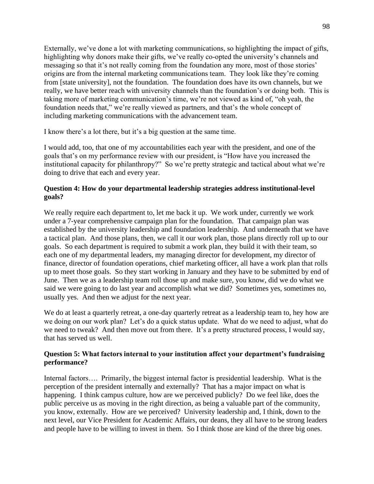Externally, we've done a lot with marketing communications, so highlighting the impact of gifts, highlighting why donors make their gifts, we've really co-opted the university's channels and messaging so that it's not really coming from the foundation any more, most of those stories' origins are from the internal marketing communications team. They look like they're coming from [state university], not the foundation. The foundation does have its own channels, but we really, we have better reach with university channels than the foundation's or doing both. This is taking more of marketing communication's time, we're not viewed as kind of, "oh yeah, the foundation needs that," we're really viewed as partners, and that's the whole concept of including marketing communications with the advancement team.

I know there's a lot there, but it's a big question at the same time.

I would add, too, that one of my accountabilities each year with the president, and one of the goals that's on my performance review with our president, is "How have you increased the institutional capacity for philanthropy?" So we're pretty strategic and tactical about what we're doing to drive that each and every year.

## **Question 4: How do your departmental leadership strategies address institutional-level goals?**

We really require each department to, let me back it up. We work under, currently we work under a 7-year comprehensive campaign plan for the foundation. That campaign plan was established by the university leadership and foundation leadership. And underneath that we have a tactical plan. And those plans, then, we call it our work plan, those plans directly roll up to our goals. So each department is required to submit a work plan, they build it with their team, so each one of my departmental leaders, my managing director for development, my director of finance, director of foundation operations, chief marketing officer, all have a work plan that rolls up to meet those goals. So they start working in January and they have to be submitted by end of June. Then we as a leadership team roll those up and make sure, you know, did we do what we said we were going to do last year and accomplish what we did? Sometimes yes, sometimes no, usually yes. And then we adjust for the next year.

We do at least a quarterly retreat, a one-day quarterly retreat as a leadership team to, hey how are we doing on our work plan? Let's do a quick status update. What do we need to adjust, what do we need to tweak? And then move out from there. It's a pretty structured process, I would say, that has served us well.

# **Question 5: What factors internal to your institution affect your department's fundraising performance?**

Internal factors.... Primarily, the biggest internal factor is presidential leadership. What is the perception of the president internally and externally? That has a major impact on what is happening. I think campus culture, how are we perceived publicly? Do we feel like, does the public perceive us as moving in the right direction, as being a valuable part of the community, you know, externally. How are we perceived? University leadership and, I think, down to the next level, our Vice President for Academic Affairs, our deans, they all have to be strong leaders and people have to be willing to invest in them. So I think those are kind of the three big ones.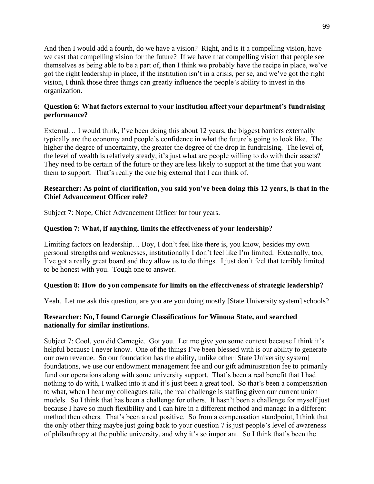And then I would add a fourth, do we have a vision? Right, and is it a compelling vision, have we cast that compelling vision for the future? If we have that compelling vision that people see themselves as being able to be a part of, then I think we probably have the recipe in place, we've got the right leadership in place, if the institution isn't in a crisis, per se, and we've got the right vision, I think those three things can greatly influence the people's ability to invest in the organization.

# **Question 6: What factors external to your institution affect your department's fundraising performance?**

External... I would think, I've been doing this about 12 years, the biggest barriers externally typically are the economy and people's confidence in what the future's going to look like. The higher the degree of uncertainty, the greater the degree of the drop in fundraising. The level of, the level of wealth is relatively steady, it's just what are people willing to do with their assets? They need to be certain of the future or they are less likely to support at the time that you want them to support. That's really the one big external that I can think of.

## **Researcher: As point of clarification, you said you've been doing this 12 years, is that in the Chief Advancement Officer role?**

Subject 7: Nope, Chief Advancement Officer for four years.

# **Question 7: What, if anything, limits the effectiveness of your leadership?**

Limiting factors on leadership… Boy, I don't feel like there is, you know, besides my own personal strengths and weaknesses, institutionally I don't feel like I'm limited. Externally, too, I've got a really great board and they allow us to do things. I just don't feel that terribly limited to be honest with you. Tough one to answer.

# **Question 8: How do you compensate for limits on the effectiveness of strategic leadership?**

Yeah. Let me ask this question, are you are you doing mostly [State University system] schools?

# **Researcher: No, I found Carnegie Classifications for Winona State, and searched nationally for similar institutions.**

Subject 7: Cool, you did Carnegie. Got you. Let me give you some context because I think it's helpful because I never know. One of the things I've been blessed with is our ability to generate our own revenue. So our foundation has the ability, unlike other [State University system] foundations, we use our endowment management fee and our gift administration fee to primarily fund our operations along with some university support. That's been a real benefit that I had nothing to do with, I walked into it and it's just been a great tool. So that's been a compensation to what, when I hear my colleagues talk, the real challenge is staffing given our current union models. So I think that has been a challenge for others. It hasn't been a challenge for myself just because I have so much flexibility and I can hire in a different method and manage in a different method then others. That's been a real positive. So from a compensation standpoint, I think that the only other thing maybe just going back to your question 7 is just people's level of awareness of philanthropy at the public university, and why it's so important. So I think that's been the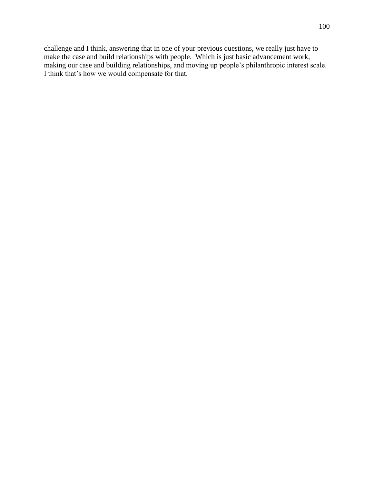challenge and I think, answering that in one of your previous questions, we really just have to make the case and build relationships with people. Which is just basic advancement work, making our case and building relationships, and moving up people's philanthropic interest scale. I think that's how we would compensate for that.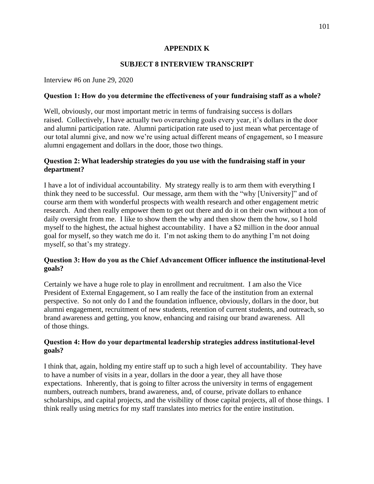# **APPENDIX K**

# **SUBJECT 8 INTERVIEW TRANSCRIPT**

Interview #6 on June 29, 2020

#### **Question 1: How do you determine the effectiveness of your fundraising staff as a whole?**

Well, obviously, our most important metric in terms of fundraising success is dollars raised. Collectively, I have actually two overarching goals every year, it's dollars in the door and alumni participation rate. Alumni participation rate used to just mean what percentage of our total alumni give, and now we're using actual different means of engagement, so I measure alumni engagement and dollars in the door, those two things.

## **Question 2: What leadership strategies do you use with the fundraising staff in your department?**

I have a lot of individual accountability. My strategy really is to arm them with everything I think they need to be successful. Our message, arm them with the "why [University]" and of course arm them with wonderful prospects with wealth research and other engagement metric research. And then really empower them to get out there and do it on their own without a ton of daily oversight from me. I like to show them the why and then show them the how, so I hold myself to the highest, the actual highest accountability. I have a \$2 million in the door annual goal for myself, so they watch me do it. I'm not asking them to do anything I'm not doing myself, so that's my strategy.

## **Question 3: How do you as the Chief Advancement Officer influence the institutional-level goals?**

Certainly we have a huge role to play in enrollment and recruitment. I am also the Vice President of External Engagement, so I am really the face of the institution from an external perspective. So not only do I and the foundation influence, obviously, dollars in the door, but alumni engagement, recruitment of new students, retention of current students, and outreach, so brand awareness and getting, you know, enhancing and raising our brand awareness. All of those things.

## **Question 4: How do your departmental leadership strategies address institutional-level goals?**

I think that, again, holding my entire staff up to such a high level of accountability. They have to have a number of visits in a year, dollars in the door a year, they all have those expectations. Inherently, that is going to filter across the university in terms of engagement numbers, outreach numbers, brand awareness, and, of course, private dollars to enhance scholarships, and capital projects, and the visibility of those capital projects, all of those things. I think really using metrics for my staff translates into metrics for the entire institution.